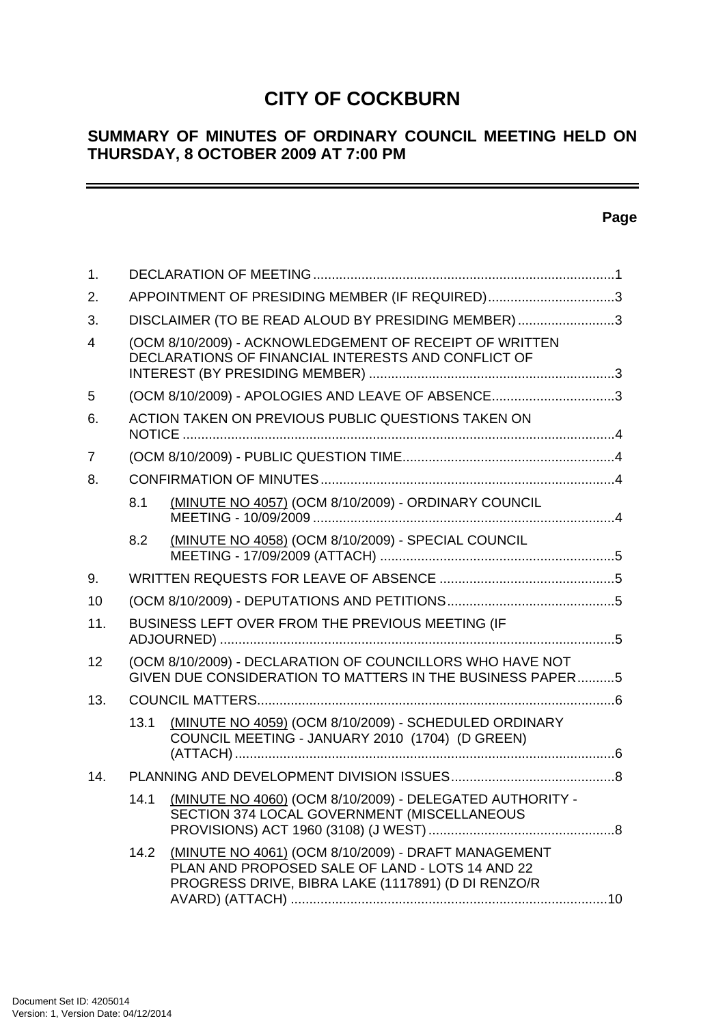# **CITY OF COCKBURN**

## **SUMMARY OF MINUTES OF ORDINARY COUNCIL MEETING HELD ON THURSDAY, 8 OCTOBER 2009 AT 7:00 PM**

## **Page**

| $\mathbf{1}$ . |                                                |                                                                                                                                                              |  |  |  |
|----------------|------------------------------------------------|--------------------------------------------------------------------------------------------------------------------------------------------------------------|--|--|--|
| 2.             | APPOINTMENT OF PRESIDING MEMBER (IF REQUIRED)3 |                                                                                                                                                              |  |  |  |
| 3.             |                                                | DISCLAIMER (TO BE READ ALOUD BY PRESIDING MEMBER) 3                                                                                                          |  |  |  |
| 4              |                                                | (OCM 8/10/2009) - ACKNOWLEDGEMENT OF RECEIPT OF WRITTEN<br>DECLARATIONS OF FINANCIAL INTERESTS AND CONFLICT OF                                               |  |  |  |
| 5              |                                                | (OCM 8/10/2009) - APOLOGIES AND LEAVE OF ABSENCE3                                                                                                            |  |  |  |
| 6.             |                                                | ACTION TAKEN ON PREVIOUS PUBLIC QUESTIONS TAKEN ON                                                                                                           |  |  |  |
| 7              |                                                |                                                                                                                                                              |  |  |  |
| 8.             |                                                |                                                                                                                                                              |  |  |  |
|                | 8.1                                            | (MINUTE NO 4057) (OCM 8/10/2009) - ORDINARY COUNCIL                                                                                                          |  |  |  |
|                | 8.2                                            | (MINUTE NO 4058) (OCM 8/10/2009) - SPECIAL COUNCIL                                                                                                           |  |  |  |
| 9.             |                                                |                                                                                                                                                              |  |  |  |
| 10             |                                                |                                                                                                                                                              |  |  |  |
| 11.            |                                                | BUSINESS LEFT OVER FROM THE PREVIOUS MEETING (IF                                                                                                             |  |  |  |
| 12             |                                                | (OCM 8/10/2009) - DECLARATION OF COUNCILLORS WHO HAVE NOT<br>GIVEN DUE CONSIDERATION TO MATTERS IN THE BUSINESS PAPER5                                       |  |  |  |
| 13.            |                                                |                                                                                                                                                              |  |  |  |
|                | 13.1                                           | (MINUTE NO 4059) (OCM 8/10/2009) - SCHEDULED ORDINARY<br>COUNCIL MEETING - JANUARY 2010 (1704) (D GREEN)                                                     |  |  |  |
| 14.            |                                                |                                                                                                                                                              |  |  |  |
|                | 14.1                                           | (MINUTE NO 4060) (OCM 8/10/2009) - DELEGATED AUTHORITY -<br>SECTION 374 LOCAL GOVERNMENT (MISCELLANEOUS                                                      |  |  |  |
|                | 14.2                                           | (MINUTE NO 4061) (OCM 8/10/2009) - DRAFT MANAGEMENT<br>PLAN AND PROPOSED SALE OF LAND - LOTS 14 AND 22<br>PROGRESS DRIVE, BIBRA LAKE (1117891) (D DI RENZO/R |  |  |  |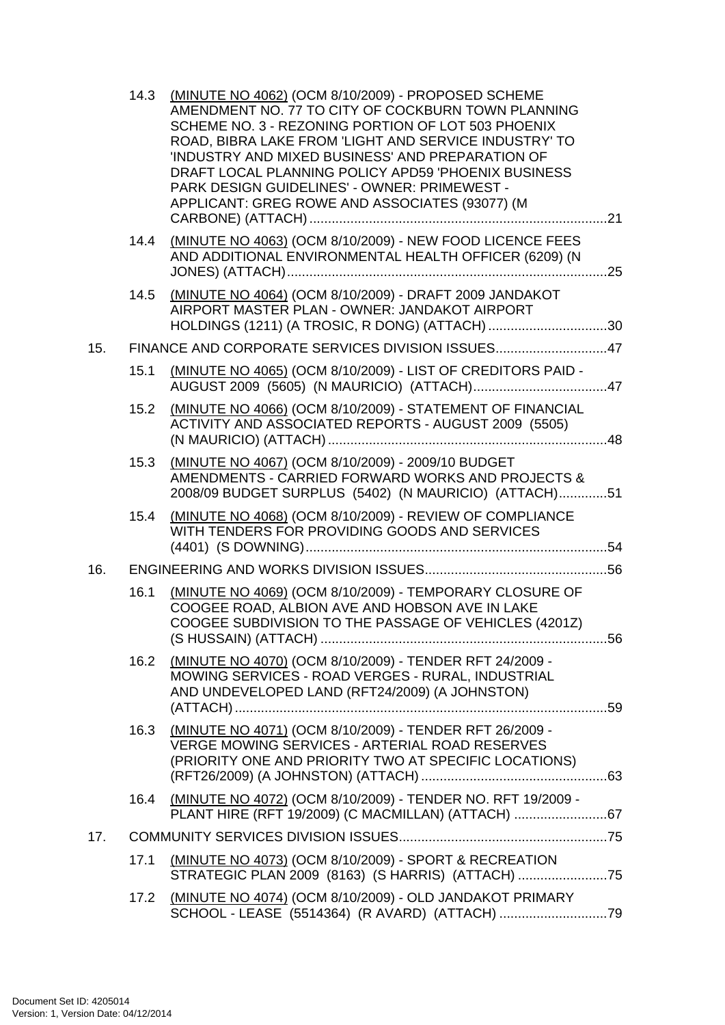|     | 14.3 | (MINUTE NO 4062) (OCM 8/10/2009) - PROPOSED SCHEME<br>AMENDMENT NO. 77 TO CITY OF COCKBURN TOWN PLANNING<br>SCHEME NO. 3 - REZONING PORTION OF LOT 503 PHOENIX<br>ROAD, BIBRA LAKE FROM 'LIGHT AND SERVICE INDUSTRY' TO<br>'INDUSTRY AND MIXED BUSINESS' AND PREPARATION OF<br>DRAFT LOCAL PLANNING POLICY APD59 'PHOENIX BUSINESS<br>PARK DESIGN GUIDELINES' - OWNER: PRIMEWEST -<br>APPLICANT: GREG ROWE AND ASSOCIATES (93077) (M |  |
|-----|------|--------------------------------------------------------------------------------------------------------------------------------------------------------------------------------------------------------------------------------------------------------------------------------------------------------------------------------------------------------------------------------------------------------------------------------------|--|
|     | 14.4 | (MINUTE NO 4063) (OCM 8/10/2009) - NEW FOOD LICENCE FEES<br>AND ADDITIONAL ENVIRONMENTAL HEALTH OFFICER (6209) (N                                                                                                                                                                                                                                                                                                                    |  |
|     |      | 14.5 (MINUTE NO 4064) (OCM 8/10/2009) - DRAFT 2009 JANDAKOT<br>AIRPORT MASTER PLAN - OWNER: JANDAKOT AIRPORT<br>HOLDINGS (1211) (A TROSIC, R DONG) (ATTACH) 30                                                                                                                                                                                                                                                                       |  |
| 15. |      | FINANCE AND CORPORATE SERVICES DIVISION ISSUES47                                                                                                                                                                                                                                                                                                                                                                                     |  |
|     | 15.1 | (MINUTE NO 4065) (OCM 8/10/2009) - LIST OF CREDITORS PAID -                                                                                                                                                                                                                                                                                                                                                                          |  |
|     | 15.2 | (MINUTE NO 4066) (OCM 8/10/2009) - STATEMENT OF FINANCIAL<br>ACTIVITY AND ASSOCIATED REPORTS - AUGUST 2009 (5505)                                                                                                                                                                                                                                                                                                                    |  |
|     | 15.3 | (MINUTE NO 4067) (OCM 8/10/2009) - 2009/10 BUDGET<br>AMENDMENTS - CARRIED FORWARD WORKS AND PROJECTS &<br>2008/09 BUDGET SURPLUS (5402) (N MAURICIO) (ATTACH)51                                                                                                                                                                                                                                                                      |  |
|     | 15.4 | (MINUTE NO 4068) (OCM 8/10/2009) - REVIEW OF COMPLIANCE<br>WITH TENDERS FOR PROVIDING GOODS AND SERVICES                                                                                                                                                                                                                                                                                                                             |  |
| 16. |      |                                                                                                                                                                                                                                                                                                                                                                                                                                      |  |
|     | 16.1 | (MINUTE NO 4069) (OCM 8/10/2009) - TEMPORARY CLOSURE OF<br>COOGEE ROAD, ALBION AVE AND HOBSON AVE IN LAKE<br>COOGEE SUBDIVISION TO THE PASSAGE OF VEHICLES (4201Z)                                                                                                                                                                                                                                                                   |  |
|     | 16.2 | (MINUTE NO 4070) (OCM 8/10/2009) - TENDER RFT 24/2009 -<br>MOWING SERVICES - ROAD VERGES - RURAL, INDUSTRIAL<br>AND UNDEVELOPED LAND (RFT24/2009) (A JOHNSTON)                                                                                                                                                                                                                                                                       |  |
|     | 16.3 | (MINUTE NO 4071) (OCM 8/10/2009) - TENDER RFT 26/2009 -<br>VERGE MOWING SERVICES - ARTERIAL ROAD RESERVES<br>(PRIORITY ONE AND PRIORITY TWO AT SPECIFIC LOCATIONS)                                                                                                                                                                                                                                                                   |  |
|     | 16.4 | (MINUTE NO 4072) (OCM 8/10/2009) - TENDER NO. RFT 19/2009 -<br>PLANT HIRE (RFT 19/2009) (C MACMILLAN) (ATTACH) 67                                                                                                                                                                                                                                                                                                                    |  |
| 17. |      |                                                                                                                                                                                                                                                                                                                                                                                                                                      |  |
|     | 17.1 | (MINUTE NO 4073) (OCM 8/10/2009) - SPORT & RECREATION<br>STRATEGIC PLAN 2009 (8163) (S HARRIS) (ATTACH)                                                                                                                                                                                                                                                                                                                              |  |
|     | 17.2 | (MINUTE NO 4074) (OCM 8/10/2009) - OLD JANDAKOT PRIMARY                                                                                                                                                                                                                                                                                                                                                                              |  |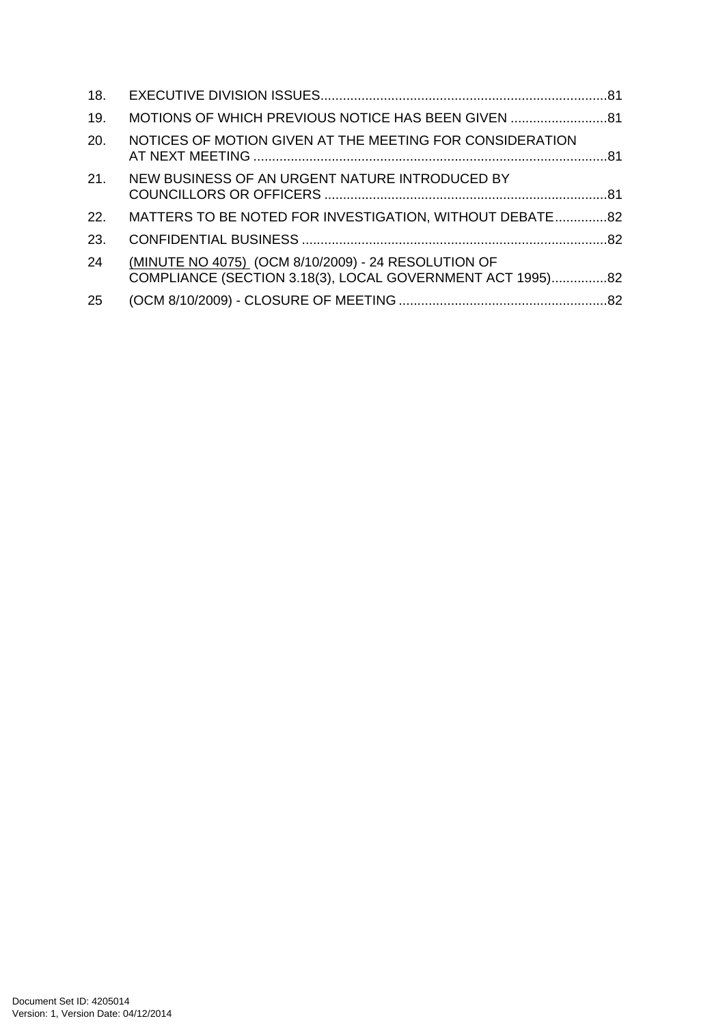| 18. |                                                                                                                  |  |
|-----|------------------------------------------------------------------------------------------------------------------|--|
| 19. | MOTIONS OF WHICH PREVIOUS NOTICE HAS BEEN GIVEN                                                                  |  |
| 20. | NOTICES OF MOTION GIVEN AT THE MEETING FOR CONSIDERATION                                                         |  |
| 21. | NEW BUSINESS OF AN URGENT NATURE INTRODUCED BY                                                                   |  |
| 22. | MATTERS TO BE NOTED FOR INVESTIGATION, WITHOUT DEBATE82                                                          |  |
| 23. |                                                                                                                  |  |
| 24  | (MINUTE NO 4075) (OCM 8/10/2009) - 24 RESOLUTION OF<br>COMPLIANCE (SECTION 3.18(3), LOCAL GOVERNMENT ACT 1995)82 |  |
| 25  |                                                                                                                  |  |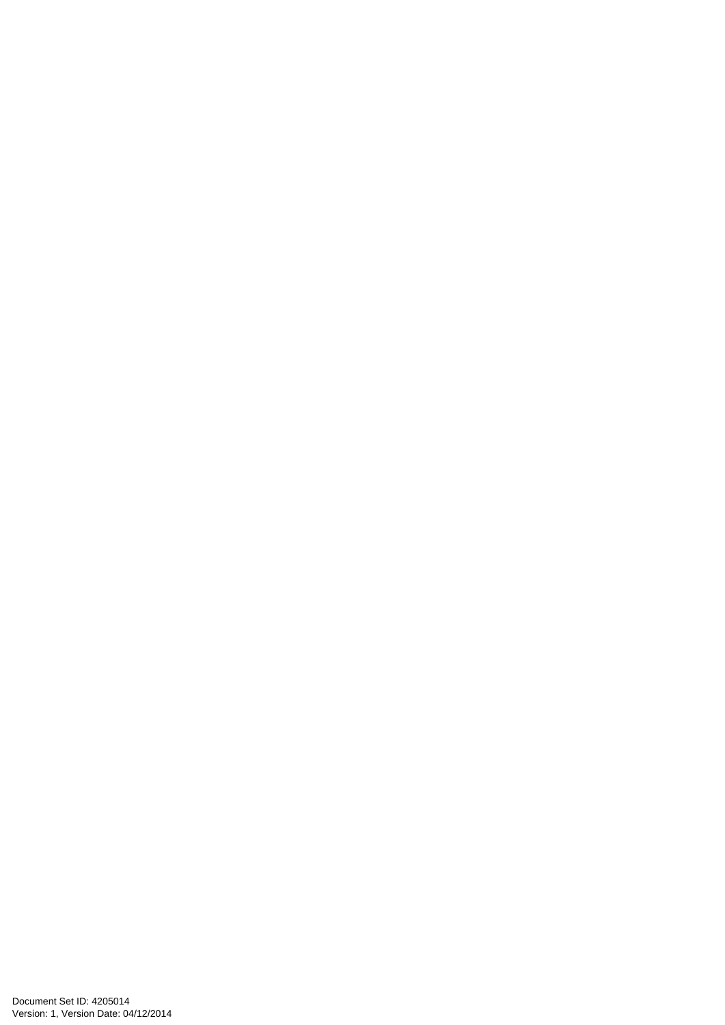Document Set ID: 4205014<br>Version: 1, Version Date: 04/12/2014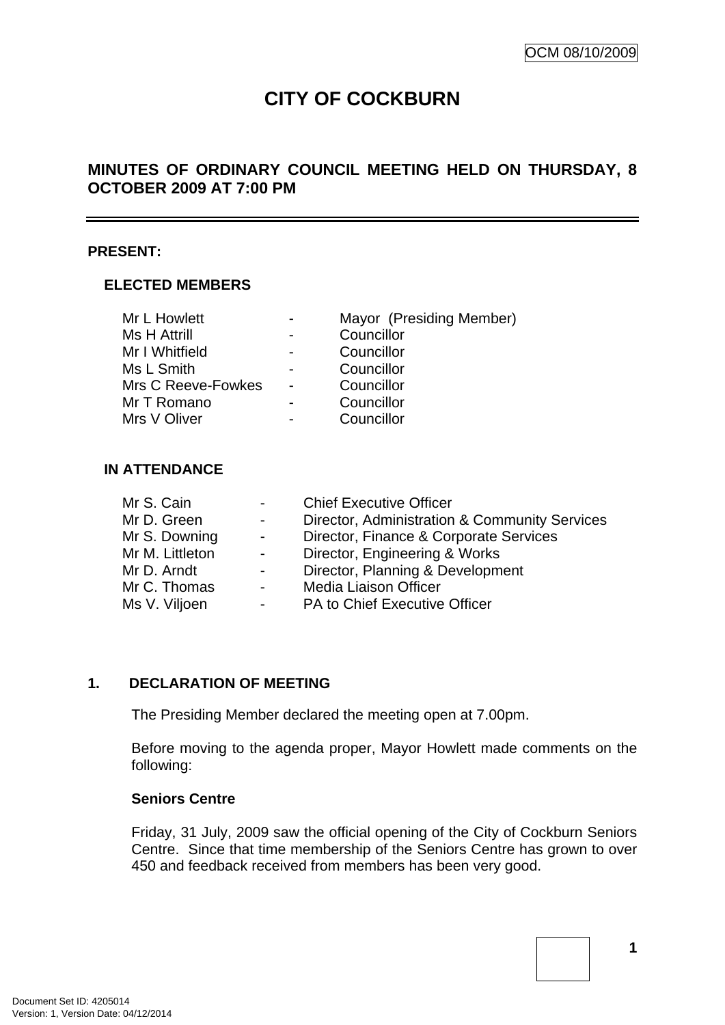# **CITY OF COCKBURN**

## <span id="page-4-0"></span>**MINUTES OF ORDINARY COUNCIL MEETING HELD ON THURSDAY, 8 OCTOBER 2009 AT 7:00 PM**

#### **PRESENT:**

#### **ELECTED MEMBERS**

| Mr L Howlett       |   | Mayor (Presiding Member) |
|--------------------|---|--------------------------|
| Ms H Attrill       | - | Councillor               |
| Mr I Whitfield     | - | Councillor               |
| Ms L Smith         |   | Councillor               |
| Mrs C Reeve-Fowkes |   | Councillor               |
| Mr T Romano        | - | Councillor               |
| Mrs V Oliver       |   | Councillor               |

#### **IN ATTENDANCE**

| $\sim 100$      | <b>Chief Executive Officer</b>                |
|-----------------|-----------------------------------------------|
| $\sim 100$      | Director, Administration & Community Services |
| $\sim 100$      | Director, Finance & Corporate Services        |
| $\sim 100$      | Director, Engineering & Works                 |
| $\sim$ 10 $\pm$ | Director, Planning & Development              |
| $\sim 100$      | <b>Media Liaison Officer</b>                  |
| $\sim 100$      | PA to Chief Executive Officer                 |
|                 |                                               |

#### **1. DECLARATION OF MEETING**

The Presiding Member declared the meeting open at 7.00pm.

 Before moving to the agenda proper, Mayor Howlett made comments on the following:

#### **Seniors Centre**

Friday, 31 July, 2009 saw the official opening of the City of Cockburn Seniors Centre. Since that time membership of the Seniors Centre has grown to over 450 and feedback received from members has been very good.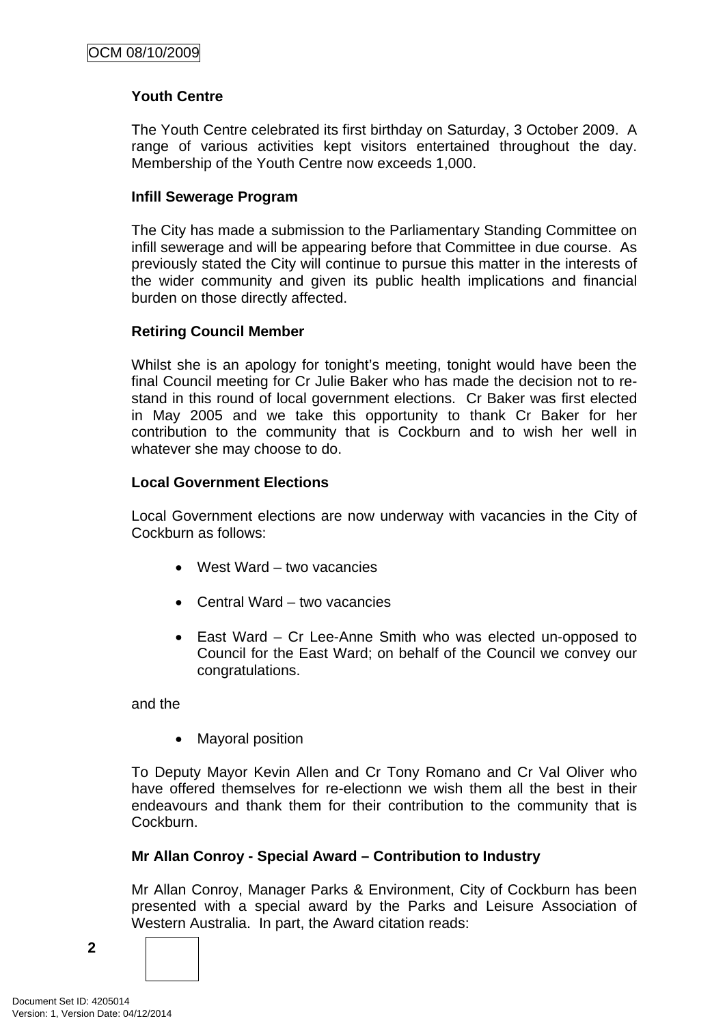## **Youth Centre**

The Youth Centre celebrated its first birthday on Saturday, 3 October 2009. A range of various activities kept visitors entertained throughout the day. Membership of the Youth Centre now exceeds 1,000.

#### **Infill Sewerage Program**

The City has made a submission to the Parliamentary Standing Committee on infill sewerage and will be appearing before that Committee in due course. As previously stated the City will continue to pursue this matter in the interests of the wider community and given its public health implications and financial burden on those directly affected.

#### **Retiring Council Member**

Whilst she is an apology for tonight's meeting, tonight would have been the final Council meeting for Cr Julie Baker who has made the decision not to restand in this round of local government elections. Cr Baker was first elected in May 2005 and we take this opportunity to thank Cr Baker for her contribution to the community that is Cockburn and to wish her well in whatever she may choose to do.

#### **Local Government Elections**

Local Government elections are now underway with vacancies in the City of Cockburn as follows:

- West Ward two vacancies
- Central Ward two vacancies
- East Ward Cr Lee-Anne Smith who was elected un-opposed to Council for the East Ward; on behalf of the Council we convey our congratulations.

and the

• Mayoral position

To Deputy Mayor Kevin Allen and Cr Tony Romano and Cr Val Oliver who have offered themselves for re-electionn we wish them all the best in their endeavours and thank them for their contribution to the community that is Cockburn.

#### **Mr Allan Conroy - Special Award – Contribution to Industry**

Mr Allan Conroy, Manager Parks & Environment, City of Cockburn has been presented with a special award by the Parks and Leisure Association of Western Australia. In part, the Award citation reads:

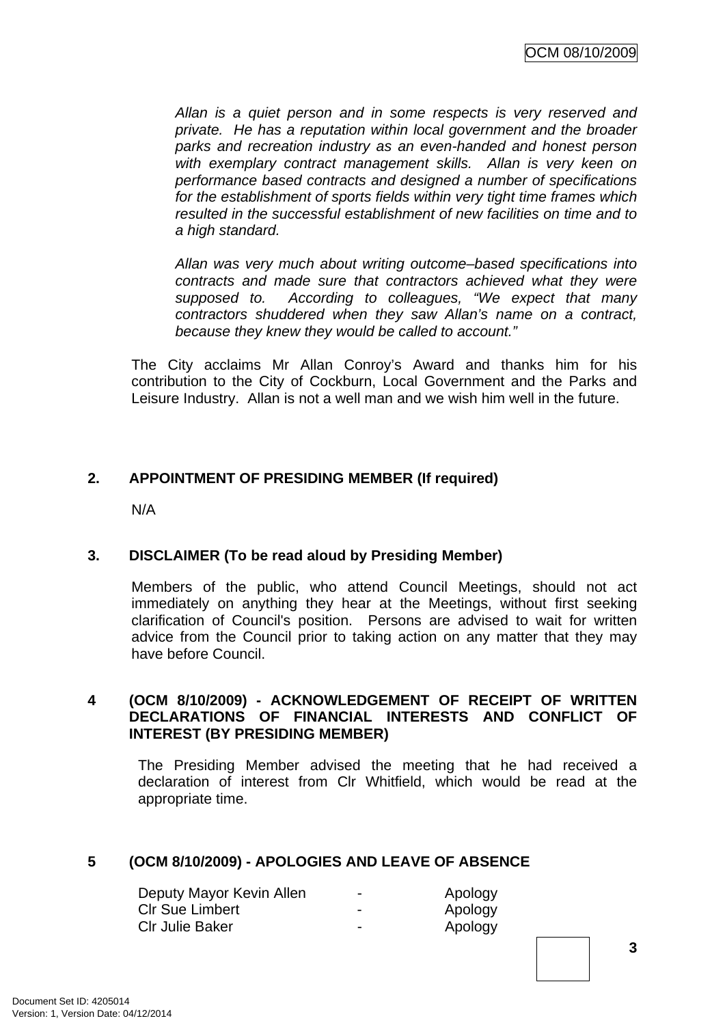<span id="page-6-0"></span>*Allan is a quiet person and in some respects is very reserved and private. He has a reputation within local government and the broader parks and recreation industry as an even-handed and honest person with exemplary contract management skills. Allan is very keen on performance based contracts and designed a number of specifications for the establishment of sports fields within very tight time frames which resulted in the successful establishment of new facilities on time and to a high standard.* 

*Allan was very much about writing outcome–based specifications into contracts and made sure that contractors achieved what they were supposed to. According to colleagues, "We expect that many contractors shuddered when they saw Allan's name on a contract, because they knew they would be called to account."* 

The City acclaims Mr Allan Conroy's Award and thanks him for his contribution to the City of Cockburn, Local Government and the Parks and Leisure Industry. Allan is not a well man and we wish him well in the future.

## **2. APPOINTMENT OF PRESIDING MEMBER (If required)**

N/A

## **3. DISCLAIMER (To be read aloud by Presiding Member)**

Members of the public, who attend Council Meetings, should not act immediately on anything they hear at the Meetings, without first seeking clarification of Council's position. Persons are advised to wait for written advice from the Council prior to taking action on any matter that they may have before Council.

#### **4 (OCM 8/10/2009) - ACKNOWLEDGEMENT OF RECEIPT OF WRITTEN DECLARATIONS OF FINANCIAL INTERESTS AND CONFLICT OF INTEREST (BY PRESIDING MEMBER)**

The Presiding Member advised the meeting that he had received a declaration of interest from Clr Whitfield, which would be read at the appropriate time.

## **5 (OCM 8/10/2009) - APOLOGIES AND LEAVE OF ABSENCE**

| Deputy Mayor Kevin Allen | $\overline{\phantom{a}}$ | Apology |
|--------------------------|--------------------------|---------|
| <b>CIr Sue Limbert</b>   | $\overline{\phantom{0}}$ | Apology |
| <b>CIr Julie Baker</b>   | $\overline{\phantom{0}}$ | Apology |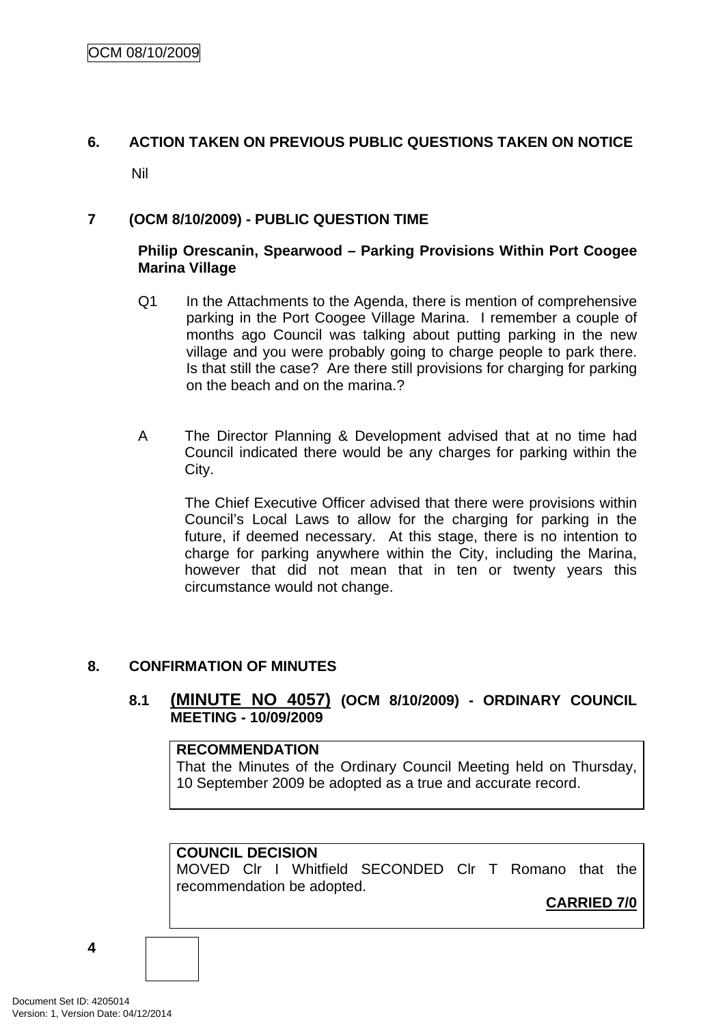### <span id="page-7-0"></span>**6. ACTION TAKEN ON PREVIOUS PUBLIC QUESTIONS TAKEN ON NOTICE**

Nil

## **7 (OCM 8/10/2009) - PUBLIC QUESTION TIME**

#### **Philip Orescanin, Spearwood – Parking Provisions Within Port Coogee Marina Village**

- Q1 In the Attachments to the Agenda, there is mention of comprehensive parking in the Port Coogee Village Marina. I remember a couple of months ago Council was talking about putting parking in the new village and you were probably going to charge people to park there. Is that still the case? Are there still provisions for charging for parking on the beach and on the marina.?
- A The Director Planning & Development advised that at no time had Council indicated there would be any charges for parking within the City.

 The Chief Executive Officer advised that there were provisions within Council's Local Laws to allow for the charging for parking in the future, if deemed necessary. At this stage, there is no intention to charge for parking anywhere within the City, including the Marina, however that did not mean that in ten or twenty years this circumstance would not change.

#### **8. CONFIRMATION OF MINUTES**

## **8.1 (MINUTE NO 4057) (OCM 8/10/2009) - ORDINARY COUNCIL MEETING - 10/09/2009**

#### **RECOMMENDATION**

That the Minutes of the Ordinary Council Meeting held on Thursday, 10 September 2009 be adopted as a true and accurate record.

## **COUNCIL DECISION**

MOVED Clr I Whitfield SECONDED Clr T Romano that the recommendation be adopted.

**CARRIED 7/0**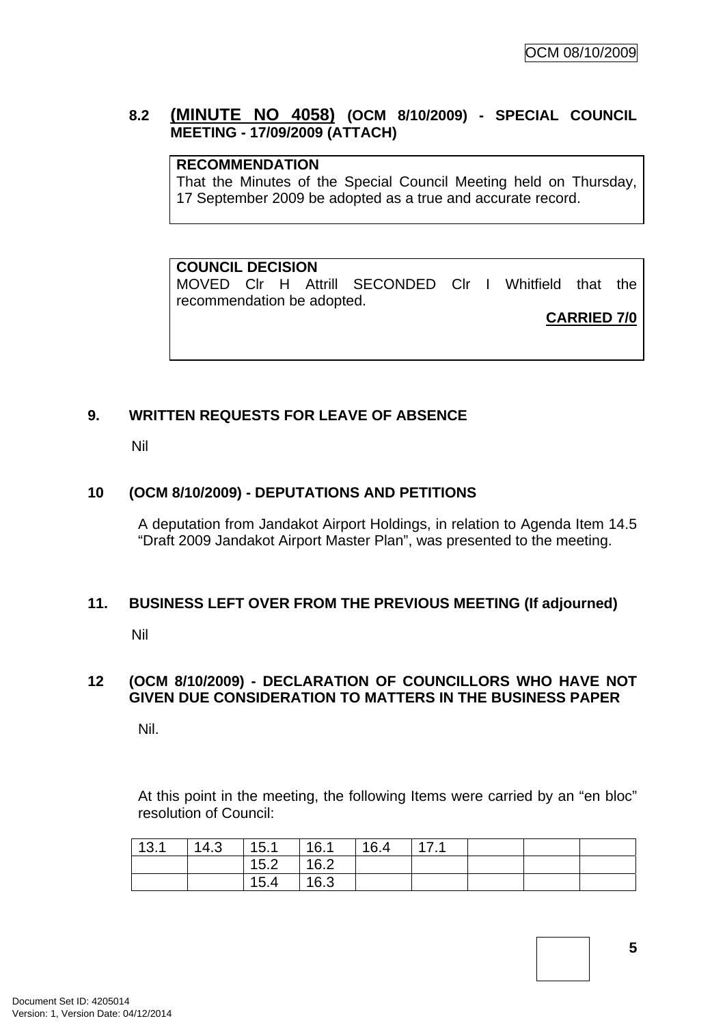## <span id="page-8-0"></span>**8.2 (MINUTE NO 4058) (OCM 8/10/2009) - SPECIAL COUNCIL MEETING - 17/09/2009 (ATTACH)**

#### **RECOMMENDATION**

That the Minutes of the Special Council Meeting held on Thursday, 17 September 2009 be adopted as a true and accurate record.

#### **COUNCIL DECISION**

MOVED Clr H Attrill SECONDED Clr I Whitfield that the recommendation be adopted.

**CARRIED 7/0**

#### **9. WRITTEN REQUESTS FOR LEAVE OF ABSENCE**

Nil

#### **10 (OCM 8/10/2009) - DEPUTATIONS AND PETITIONS**

A deputation from Jandakot Airport Holdings, in relation to Agenda Item 14.5 "Draft 2009 Jandakot Airport Master Plan", was presented to the meeting.

#### **11. BUSINESS LEFT OVER FROM THE PREVIOUS MEETING (If adjourned)**

Nil

#### **12 (OCM 8/10/2009) - DECLARATION OF COUNCILLORS WHO HAVE NOT GIVEN DUE CONSIDERATION TO MATTERS IN THE BUSINESS PAPER**

Nil.

At this point in the meeting, the following Items were carried by an "en bloc" resolution of Council:

| 13.1 | 14.3 | 15.1 | 16.1 | 16.4 | 17.1 |  |  |
|------|------|------|------|------|------|--|--|
|      |      | 15.2 | 16.2 |      |      |  |  |
|      |      | 15.4 | 16.3 |      |      |  |  |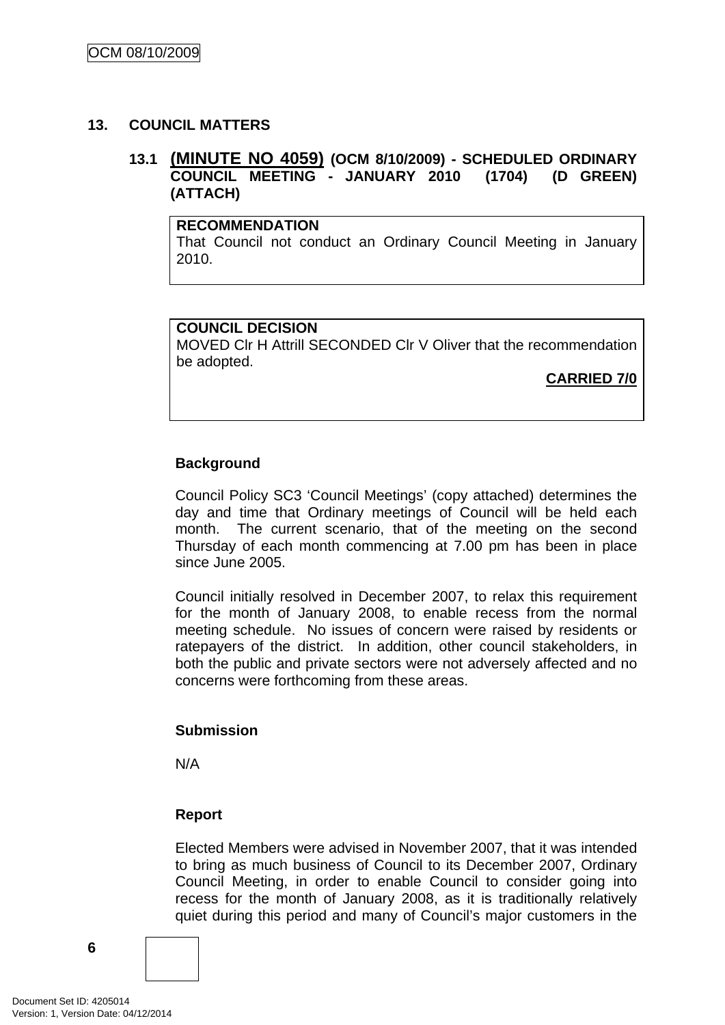#### <span id="page-9-0"></span>**13. COUNCIL MATTERS**

#### **13.1 (MINUTE NO 4059) (OCM 8/10/2009) - SCHEDULED ORDINARY COUNCIL MEETING - JANUARY 2010 (1704) (D GREEN) (ATTACH)**

#### **RECOMMENDATION**

That Council not conduct an Ordinary Council Meeting in January 2010.

#### **COUNCIL DECISION**

MOVED Clr H Attrill SECONDED Clr V Oliver that the recommendation be adopted.

**CARRIED 7/0**

#### **Background**

Council Policy SC3 'Council Meetings' (copy attached) determines the day and time that Ordinary meetings of Council will be held each month. The current scenario, that of the meeting on the second Thursday of each month commencing at 7.00 pm has been in place since June 2005.

Council initially resolved in December 2007, to relax this requirement for the month of January 2008, to enable recess from the normal meeting schedule. No issues of concern were raised by residents or ratepayers of the district. In addition, other council stakeholders, in both the public and private sectors were not adversely affected and no concerns were forthcoming from these areas.

#### **Submission**

N/A

#### **Report**

Elected Members were advised in November 2007, that it was intended to bring as much business of Council to its December 2007, Ordinary Council Meeting, in order to enable Council to consider going into recess for the month of January 2008, as it is traditionally relatively quiet during this period and many of Council's major customers in the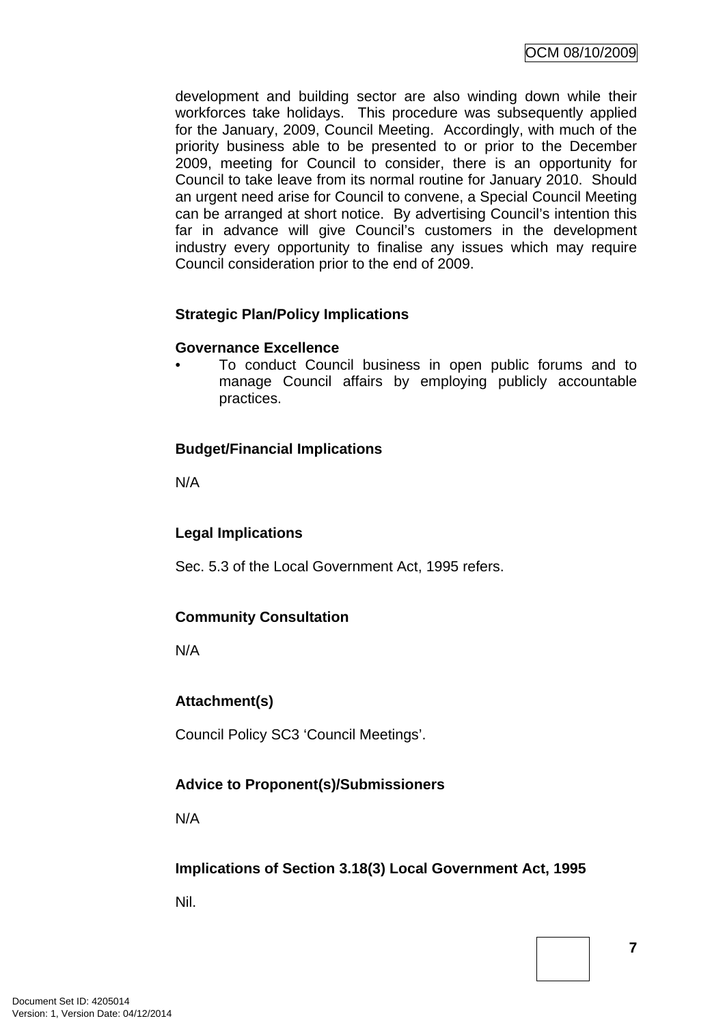development and building sector are also winding down while their workforces take holidays. This procedure was subsequently applied for the January, 2009, Council Meeting. Accordingly, with much of the priority business able to be presented to or prior to the December 2009, meeting for Council to consider, there is an opportunity for Council to take leave from its normal routine for January 2010. Should an urgent need arise for Council to convene, a Special Council Meeting can be arranged at short notice. By advertising Council's intention this far in advance will give Council's customers in the development industry every opportunity to finalise any issues which may require Council consideration prior to the end of 2009.

## **Strategic Plan/Policy Implications**

#### **Governance Excellence**

• To conduct Council business in open public forums and to manage Council affairs by employing publicly accountable practices.

## **Budget/Financial Implications**

N/A

## **Legal Implications**

Sec. 5.3 of the Local Government Act, 1995 refers.

## **Community Consultation**

N/A

## **Attachment(s)**

Council Policy SC3 'Council Meetings'.

## **Advice to Proponent(s)/Submissioners**

N/A

## **Implications of Section 3.18(3) Local Government Act, 1995**

Nil.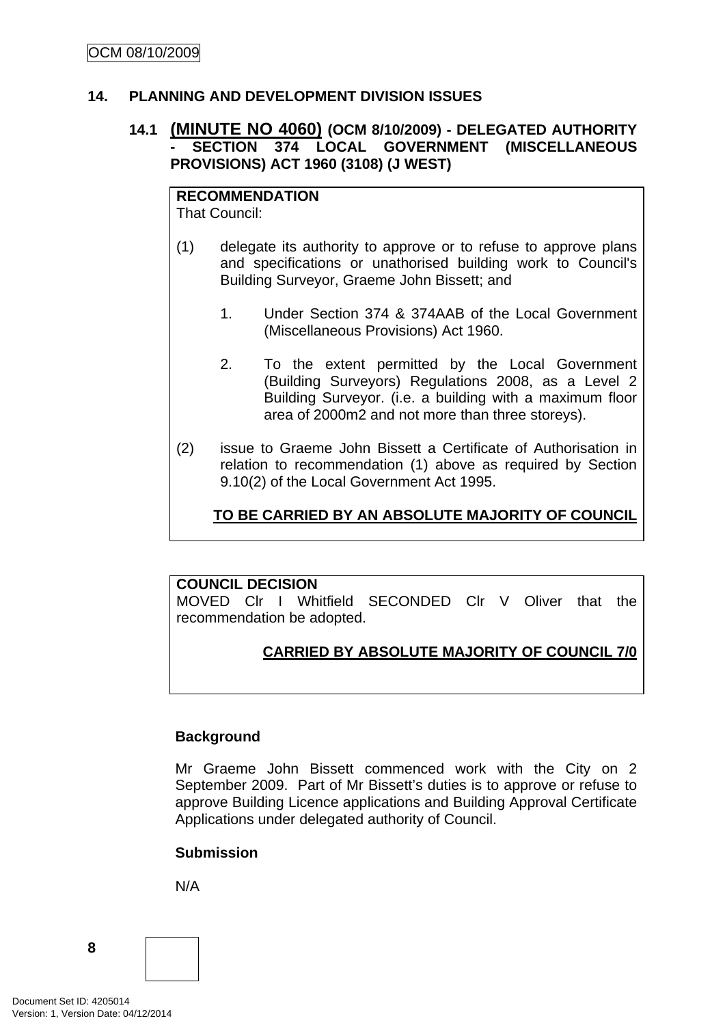### <span id="page-11-0"></span>**14. PLANNING AND DEVELOPMENT DIVISION ISSUES**

#### **14.1 (MINUTE NO 4060) (OCM 8/10/2009) - DELEGATED AUTHORITY - SECTION 374 LOCAL GOVERNMENT (MISCELLANEOUS PROVISIONS) ACT 1960 (3108) (J WEST)**

**RECOMMENDATION** That Council:

- (1) delegate its authority to approve or to refuse to approve plans and specifications or unathorised building work to Council's Building Surveyor, Graeme John Bissett; and
	- 1. Under Section 374 & 374AAB of the Local Government (Miscellaneous Provisions) Act 1960.
	- 2. To the extent permitted by the Local Government (Building Surveyors) Regulations 2008, as a Level 2 Building Surveyor. (i.e. a building with a maximum floor area of 2000m2 and not more than three storeys).
- (2) issue to Graeme John Bissett a Certificate of Authorisation in relation to recommendation (1) above as required by Section 9.10(2) of the Local Government Act 1995.

**TO BE CARRIED BY AN ABSOLUTE MAJORITY OF COUNCIL**

#### **COUNCIL DECISION**

MOVED Clr I Whitfield SECONDED Clr V Oliver that the recommendation be adopted.

## **CARRIED BY ABSOLUTE MAJORITY OF COUNCIL 7/0**

#### **Background**

Mr Graeme John Bissett commenced work with the City on 2 September 2009. Part of Mr Bissett's duties is to approve or refuse to approve Building Licence applications and Building Approval Certificate Applications under delegated authority of Council.

## **Submission**

N/A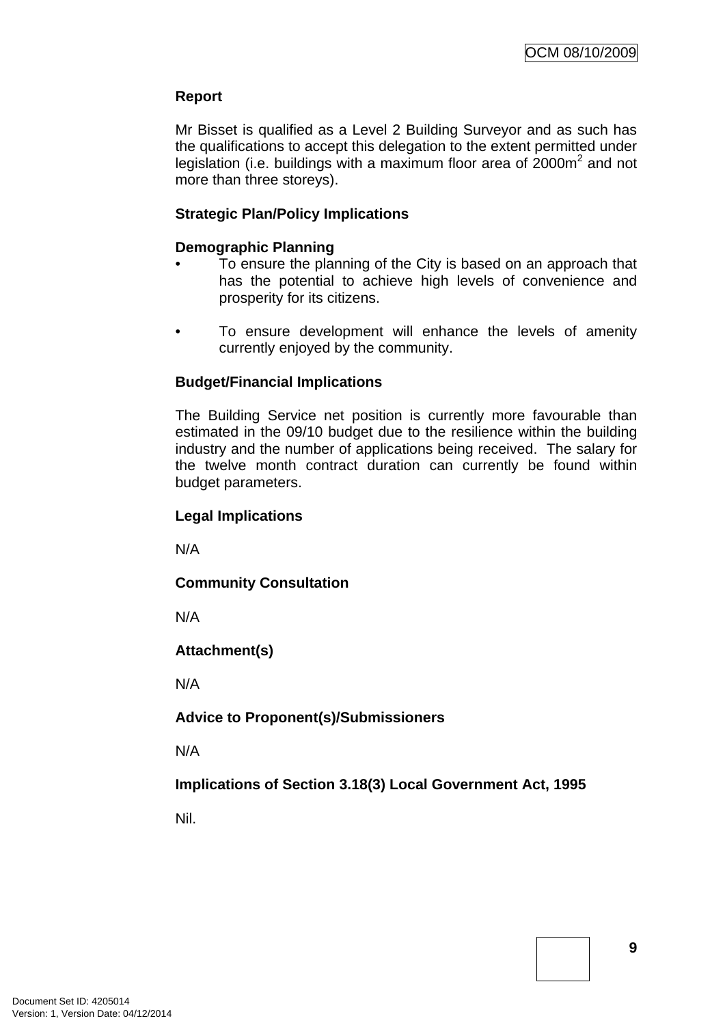## **Report**

Mr Bisset is qualified as a Level 2 Building Surveyor and as such has the qualifications to accept this delegation to the extent permitted under legislation (i.e. buildings with a maximum floor area of  $2000m^2$  and not more than three storeys).

#### **Strategic Plan/Policy Implications**

#### **Demographic Planning**

- To ensure the planning of the City is based on an approach that has the potential to achieve high levels of convenience and prosperity for its citizens.
- To ensure development will enhance the levels of amenity currently enjoyed by the community.

#### **Budget/Financial Implications**

The Building Service net position is currently more favourable than estimated in the 09/10 budget due to the resilience within the building industry and the number of applications being received. The salary for the twelve month contract duration can currently be found within budget parameters.

#### **Legal Implications**

N/A

#### **Community Consultation**

N/A

#### **Attachment(s)**

N/A

#### **Advice to Proponent(s)/Submissioners**

N/A

#### **Implications of Section 3.18(3) Local Government Act, 1995**

Nil.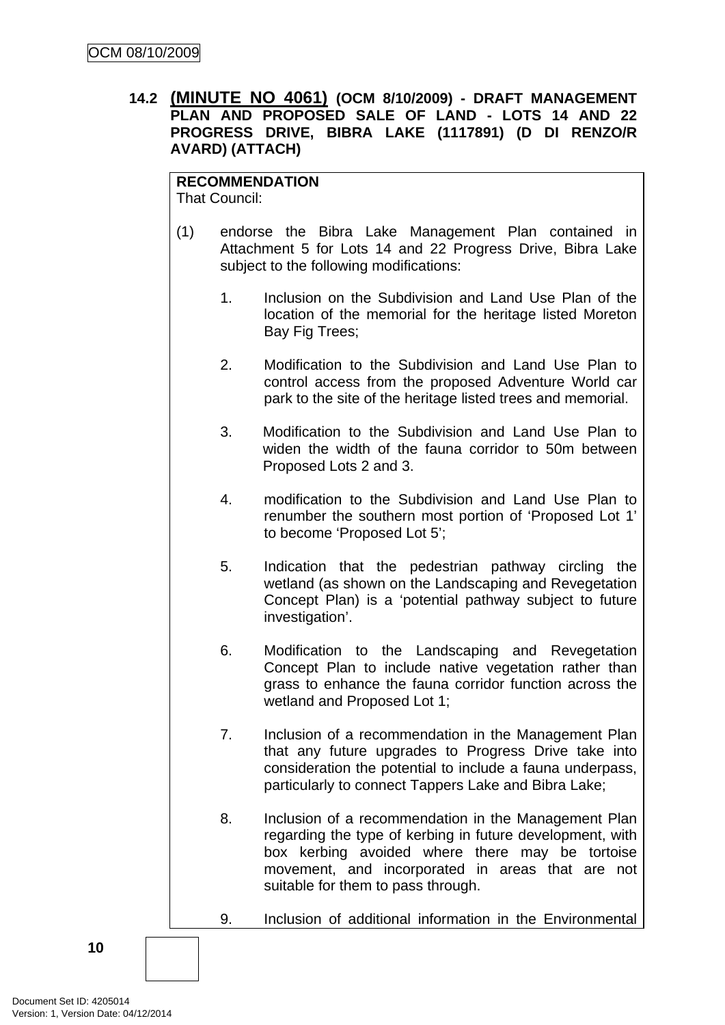## <span id="page-13-0"></span>**14.2 (MINUTE NO 4061) (OCM 8/10/2009) - DRAFT MANAGEMENT PLAN AND PROPOSED SALE OF LAND - LOTS 14 AND 22 PROGRESS DRIVE, BIBRA LAKE (1117891) (D DI RENZO/R AVARD) (ATTACH)**

## **RECOMMENDATION**

That Council:

- (1) endorse the Bibra Lake Management Plan contained in Attachment 5 for Lots 14 and 22 Progress Drive, Bibra Lake subject to the following modifications:
	- 1. Inclusion on the Subdivision and Land Use Plan of the location of the memorial for the heritage listed Moreton Bay Fig Trees;
	- 2. Modification to the Subdivision and Land Use Plan to control access from the proposed Adventure World car park to the site of the heritage listed trees and memorial.
	- 3. Modification to the Subdivision and Land Use Plan to widen the width of the fauna corridor to 50m between Proposed Lots 2 and 3.
	- 4. modification to the Subdivision and Land Use Plan to renumber the southern most portion of 'Proposed Lot 1' to become 'Proposed Lot 5';
	- 5. Indication that the pedestrian pathway circling the wetland (as shown on the Landscaping and Revegetation Concept Plan) is a 'potential pathway subject to future investigation'.
	- 6. Modification to the Landscaping and Revegetation Concept Plan to include native vegetation rather than grass to enhance the fauna corridor function across the wetland and Proposed Lot 1;
	- 7. Inclusion of a recommendation in the Management Plan that any future upgrades to Progress Drive take into consideration the potential to include a fauna underpass, particularly to connect Tappers Lake and Bibra Lake;
	- 8. Inclusion of a recommendation in the Management Plan regarding the type of kerbing in future development, with box kerbing avoided where there may be tortoise movement, and incorporated in areas that are not suitable for them to pass through.

9. Inclusion of additional information in the Environmental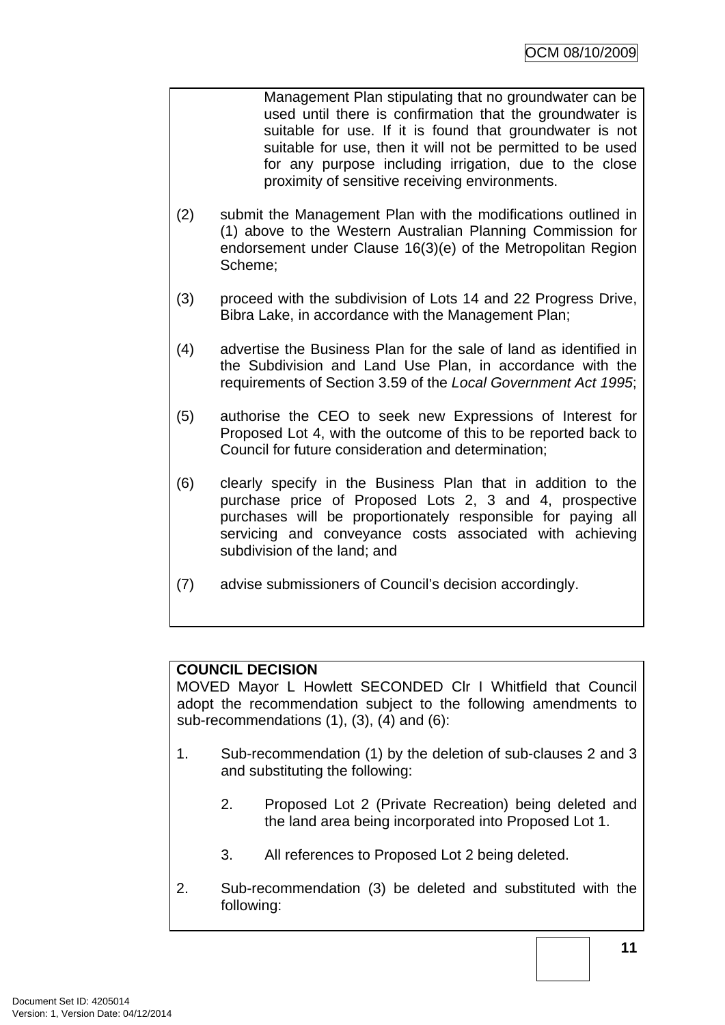Management Plan stipulating that no groundwater can be used until there is confirmation that the groundwater is suitable for use. If it is found that groundwater is not suitable for use, then it will not be permitted to be used for any purpose including irrigation, due to the close proximity of sensitive receiving environments.

- (2) submit the Management Plan with the modifications outlined in (1) above to the Western Australian Planning Commission for endorsement under Clause 16(3)(e) of the Metropolitan Region Scheme;
- (3) proceed with the subdivision of Lots 14 and 22 Progress Drive, Bibra Lake, in accordance with the Management Plan;
- (4) advertise the Business Plan for the sale of land as identified in the Subdivision and Land Use Plan, in accordance with the requirements of Section 3.59 of the *Local Government Act 1995*;
- (5) authorise the CEO to seek new Expressions of Interest for Proposed Lot 4, with the outcome of this to be reported back to Council for future consideration and determination;
- (6) clearly specify in the Business Plan that in addition to the purchase price of Proposed Lots 2, 3 and 4, prospective purchases will be proportionately responsible for paying all servicing and conveyance costs associated with achieving subdivision of the land; and
- (7) advise submissioners of Council's decision accordingly.

## **COUNCIL DECISION**

MOVED Mayor L Howlett SECONDED Clr I Whitfield that Council adopt the recommendation subject to the following amendments to sub-recommendations (1), (3), (4) and (6):

- 1. Sub-recommendation (1) by the deletion of sub-clauses 2 and 3 and substituting the following:
	- 2. Proposed Lot 2 (Private Recreation) being deleted and the land area being incorporated into Proposed Lot 1.
	- 3. All references to Proposed Lot 2 being deleted.
- 2. Sub-recommendation (3) be deleted and substituted with the following: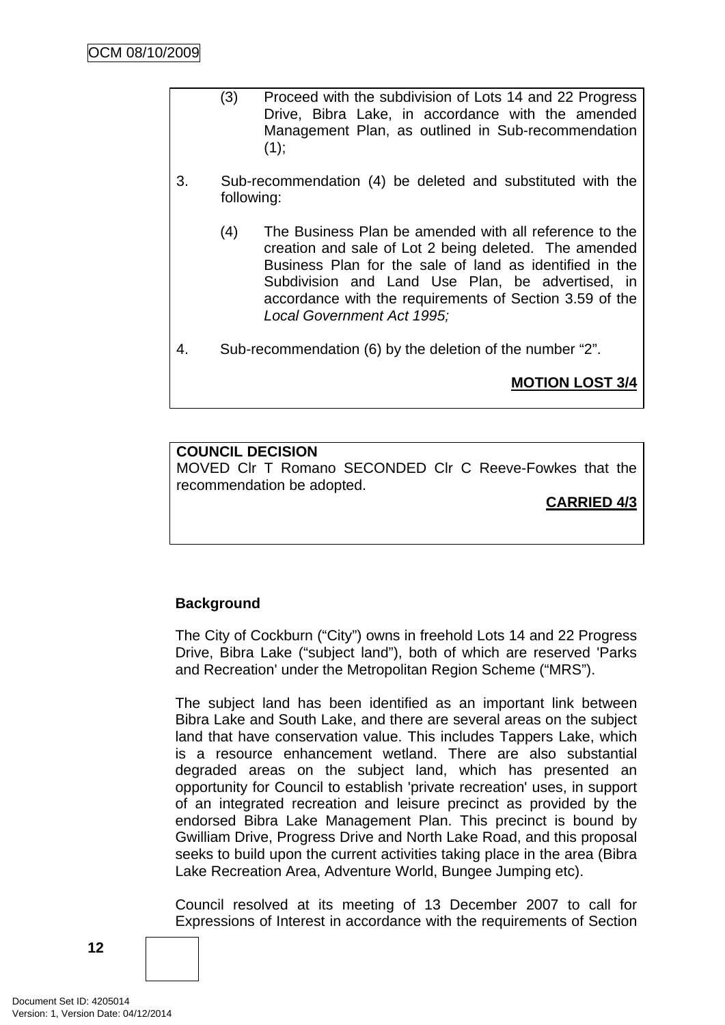- (3) Proceed with the subdivision of Lots 14 and 22 Progress Drive, Bibra Lake, in accordance with the amended Management Plan, as outlined in Sub-recommendation  $(1)$ ;
- 3. Sub-recommendation (4) be deleted and substituted with the following:
	- (4) The Business Plan be amended with all reference to the creation and sale of Lot 2 being deleted. The amended Business Plan for the sale of land as identified in the Subdivision and Land Use Plan, be advertised, in accordance with the requirements of Section 3.59 of the *Local Government Act 1995;*
- 4. Sub-recommendation (6) by the deletion of the number "2".

## **MOTION LOST 3/4**

## **COUNCIL DECISION**

MOVED Clr T Romano SECONDED Clr C Reeve-Fowkes that the recommendation be adopted.

**CARRIED 4/3**

## **Background**

The City of Cockburn ("City") owns in freehold Lots 14 and 22 Progress Drive, Bibra Lake ("subject land"), both of which are reserved 'Parks and Recreation' under the Metropolitan Region Scheme ("MRS").

The subject land has been identified as an important link between Bibra Lake and South Lake, and there are several areas on the subject land that have conservation value. This includes Tappers Lake, which is a resource enhancement wetland. There are also substantial degraded areas on the subject land, which has presented an opportunity for Council to establish 'private recreation' uses, in support of an integrated recreation and leisure precinct as provided by the endorsed Bibra Lake Management Plan. This precinct is bound by Gwilliam Drive, Progress Drive and North Lake Road, and this proposal seeks to build upon the current activities taking place in the area (Bibra Lake Recreation Area, Adventure World, Bungee Jumping etc).

Council resolved at its meeting of 13 December 2007 to call for Expressions of Interest in accordance with the requirements of Section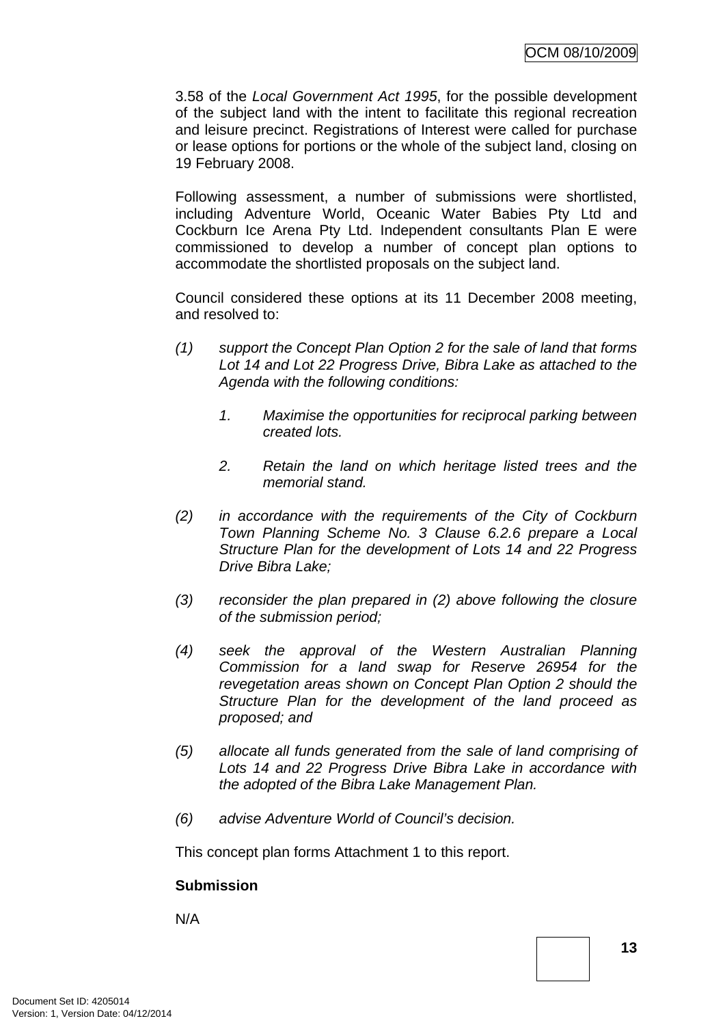3.58 of the *Local Government Act 1995*, for the possible development of the subject land with the intent to facilitate this regional recreation and leisure precinct. Registrations of Interest were called for purchase or lease options for portions or the whole of the subject land, closing on 19 February 2008.

Following assessment, a number of submissions were shortlisted, including Adventure World, Oceanic Water Babies Pty Ltd and Cockburn Ice Arena Pty Ltd. Independent consultants Plan E were commissioned to develop a number of concept plan options to accommodate the shortlisted proposals on the subject land.

Council considered these options at its 11 December 2008 meeting, and resolved to:

- *(1) support the Concept Plan Option 2 for the sale of land that forms Lot 14 and Lot 22 Progress Drive, Bibra Lake as attached to the Agenda with the following conditions:* 
	- *1. Maximise the opportunities for reciprocal parking between created lots.*
	- *2. Retain the land on which heritage listed trees and the memorial stand.*
- *(2) in accordance with the requirements of the City of Cockburn Town Planning Scheme No. 3 Clause 6.2.6 prepare a Local Structure Plan for the development of Lots 14 and 22 Progress Drive Bibra Lake;*
- *(3) reconsider the plan prepared in (2) above following the closure of the submission period;*
- *(4) seek the approval of the Western Australian Planning Commission for a land swap for Reserve 26954 for the revegetation areas shown on Concept Plan Option 2 should the Structure Plan for the development of the land proceed as proposed; and*
- *(5) allocate all funds generated from the sale of land comprising of Lots 14 and 22 Progress Drive Bibra Lake in accordance with the adopted of the Bibra Lake Management Plan.*
- *(6) advise Adventure World of Council's decision.*

This concept plan forms Attachment 1 to this report.

#### **Submission**

N/A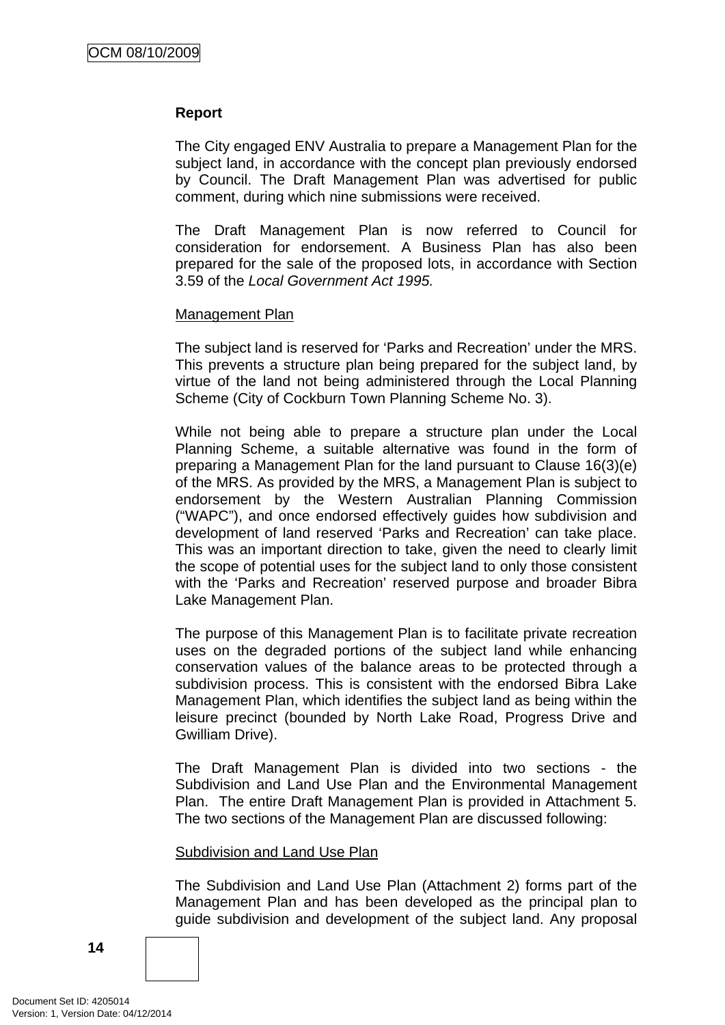#### **Report**

The City engaged ENV Australia to prepare a Management Plan for the subject land, in accordance with the concept plan previously endorsed by Council. The Draft Management Plan was advertised for public comment, during which nine submissions were received.

The Draft Management Plan is now referred to Council for consideration for endorsement. A Business Plan has also been prepared for the sale of the proposed lots, in accordance with Section 3.59 of the *Local Government Act 1995.*

#### Management Plan

The subject land is reserved for 'Parks and Recreation' under the MRS. This prevents a structure plan being prepared for the subject land, by virtue of the land not being administered through the Local Planning Scheme (City of Cockburn Town Planning Scheme No. 3).

While not being able to prepare a structure plan under the Local Planning Scheme, a suitable alternative was found in the form of preparing a Management Plan for the land pursuant to Clause 16(3)(e) of the MRS. As provided by the MRS, a Management Plan is subject to endorsement by the Western Australian Planning Commission ("WAPC"), and once endorsed effectively guides how subdivision and development of land reserved 'Parks and Recreation' can take place. This was an important direction to take, given the need to clearly limit the scope of potential uses for the subject land to only those consistent with the 'Parks and Recreation' reserved purpose and broader Bibra Lake Management Plan.

The purpose of this Management Plan is to facilitate private recreation uses on the degraded portions of the subject land while enhancing conservation values of the balance areas to be protected through a subdivision process. This is consistent with the endorsed Bibra Lake Management Plan, which identifies the subject land as being within the leisure precinct (bounded by North Lake Road, Progress Drive and Gwilliam Drive).

The Draft Management Plan is divided into two sections - the Subdivision and Land Use Plan and the Environmental Management Plan. The entire Draft Management Plan is provided in Attachment 5. The two sections of the Management Plan are discussed following:

#### Subdivision and Land Use Plan

The Subdivision and Land Use Plan (Attachment 2) forms part of the Management Plan and has been developed as the principal plan to guide subdivision and development of the subject land. Any proposal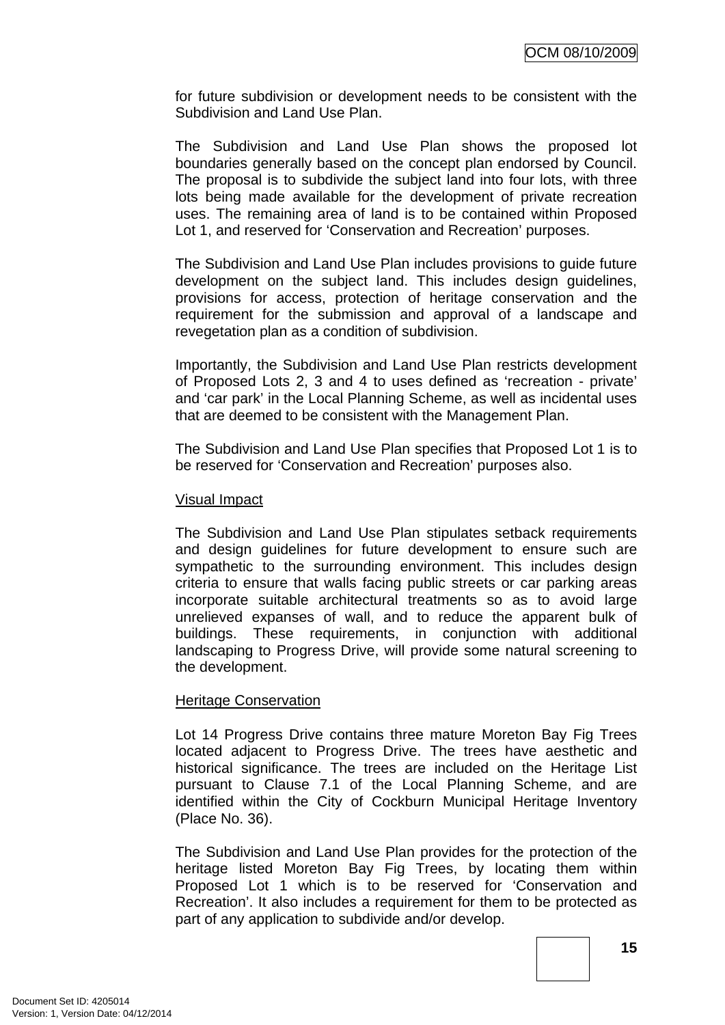for future subdivision or development needs to be consistent with the Subdivision and Land Use Plan.

The Subdivision and Land Use Plan shows the proposed lot boundaries generally based on the concept plan endorsed by Council. The proposal is to subdivide the subject land into four lots, with three lots being made available for the development of private recreation uses. The remaining area of land is to be contained within Proposed Lot 1, and reserved for 'Conservation and Recreation' purposes.

The Subdivision and Land Use Plan includes provisions to guide future development on the subject land. This includes design guidelines, provisions for access, protection of heritage conservation and the requirement for the submission and approval of a landscape and revegetation plan as a condition of subdivision.

Importantly, the Subdivision and Land Use Plan restricts development of Proposed Lots 2, 3 and 4 to uses defined as 'recreation - private' and 'car park' in the Local Planning Scheme, as well as incidental uses that are deemed to be consistent with the Management Plan.

The Subdivision and Land Use Plan specifies that Proposed Lot 1 is to be reserved for 'Conservation and Recreation' purposes also.

#### Visual Impact

The Subdivision and Land Use Plan stipulates setback requirements and design guidelines for future development to ensure such are sympathetic to the surrounding environment. This includes design criteria to ensure that walls facing public streets or car parking areas incorporate suitable architectural treatments so as to avoid large unrelieved expanses of wall, and to reduce the apparent bulk of buildings. These requirements, in conjunction with additional landscaping to Progress Drive, will provide some natural screening to the development.

#### Heritage Conservation

Lot 14 Progress Drive contains three mature Moreton Bay Fig Trees located adjacent to Progress Drive. The trees have aesthetic and historical significance. The trees are included on the Heritage List pursuant to Clause 7.1 of the Local Planning Scheme, and are identified within the City of Cockburn Municipal Heritage Inventory (Place No. 36).

The Subdivision and Land Use Plan provides for the protection of the heritage listed Moreton Bay Fig Trees, by locating them within Proposed Lot 1 which is to be reserved for 'Conservation and Recreation'. It also includes a requirement for them to be protected as part of any application to subdivide and/or develop.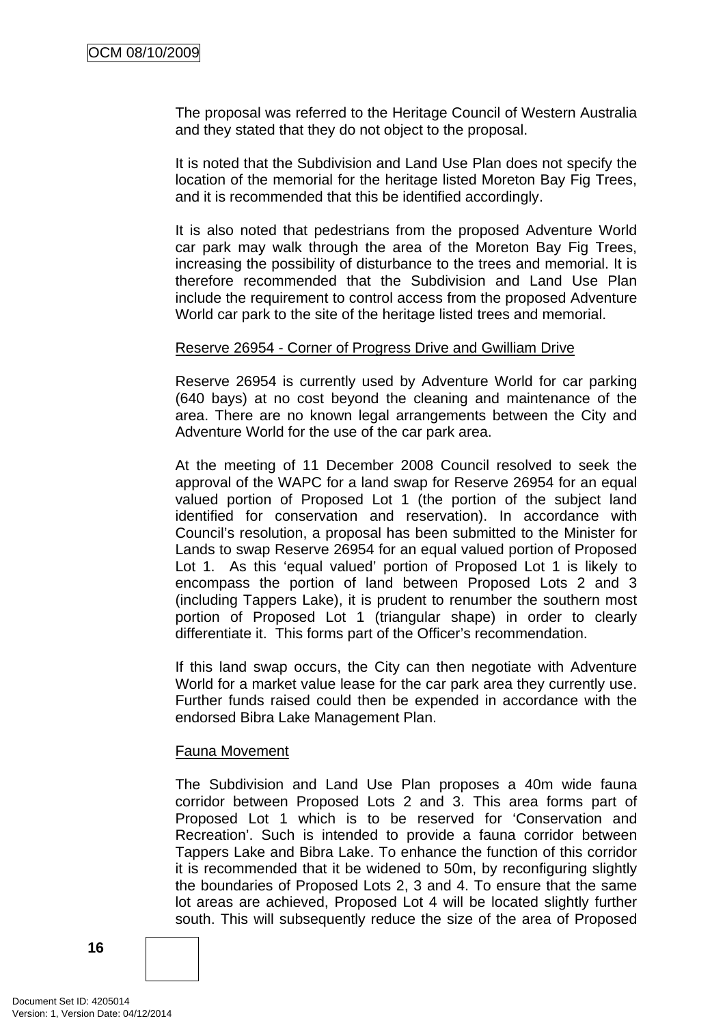The proposal was referred to the Heritage Council of Western Australia and they stated that they do not object to the proposal.

It is noted that the Subdivision and Land Use Plan does not specify the location of the memorial for the heritage listed Moreton Bay Fig Trees, and it is recommended that this be identified accordingly.

It is also noted that pedestrians from the proposed Adventure World car park may walk through the area of the Moreton Bay Fig Trees, increasing the possibility of disturbance to the trees and memorial. It is therefore recommended that the Subdivision and Land Use Plan include the requirement to control access from the proposed Adventure World car park to the site of the heritage listed trees and memorial.

#### Reserve 26954 - Corner of Progress Drive and Gwilliam Drive

Reserve 26954 is currently used by Adventure World for car parking (640 bays) at no cost beyond the cleaning and maintenance of the area. There are no known legal arrangements between the City and Adventure World for the use of the car park area.

At the meeting of 11 December 2008 Council resolved to seek the approval of the WAPC for a land swap for Reserve 26954 for an equal valued portion of Proposed Lot 1 (the portion of the subject land identified for conservation and reservation). In accordance with Council's resolution, a proposal has been submitted to the Minister for Lands to swap Reserve 26954 for an equal valued portion of Proposed Lot 1. As this 'equal valued' portion of Proposed Lot 1 is likely to encompass the portion of land between Proposed Lots 2 and 3 (including Tappers Lake), it is prudent to renumber the southern most portion of Proposed Lot 1 (triangular shape) in order to clearly differentiate it. This forms part of the Officer's recommendation.

If this land swap occurs, the City can then negotiate with Adventure World for a market value lease for the car park area they currently use. Further funds raised could then be expended in accordance with the endorsed Bibra Lake Management Plan.

#### Fauna Movement

The Subdivision and Land Use Plan proposes a 40m wide fauna corridor between Proposed Lots 2 and 3. This area forms part of Proposed Lot 1 which is to be reserved for 'Conservation and Recreation'. Such is intended to provide a fauna corridor between Tappers Lake and Bibra Lake. To enhance the function of this corridor it is recommended that it be widened to 50m, by reconfiguring slightly the boundaries of Proposed Lots 2, 3 and 4. To ensure that the same lot areas are achieved, Proposed Lot 4 will be located slightly further south. This will subsequently reduce the size of the area of Proposed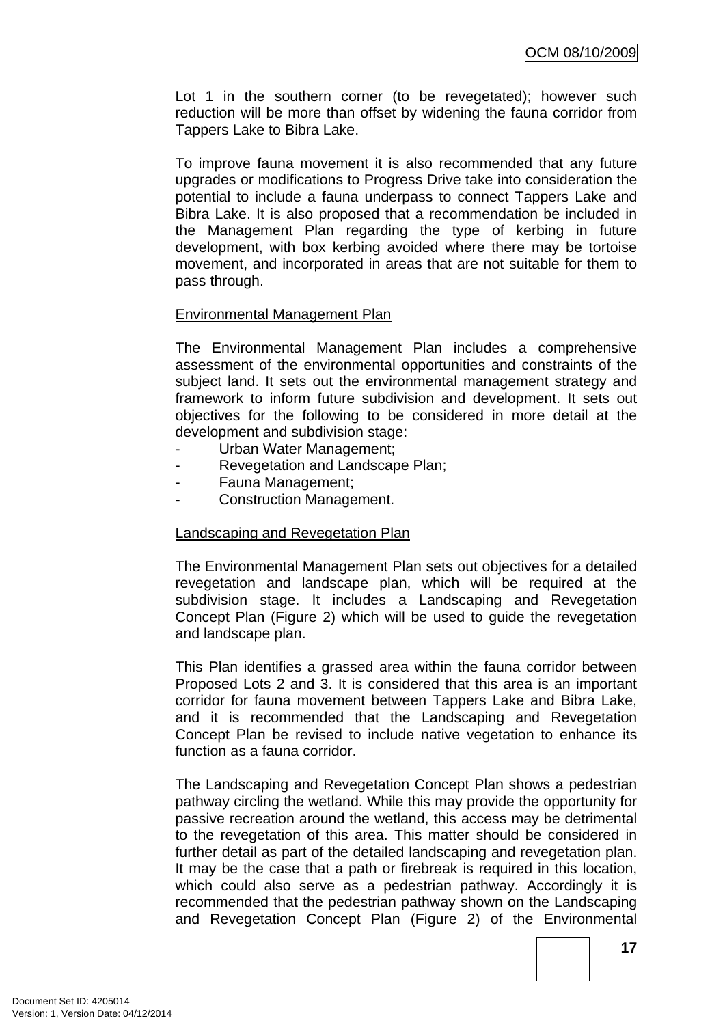Lot 1 in the southern corner (to be revegetated); however such reduction will be more than offset by widening the fauna corridor from Tappers Lake to Bibra Lake.

To improve fauna movement it is also recommended that any future upgrades or modifications to Progress Drive take into consideration the potential to include a fauna underpass to connect Tappers Lake and Bibra Lake. It is also proposed that a recommendation be included in the Management Plan regarding the type of kerbing in future development, with box kerbing avoided where there may be tortoise movement, and incorporated in areas that are not suitable for them to pass through.

#### Environmental Management Plan

The Environmental Management Plan includes a comprehensive assessment of the environmental opportunities and constraints of the subject land. It sets out the environmental management strategy and framework to inform future subdivision and development. It sets out objectives for the following to be considered in more detail at the development and subdivision stage:

- Urban Water Management:
- Revegetation and Landscape Plan;
- Fauna Management;
- Construction Management.

#### Landscaping and Revegetation Plan

The Environmental Management Plan sets out objectives for a detailed revegetation and landscape plan, which will be required at the subdivision stage. It includes a Landscaping and Revegetation Concept Plan (Figure 2) which will be used to guide the revegetation and landscape plan.

This Plan identifies a grassed area within the fauna corridor between Proposed Lots 2 and 3. It is considered that this area is an important corridor for fauna movement between Tappers Lake and Bibra Lake, and it is recommended that the Landscaping and Revegetation Concept Plan be revised to include native vegetation to enhance its function as a fauna corridor.

The Landscaping and Revegetation Concept Plan shows a pedestrian pathway circling the wetland. While this may provide the opportunity for passive recreation around the wetland, this access may be detrimental to the revegetation of this area. This matter should be considered in further detail as part of the detailed landscaping and revegetation plan. It may be the case that a path or firebreak is required in this location, which could also serve as a pedestrian pathway. Accordingly it is recommended that the pedestrian pathway shown on the Landscaping and Revegetation Concept Plan (Figure 2) of the Environmental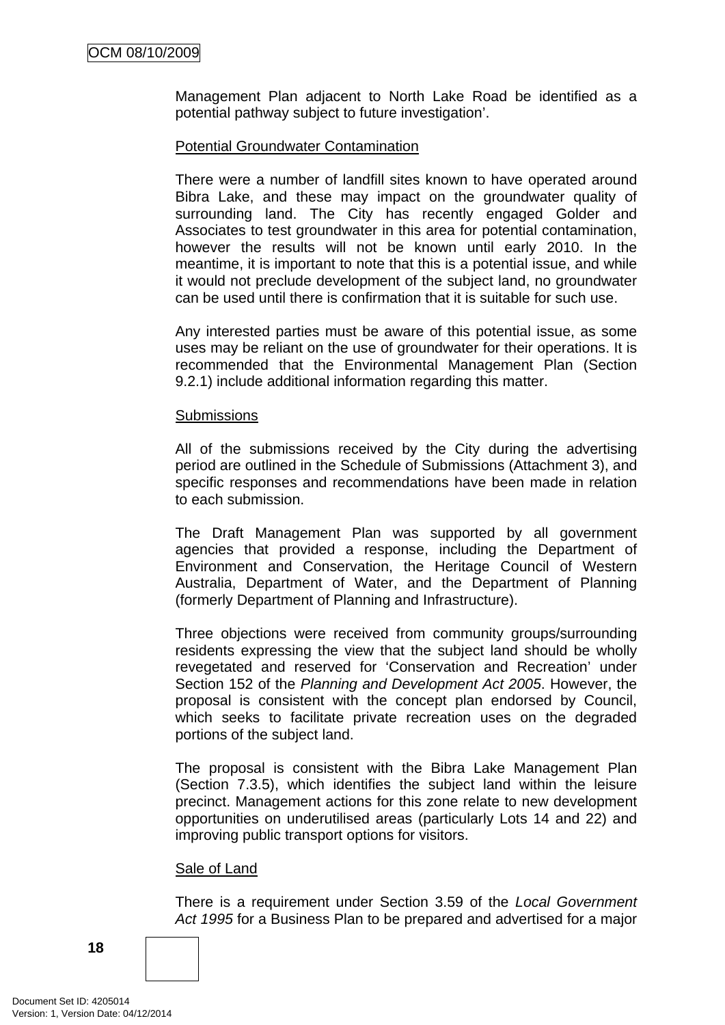Management Plan adjacent to North Lake Road be identified as a potential pathway subject to future investigation'.

#### Potential Groundwater Contamination

There were a number of landfill sites known to have operated around Bibra Lake, and these may impact on the groundwater quality of surrounding land. The City has recently engaged Golder and Associates to test groundwater in this area for potential contamination, however the results will not be known until early 2010. In the meantime, it is important to note that this is a potential issue, and while it would not preclude development of the subject land, no groundwater can be used until there is confirmation that it is suitable for such use.

Any interested parties must be aware of this potential issue, as some uses may be reliant on the use of groundwater for their operations. It is recommended that the Environmental Management Plan (Section 9.2.1) include additional information regarding this matter.

#### **Submissions**

All of the submissions received by the City during the advertising period are outlined in the Schedule of Submissions (Attachment 3), and specific responses and recommendations have been made in relation to each submission.

The Draft Management Plan was supported by all government agencies that provided a response, including the Department of Environment and Conservation, the Heritage Council of Western Australia, Department of Water, and the Department of Planning (formerly Department of Planning and Infrastructure).

Three objections were received from community groups/surrounding residents expressing the view that the subject land should be wholly revegetated and reserved for 'Conservation and Recreation' under Section 152 of the *Planning and Development Act 2005*. However, the proposal is consistent with the concept plan endorsed by Council, which seeks to facilitate private recreation uses on the degraded portions of the subject land.

The proposal is consistent with the Bibra Lake Management Plan (Section 7.3.5), which identifies the subject land within the leisure precinct. Management actions for this zone relate to new development opportunities on underutilised areas (particularly Lots 14 and 22) and improving public transport options for visitors.

#### Sale of Land

There is a requirement under Section 3.59 of the *Local Government Act 1995* for a Business Plan to be prepared and advertised for a major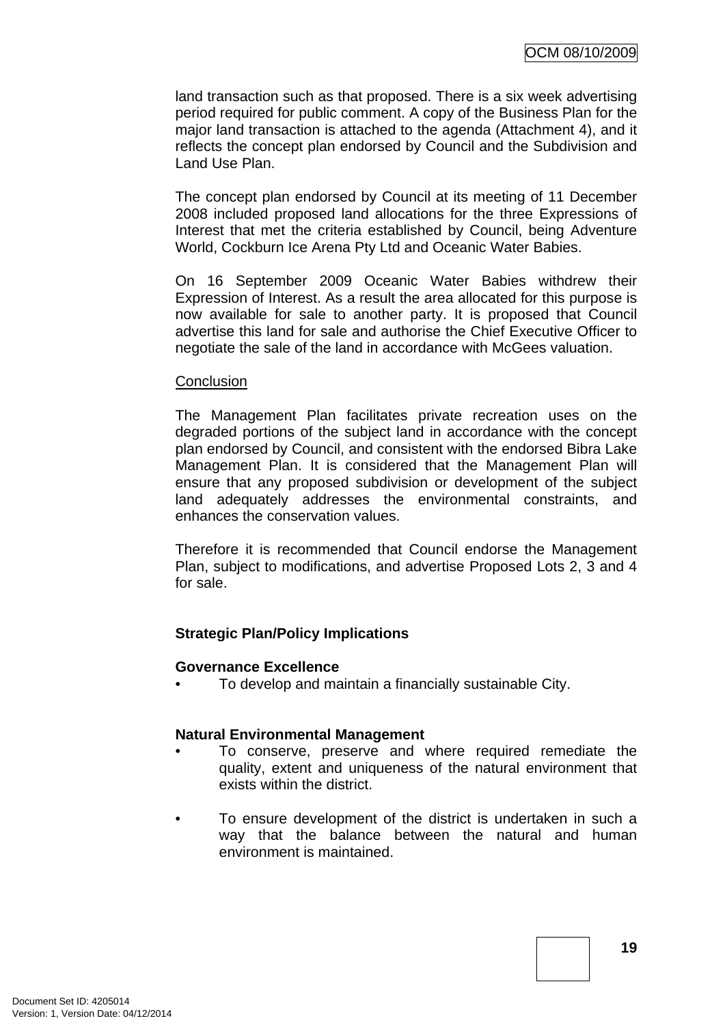land transaction such as that proposed. There is a six week advertising period required for public comment. A copy of the Business Plan for the major land transaction is attached to the agenda (Attachment 4), and it reflects the concept plan endorsed by Council and the Subdivision and Land Use Plan.

The concept plan endorsed by Council at its meeting of 11 December 2008 included proposed land allocations for the three Expressions of Interest that met the criteria established by Council, being Adventure World, Cockburn Ice Arena Pty Ltd and Oceanic Water Babies.

On 16 September 2009 Oceanic Water Babies withdrew their Expression of Interest. As a result the area allocated for this purpose is now available for sale to another party. It is proposed that Council advertise this land for sale and authorise the Chief Executive Officer to negotiate the sale of the land in accordance with McGees valuation.

#### **Conclusion**

The Management Plan facilitates private recreation uses on the degraded portions of the subject land in accordance with the concept plan endorsed by Council, and consistent with the endorsed Bibra Lake Management Plan. It is considered that the Management Plan will ensure that any proposed subdivision or development of the subject land adequately addresses the environmental constraints, and enhances the conservation values.

Therefore it is recommended that Council endorse the Management Plan, subject to modifications, and advertise Proposed Lots 2, 3 and 4 for sale.

## **Strategic Plan/Policy Implications**

#### **Governance Excellence**

• To develop and maintain a financially sustainable City.

#### **Natural Environmental Management**

- To conserve, preserve and where required remediate the quality, extent and uniqueness of the natural environment that exists within the district.
- To ensure development of the district is undertaken in such a way that the balance between the natural and human environment is maintained.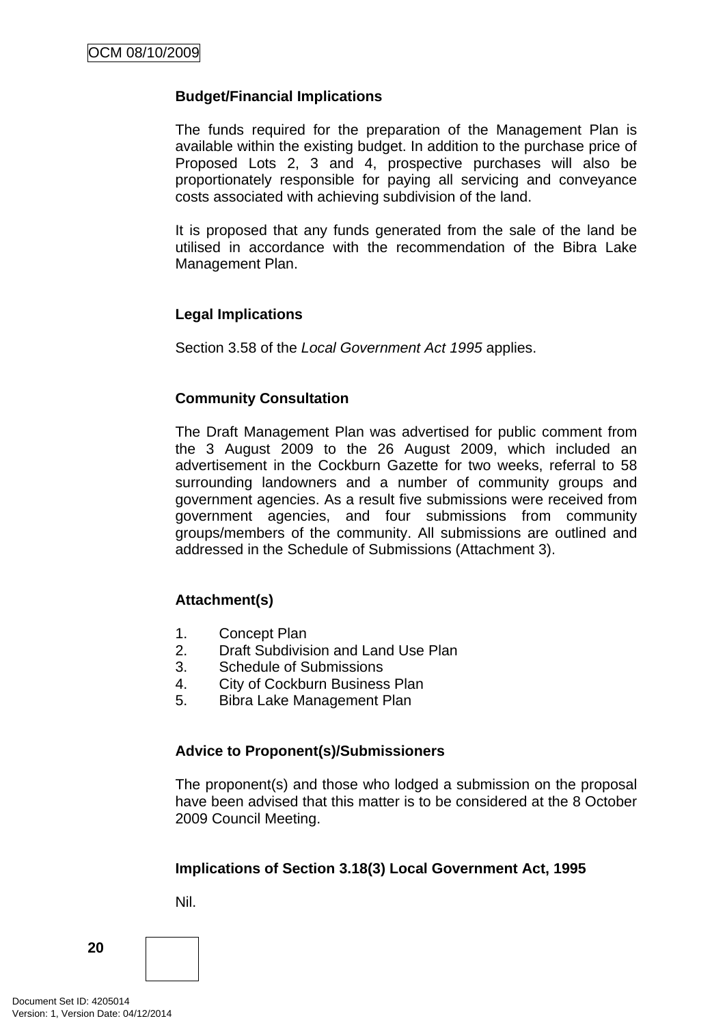### **Budget/Financial Implications**

The funds required for the preparation of the Management Plan is available within the existing budget. In addition to the purchase price of Proposed Lots 2, 3 and 4, prospective purchases will also be proportionately responsible for paying all servicing and conveyance costs associated with achieving subdivision of the land.

It is proposed that any funds generated from the sale of the land be utilised in accordance with the recommendation of the Bibra Lake Management Plan.

#### **Legal Implications**

Section 3.58 of the *Local Government Act 1995* applies.

## **Community Consultation**

The Draft Management Plan was advertised for public comment from the 3 August 2009 to the 26 August 2009, which included an advertisement in the Cockburn Gazette for two weeks, referral to 58 surrounding landowners and a number of community groups and government agencies. As a result five submissions were received from government agencies, and four submissions from community groups/members of the community. All submissions are outlined and addressed in the Schedule of Submissions (Attachment 3).

#### **Attachment(s)**

- 1. Concept Plan
- 2. Draft Subdivision and Land Use Plan
- 3. Schedule of Submissions
- 4. City of Cockburn Business Plan
- 5. Bibra Lake Management Plan

#### **Advice to Proponent(s)/Submissioners**

The proponent(s) and those who lodged a submission on the proposal have been advised that this matter is to be considered at the 8 October 2009 Council Meeting.

## **Implications of Section 3.18(3) Local Government Act, 1995**

Nil.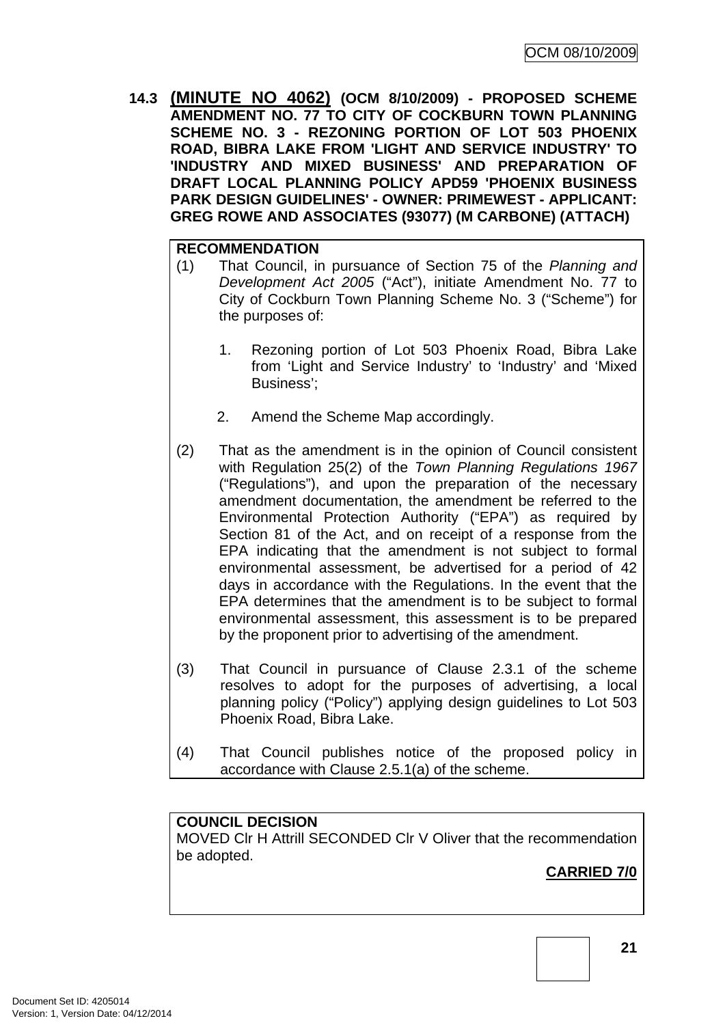<span id="page-24-0"></span>**14.3 (MINUTE NO 4062) (OCM 8/10/2009) - PROPOSED SCHEME AMENDMENT NO. 77 TO CITY OF COCKBURN TOWN PLANNING SCHEME NO. 3 - REZONING PORTION OF LOT 503 PHOENIX ROAD, BIBRA LAKE FROM 'LIGHT AND SERVICE INDUSTRY' TO 'INDUSTRY AND MIXED BUSINESS' AND PREPARATION OF DRAFT LOCAL PLANNING POLICY APD59 'PHOENIX BUSINESS PARK DESIGN GUIDELINES' - OWNER: PRIMEWEST - APPLICANT: GREG ROWE AND ASSOCIATES (93077) (M CARBONE) (ATTACH)** 

#### **RECOMMENDATION**

- (1) That Council, in pursuance of Section 75 of the *Planning and Development Act 2005* ("Act"), initiate Amendment No. 77 to City of Cockburn Town Planning Scheme No. 3 ("Scheme") for the purposes of:
	- 1. Rezoning portion of Lot 503 Phoenix Road, Bibra Lake from 'Light and Service Industry' to 'Industry' and 'Mixed Business';
	- 2. Amend the Scheme Map accordingly.
- (2) That as the amendment is in the opinion of Council consistent with Regulation 25(2) of the *Town Planning Regulations 1967* ("Regulations"), and upon the preparation of the necessary amendment documentation, the amendment be referred to the Environmental Protection Authority ("EPA") as required by Section 81 of the Act, and on receipt of a response from the EPA indicating that the amendment is not subject to formal environmental assessment, be advertised for a period of 42 days in accordance with the Regulations. In the event that the EPA determines that the amendment is to be subject to formal environmental assessment, this assessment is to be prepared by the proponent prior to advertising of the amendment.
- (3) That Council in pursuance of Clause 2.3.1 of the scheme resolves to adopt for the purposes of advertising, a local planning policy ("Policy") applying design guidelines to Lot 503 Phoenix Road, Bibra Lake.
- (4) That Council publishes notice of the proposed policy in accordance with Clause 2.5.1(a) of the scheme.

#### **COUNCIL DECISION**

MOVED Clr H Attrill SECONDED Clr V Oliver that the recommendation be adopted.

# **CARRIED 7/0**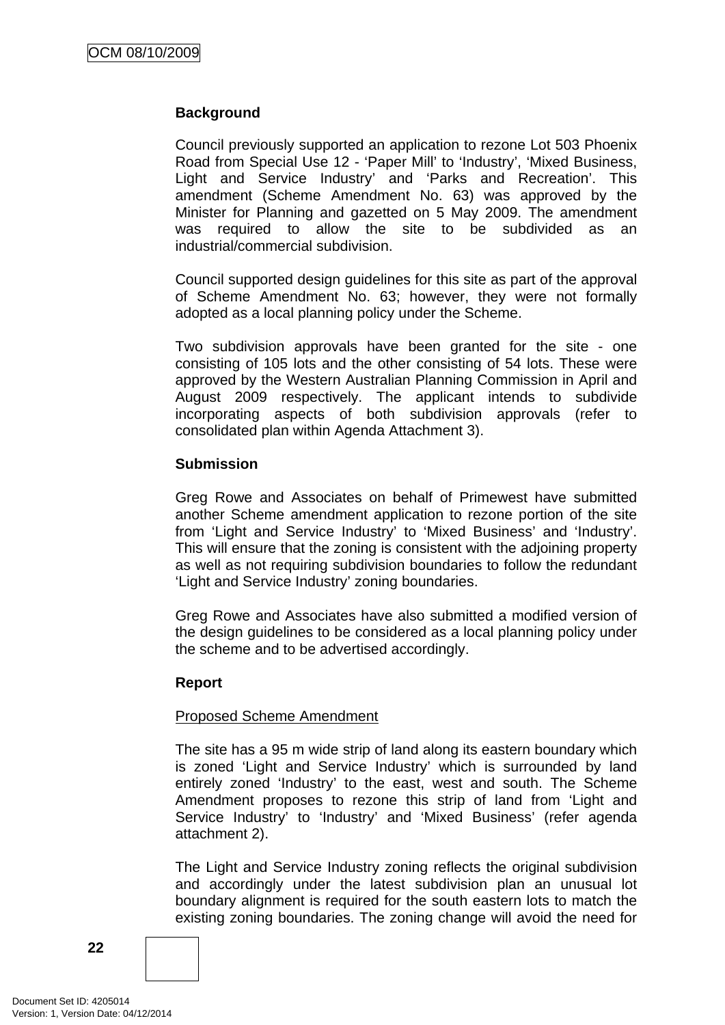## **Background**

Council previously supported an application to rezone Lot 503 Phoenix Road from Special Use 12 - 'Paper Mill' to 'Industry', 'Mixed Business, Light and Service Industry' and 'Parks and Recreation'. This amendment (Scheme Amendment No. 63) was approved by the Minister for Planning and gazetted on 5 May 2009. The amendment was required to allow the site to be subdivided as an industrial/commercial subdivision.

Council supported design guidelines for this site as part of the approval of Scheme Amendment No. 63; however, they were not formally adopted as a local planning policy under the Scheme.

Two subdivision approvals have been granted for the site - one consisting of 105 lots and the other consisting of 54 lots. These were approved by the Western Australian Planning Commission in April and August 2009 respectively. The applicant intends to subdivide incorporating aspects of both subdivision approvals (refer to consolidated plan within Agenda Attachment 3).

#### **Submission**

Greg Rowe and Associates on behalf of Primewest have submitted another Scheme amendment application to rezone portion of the site from 'Light and Service Industry' to 'Mixed Business' and 'Industry'. This will ensure that the zoning is consistent with the adjoining property as well as not requiring subdivision boundaries to follow the redundant 'Light and Service Industry' zoning boundaries.

Greg Rowe and Associates have also submitted a modified version of the design guidelines to be considered as a local planning policy under the scheme and to be advertised accordingly.

#### **Report**

#### Proposed Scheme Amendment

The site has a 95 m wide strip of land along its eastern boundary which is zoned 'Light and Service Industry' which is surrounded by land entirely zoned 'Industry' to the east, west and south. The Scheme Amendment proposes to rezone this strip of land from 'Light and Service Industry' to 'Industry' and 'Mixed Business' (refer agenda attachment 2).

The Light and Service Industry zoning reflects the original subdivision and accordingly under the latest subdivision plan an unusual lot boundary alignment is required for the south eastern lots to match the existing zoning boundaries. The zoning change will avoid the need for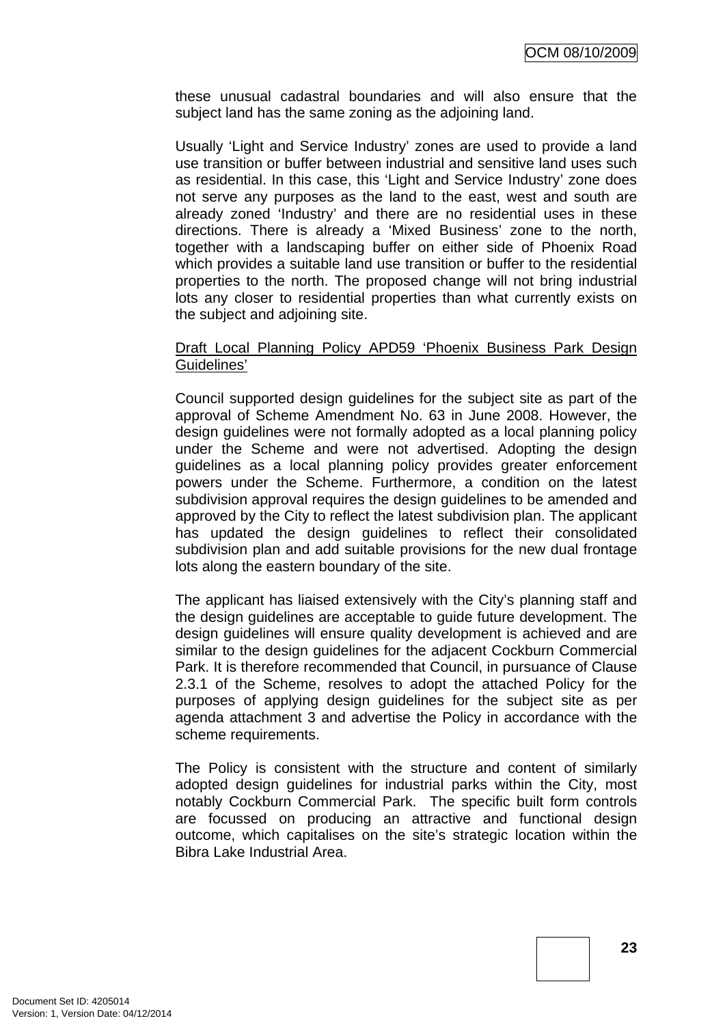these unusual cadastral boundaries and will also ensure that the subject land has the same zoning as the adjoining land.

Usually 'Light and Service Industry' zones are used to provide a land use transition or buffer between industrial and sensitive land uses such as residential. In this case, this 'Light and Service Industry' zone does not serve any purposes as the land to the east, west and south are already zoned 'Industry' and there are no residential uses in these directions. There is already a 'Mixed Business' zone to the north, together with a landscaping buffer on either side of Phoenix Road which provides a suitable land use transition or buffer to the residential properties to the north. The proposed change will not bring industrial lots any closer to residential properties than what currently exists on the subject and adjoining site.

#### Draft Local Planning Policy APD59 'Phoenix Business Park Design Guidelines'

Council supported design guidelines for the subject site as part of the approval of Scheme Amendment No. 63 in June 2008. However, the design guidelines were not formally adopted as a local planning policy under the Scheme and were not advertised. Adopting the design guidelines as a local planning policy provides greater enforcement powers under the Scheme. Furthermore, a condition on the latest subdivision approval requires the design guidelines to be amended and approved by the City to reflect the latest subdivision plan. The applicant has updated the design guidelines to reflect their consolidated subdivision plan and add suitable provisions for the new dual frontage lots along the eastern boundary of the site.

The applicant has liaised extensively with the City's planning staff and the design guidelines are acceptable to guide future development. The design guidelines will ensure quality development is achieved and are similar to the design guidelines for the adjacent Cockburn Commercial Park. It is therefore recommended that Council, in pursuance of Clause 2.3.1 of the Scheme, resolves to adopt the attached Policy for the purposes of applying design guidelines for the subject site as per agenda attachment 3 and advertise the Policy in accordance with the scheme requirements.

The Policy is consistent with the structure and content of similarly adopted design guidelines for industrial parks within the City, most notably Cockburn Commercial Park. The specific built form controls are focussed on producing an attractive and functional design outcome, which capitalises on the site's strategic location within the Bibra Lake Industrial Area.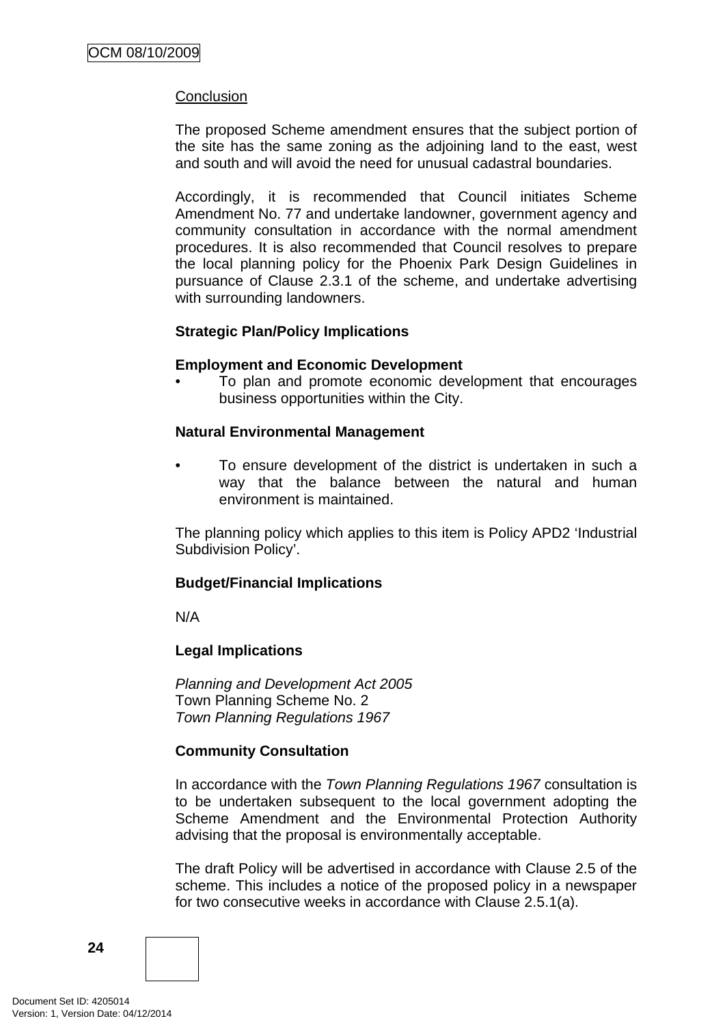#### **Conclusion**

The proposed Scheme amendment ensures that the subject portion of the site has the same zoning as the adjoining land to the east, west and south and will avoid the need for unusual cadastral boundaries.

Accordingly, it is recommended that Council initiates Scheme Amendment No. 77 and undertake landowner, government agency and community consultation in accordance with the normal amendment procedures. It is also recommended that Council resolves to prepare the local planning policy for the Phoenix Park Design Guidelines in pursuance of Clause 2.3.1 of the scheme, and undertake advertising with surrounding landowners.

#### **Strategic Plan/Policy Implications**

#### **Employment and Economic Development**

• To plan and promote economic development that encourages business opportunities within the City.

#### **Natural Environmental Management**

• To ensure development of the district is undertaken in such a way that the balance between the natural and human environment is maintained.

The planning policy which applies to this item is Policy APD2 'Industrial Subdivision Policy'.

#### **Budget/Financial Implications**

N/A

#### **Legal Implications**

*Planning and Development Act 2005*  Town Planning Scheme No. 2 *Town Planning Regulations 1967* 

#### **Community Consultation**

In accordance with the *Town Planning Regulations 1967* consultation is to be undertaken subsequent to the local government adopting the Scheme Amendment and the Environmental Protection Authority advising that the proposal is environmentally acceptable.

The draft Policy will be advertised in accordance with Clause 2.5 of the scheme. This includes a notice of the proposed policy in a newspaper for two consecutive weeks in accordance with Clause 2.5.1(a).

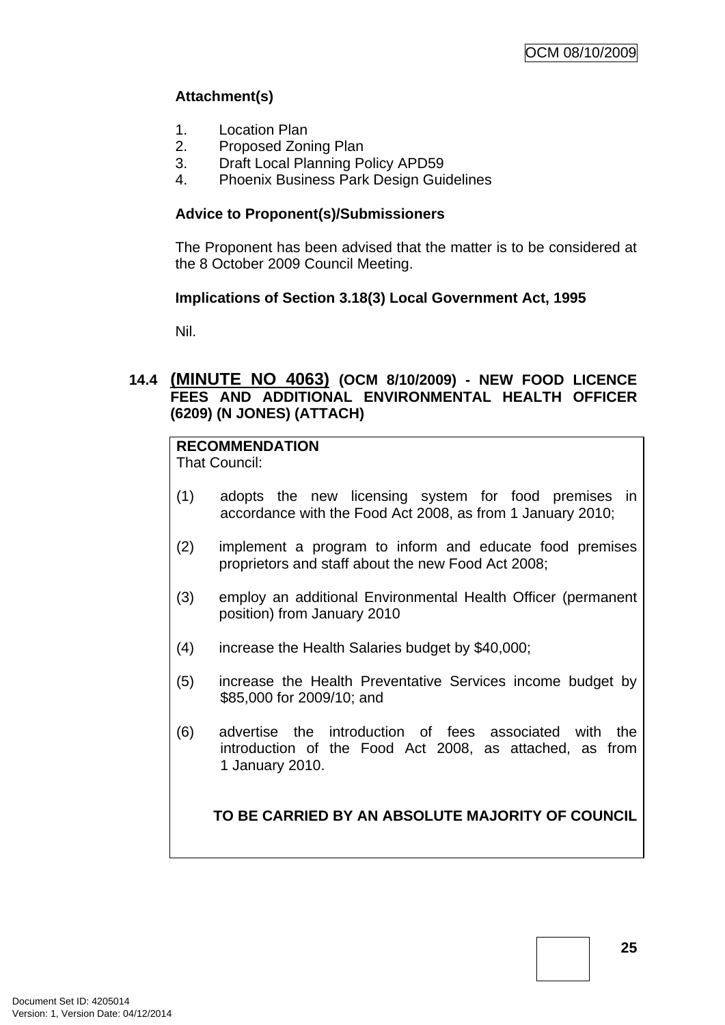## <span id="page-28-0"></span>**Attachment(s)**

- 1. Location Plan
- 2. Proposed Zoning Plan
- 3. Draft Local Planning Policy APD59
- 4. Phoenix Business Park Design Guidelines

## **Advice to Proponent(s)/Submissioners**

The Proponent has been advised that the matter is to be considered at the 8 October 2009 Council Meeting.

## **Implications of Section 3.18(3) Local Government Act, 1995**

Nil.

## **14.4 (MINUTE NO 4063) (OCM 8/10/2009) - NEW FOOD LICENCE FEES AND ADDITIONAL ENVIRONMENTAL HEALTH OFFICER (6209) (N JONES) (ATTACH)**

## **RECOMMENDATION**

That Council:

- (1) adopts the new licensing system for food premises in accordance with the Food Act 2008, as from 1 January 2010;
- (2) implement a program to inform and educate food premises proprietors and staff about the new Food Act 2008;
- (3) employ an additional Environmental Health Officer (permanent position) from January 2010
- (4) increase the Health Salaries budget by \$40,000;
- (5) increase the Health Preventative Services income budget by \$85,000 for 2009/10; and
- (6) advertise the introduction of fees associated with the introduction of the Food Act 2008, as attached, as from 1 January 2010.

**TO BE CARRIED BY AN ABSOLUTE MAJORITY OF COUNCIL**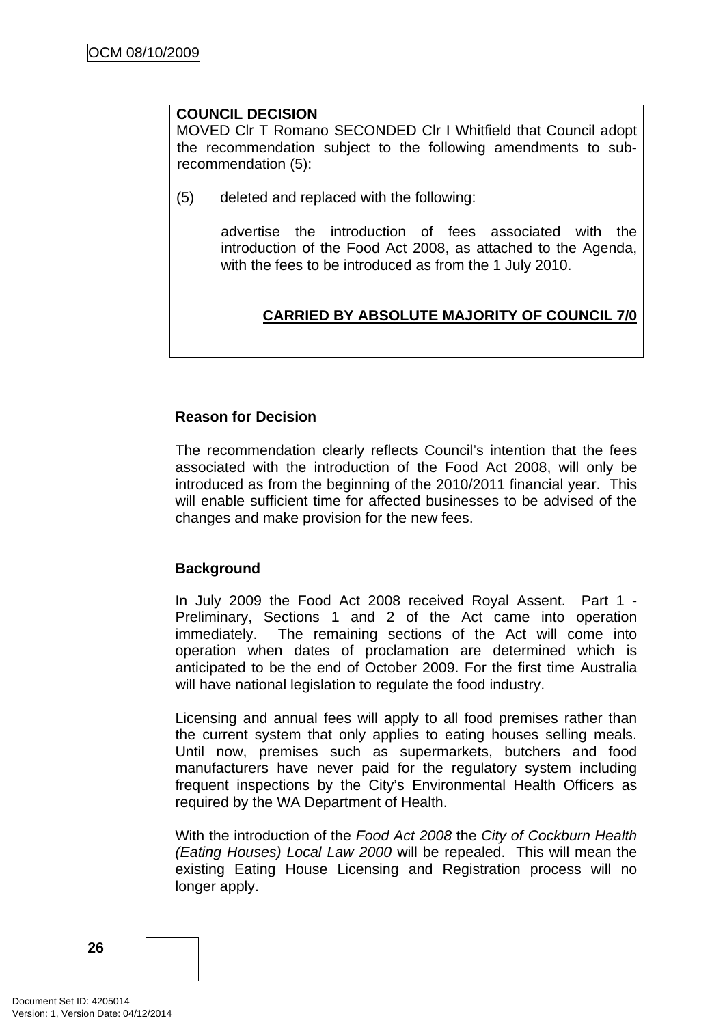#### **COUNCIL DECISION**

MOVED Clr T Romano SECONDED Clr I Whitfield that Council adopt the recommendation subject to the following amendments to subrecommendation (5):

(5) deleted and replaced with the following:

 advertise the introduction of fees associated with the introduction of the Food Act 2008, as attached to the Agenda, with the fees to be introduced as from the 1 July 2010.

## **CARRIED BY ABSOLUTE MAJORITY OF COUNCIL 7/0**

#### **Reason for Decision**

The recommendation clearly reflects Council's intention that the fees associated with the introduction of the Food Act 2008, will only be introduced as from the beginning of the 2010/2011 financial year. This will enable sufficient time for affected businesses to be advised of the changes and make provision for the new fees.

#### **Background**

In July 2009 the Food Act 2008 received Royal Assent. Part 1 - Preliminary, Sections 1 and 2 of the Act came into operation immediately. The remaining sections of the Act will come into operation when dates of proclamation are determined which is anticipated to be the end of October 2009. For the first time Australia will have national legislation to regulate the food industry.

Licensing and annual fees will apply to all food premises rather than the current system that only applies to eating houses selling meals. Until now, premises such as supermarkets, butchers and food manufacturers have never paid for the regulatory system including frequent inspections by the City's Environmental Health Officers as required by the WA Department of Health.

With the introduction of the *Food Act 2008* the *City of Cockburn Health (Eating Houses) Local Law 2000* will be repealed. This will mean the existing Eating House Licensing and Registration process will no longer apply.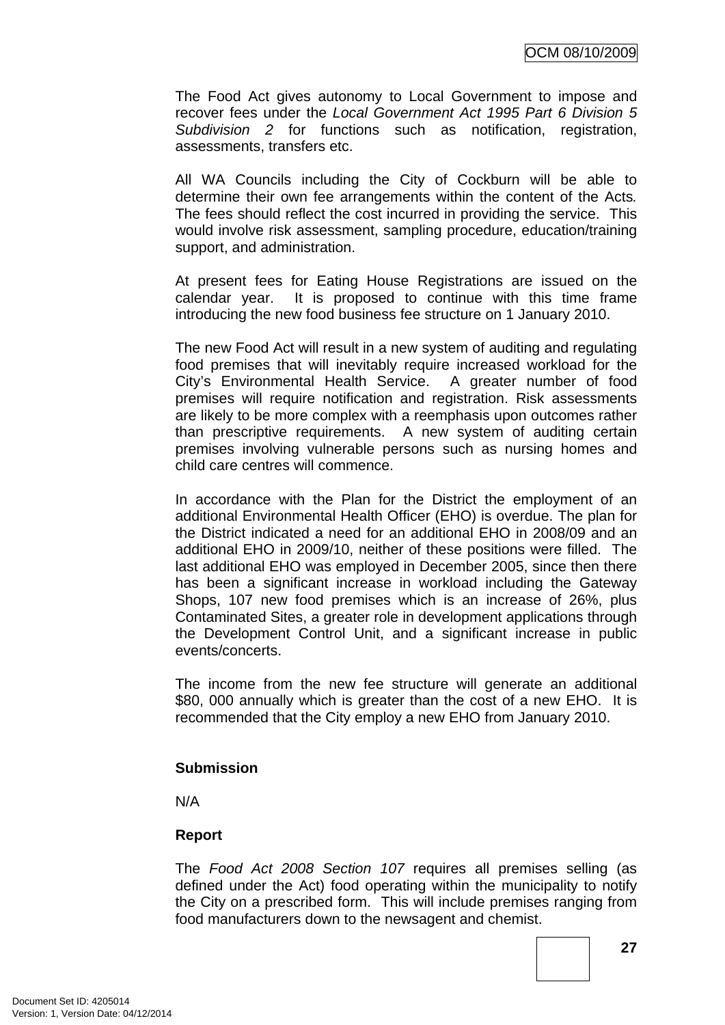The Food Act gives autonomy to Local Government to impose and recover fees under the *Local Government Act 1995 Part 6 Division 5 Subdivision 2* for functions such as notification, registration, assessments, transfers etc.

All WA Councils including the City of Cockburn will be able to determine their own fee arrangements within the content of the Acts*.* The fees should reflect the cost incurred in providing the service. This would involve risk assessment, sampling procedure, education/training support, and administration.

At present fees for Eating House Registrations are issued on the calendar year. It is proposed to continue with this time frame introducing the new food business fee structure on 1 January 2010.

The new Food Act will result in a new system of auditing and regulating food premises that will inevitably require increased workload for the City's Environmental Health Service. A greater number of food premises will require notification and registration. Risk assessments are likely to be more complex with a reemphasis upon outcomes rather than prescriptive requirements. A new system of auditing certain premises involving vulnerable persons such as nursing homes and child care centres will commence.

In accordance with the Plan for the District the employment of an additional Environmental Health Officer (EHO) is overdue. The plan for the District indicated a need for an additional EHO in 2008/09 and an additional EHO in 2009/10, neither of these positions were filled. The last additional EHO was employed in December 2005, since then there has been a significant increase in workload including the Gateway Shops, 107 new food premises which is an increase of 26%, plus Contaminated Sites, a greater role in development applications through the Development Control Unit, and a significant increase in public events/concerts.

The income from the new fee structure will generate an additional \$80, 000 annually which is greater than the cost of a new EHO. It is recommended that the City employ a new EHO from January 2010.

#### **Submission**

N/A

#### **Report**

The *Food Act 2008 Section 107* requires all premises selling (as defined under the Act) food operating within the municipality to notify the City on a prescribed form. This will include premises ranging from food manufacturers down to the newsagent and chemist.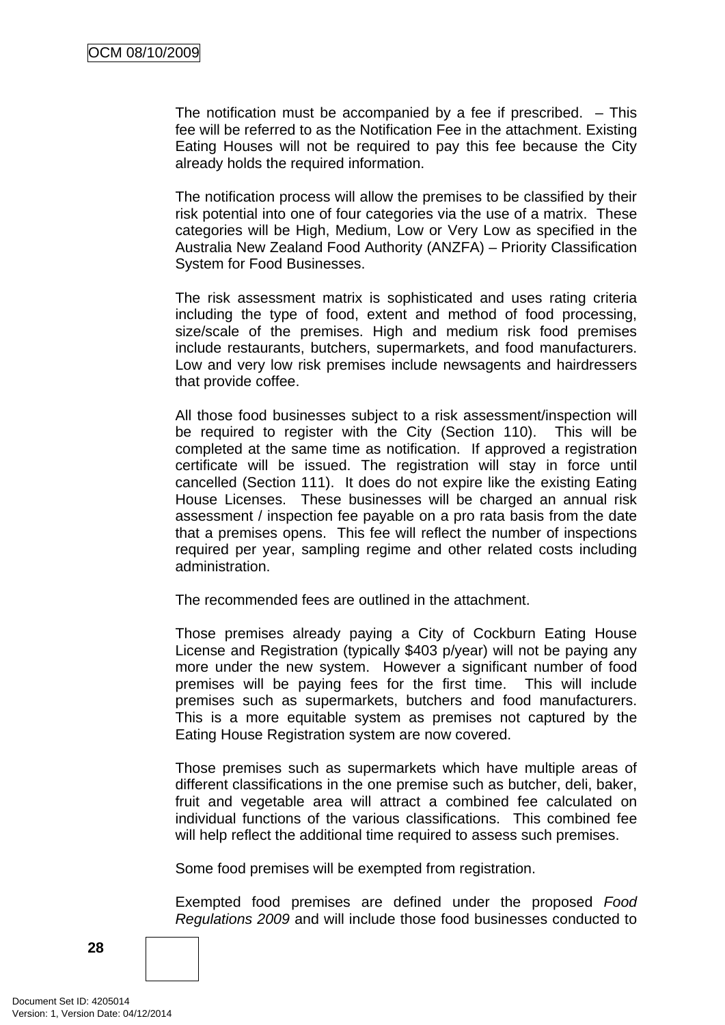The notification must be accompanied by a fee if prescribed.  $-$  This fee will be referred to as the Notification Fee in the attachment. Existing Eating Houses will not be required to pay this fee because the City already holds the required information.

The notification process will allow the premises to be classified by their risk potential into one of four categories via the use of a matrix. These categories will be High, Medium, Low or Very Low as specified in the Australia New Zealand Food Authority (ANZFA) – Priority Classification System for Food Businesses.

The risk assessment matrix is sophisticated and uses rating criteria including the type of food, extent and method of food processing, size/scale of the premises. High and medium risk food premises include restaurants, butchers, supermarkets, and food manufacturers. Low and very low risk premises include newsagents and hairdressers that provide coffee.

All those food businesses subject to a risk assessment/inspection will be required to register with the City (Section 110). This will be completed at the same time as notification. If approved a registration certificate will be issued. The registration will stay in force until cancelled (Section 111). It does do not expire like the existing Eating House Licenses. These businesses will be charged an annual risk assessment / inspection fee payable on a pro rata basis from the date that a premises opens. This fee will reflect the number of inspections required per year, sampling regime and other related costs including administration.

The recommended fees are outlined in the attachment.

Those premises already paying a City of Cockburn Eating House License and Registration (typically \$403 p/year) will not be paying any more under the new system. However a significant number of food premises will be paying fees for the first time. This will include premises such as supermarkets, butchers and food manufacturers. This is a more equitable system as premises not captured by the Eating House Registration system are now covered.

Those premises such as supermarkets which have multiple areas of different classifications in the one premise such as butcher, deli, baker, fruit and vegetable area will attract a combined fee calculated on individual functions of the various classifications. This combined fee will help reflect the additional time required to assess such premises.

Some food premises will be exempted from registration.

Exempted food premises are defined under the proposed *Food Regulations 2009* and will include those food businesses conducted to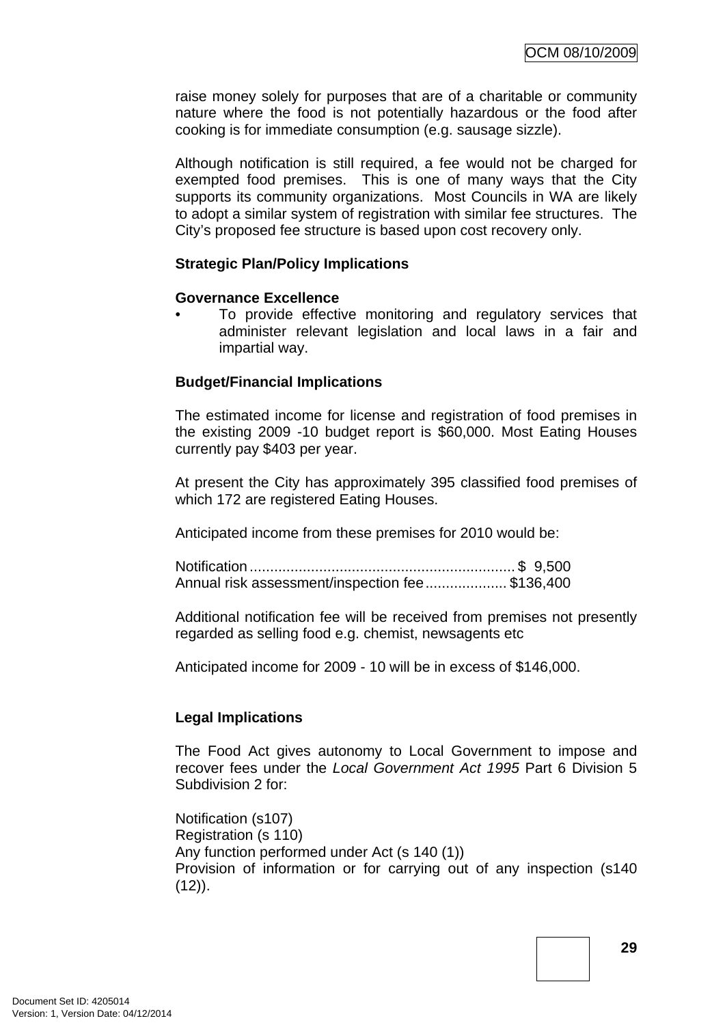raise money solely for purposes that are of a charitable or community nature where the food is not potentially hazardous or the food after cooking is for immediate consumption (e.g. sausage sizzle).

Although notification is still required, a fee would not be charged for exempted food premises. This is one of many ways that the City supports its community organizations. Most Councils in WA are likely to adopt a similar system of registration with similar fee structures. The City's proposed fee structure is based upon cost recovery only.

#### **Strategic Plan/Policy Implications**

#### **Governance Excellence**

To provide effective monitoring and regulatory services that administer relevant legislation and local laws in a fair and impartial way.

#### **Budget/Financial Implications**

The estimated income for license and registration of food premises in the existing 2009 -10 budget report is \$60,000. Most Eating Houses currently pay \$403 per year.

At present the City has approximately 395 classified food premises of which 172 are registered Eating Houses.

Anticipated income from these premises for 2010 would be:

| Annual risk assessment/inspection fee \$136,400 |  |  |
|-------------------------------------------------|--|--|

Additional notification fee will be received from premises not presently regarded as selling food e.g. chemist, newsagents etc

Anticipated income for 2009 - 10 will be in excess of \$146,000.

#### **Legal Implications**

The Food Act gives autonomy to Local Government to impose and recover fees under the *Local Government Act 1995* Part 6 Division 5 Subdivision 2 for:

Notification (s107) Registration (s 110) Any function performed under Act (s 140 (1)) Provision of information or for carrying out of any inspection (s140  $(12)$ ).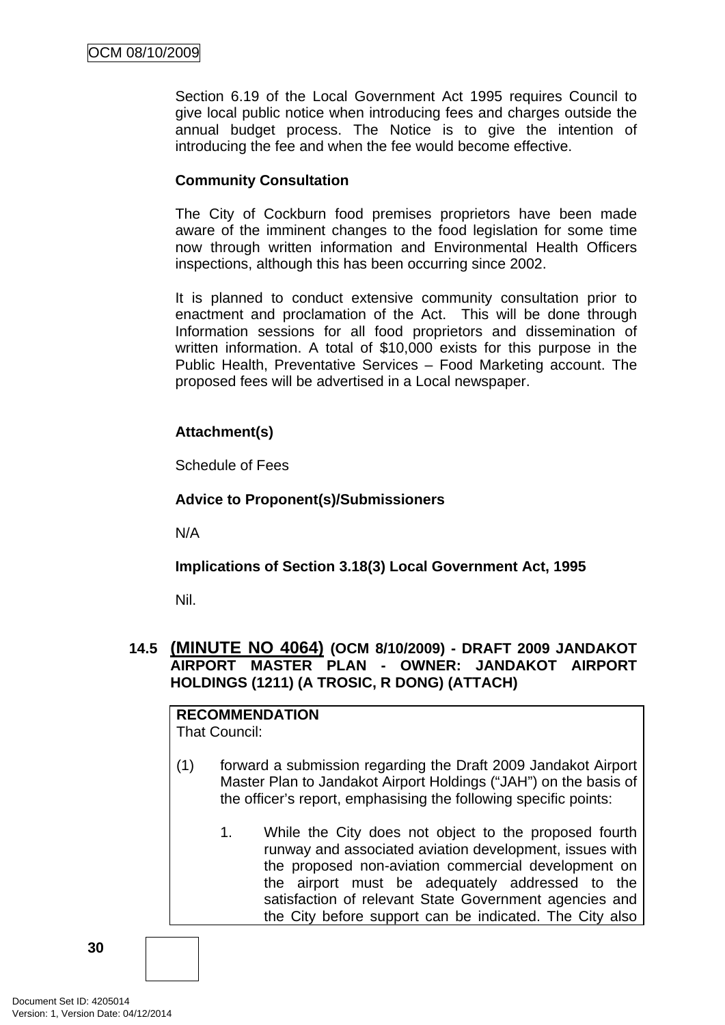<span id="page-33-0"></span>Section 6.19 of the Local Government Act 1995 requires Council to give local public notice when introducing fees and charges outside the annual budget process. The Notice is to give the intention of introducing the fee and when the fee would become effective.

## **Community Consultation**

The City of Cockburn food premises proprietors have been made aware of the imminent changes to the food legislation for some time now through written information and Environmental Health Officers inspections, although this has been occurring since 2002.

It is planned to conduct extensive community consultation prior to enactment and proclamation of the Act. This will be done through Information sessions for all food proprietors and dissemination of written information. A total of \$10,000 exists for this purpose in the Public Health, Preventative Services – Food Marketing account. The proposed fees will be advertised in a Local newspaper.

## **Attachment(s)**

Schedule of Fees

#### **Advice to Proponent(s)/Submissioners**

N/A

**Implications of Section 3.18(3) Local Government Act, 1995**

Nil.

## **14.5 (MINUTE NO 4064) (OCM 8/10/2009) - DRAFT 2009 JANDAKOT AIRPORT MASTER PLAN - OWNER: JANDAKOT AIRPORT HOLDINGS (1211) (A TROSIC, R DONG) (ATTACH)**

**RECOMMENDATION** That Council:

- (1) forward a submission regarding the Draft 2009 Jandakot Airport Master Plan to Jandakot Airport Holdings ("JAH") on the basis of the officer's report, emphasising the following specific points:
	- 1. While the City does not object to the proposed fourth runway and associated aviation development, issues with the proposed non-aviation commercial development on the airport must be adequately addressed to the satisfaction of relevant State Government agencies and the City before support can be indicated. The City also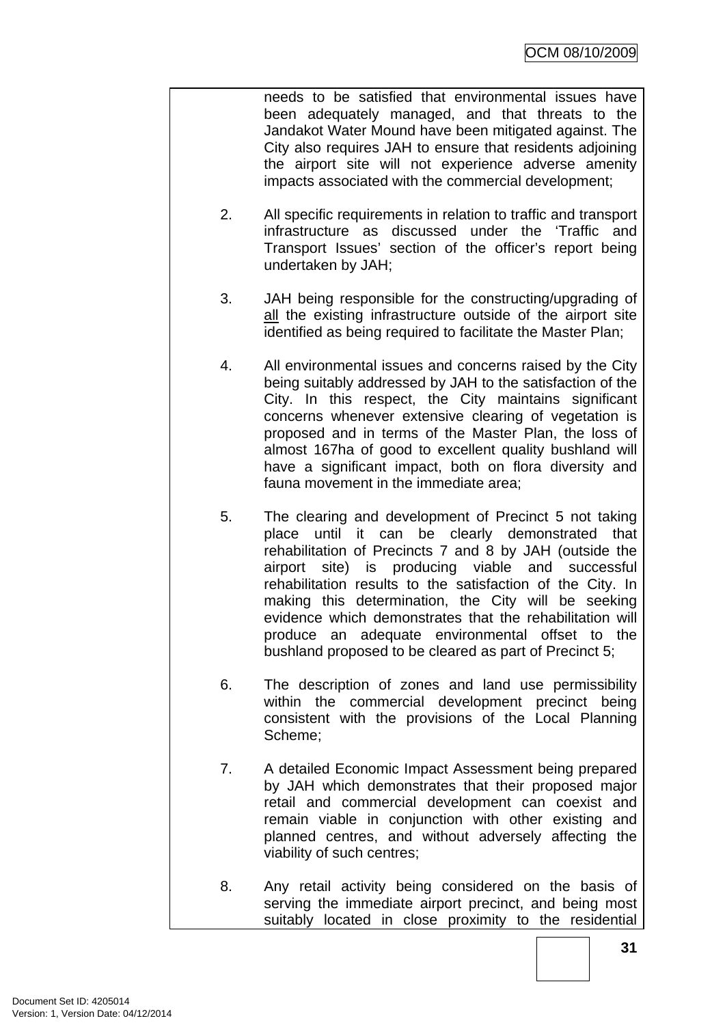needs to be satisfied that environmental issues have been adequately managed, and that threats to the Jandakot Water Mound have been mitigated against. The City also requires JAH to ensure that residents adjoining the airport site will not experience adverse amenity impacts associated with the commercial development;

- 2. All specific requirements in relation to traffic and transport infrastructure as discussed under the 'Traffic and Transport Issues' section of the officer's report being undertaken by JAH;
- 3. JAH being responsible for the constructing/upgrading of all the existing infrastructure outside of the airport site identified as being required to facilitate the Master Plan;
- 4. All environmental issues and concerns raised by the City being suitably addressed by JAH to the satisfaction of the City. In this respect, the City maintains significant concerns whenever extensive clearing of vegetation is proposed and in terms of the Master Plan, the loss of almost 167ha of good to excellent quality bushland will have a significant impact, both on flora diversity and fauna movement in the immediate area;
- 5. The clearing and development of Precinct 5 not taking place until it can be clearly demonstrated that rehabilitation of Precincts 7 and 8 by JAH (outside the airport site) is producing viable and successful rehabilitation results to the satisfaction of the City. In making this determination, the City will be seeking evidence which demonstrates that the rehabilitation will produce an adequate environmental offset to the bushland proposed to be cleared as part of Precinct 5;
- 6. The description of zones and land use permissibility within the commercial development precinct being consistent with the provisions of the Local Planning Scheme;
- 7. A detailed Economic Impact Assessment being prepared by JAH which demonstrates that their proposed major retail and commercial development can coexist and remain viable in conjunction with other existing and planned centres, and without adversely affecting the viability of such centres;
- 8. Any retail activity being considered on the basis of serving the immediate airport precinct, and being most suitably located in close proximity to the residential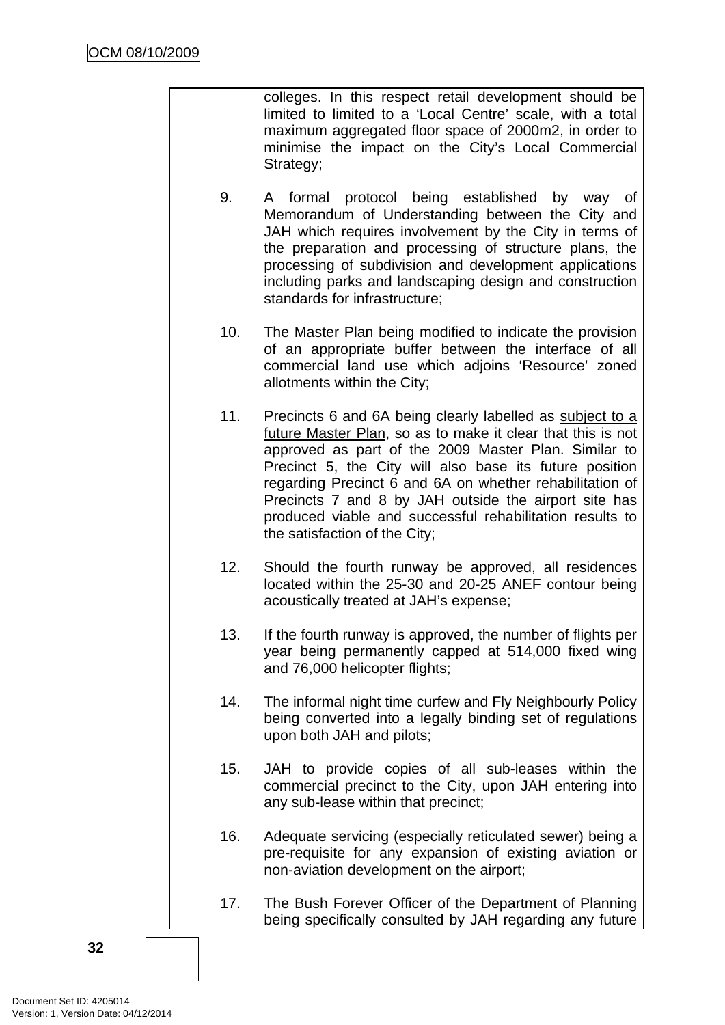colleges. In this respect retail development should be limited to limited to a 'Local Centre' scale, with a total maximum aggregated floor space of 2000m2, in order to minimise the impact on the City's Local Commercial Strategy;

- 9. A formal protocol being established by way of Memorandum of Understanding between the City and JAH which requires involvement by the City in terms of the preparation and processing of structure plans, the processing of subdivision and development applications including parks and landscaping design and construction standards for infrastructure;
- 10. The Master Plan being modified to indicate the provision of an appropriate buffer between the interface of all commercial land use which adjoins 'Resource' zoned allotments within the City;
- 11. Precincts 6 and 6A being clearly labelled as subject to a future Master Plan, so as to make it clear that this is not approved as part of the 2009 Master Plan. Similar to Precinct 5, the City will also base its future position regarding Precinct 6 and 6A on whether rehabilitation of Precincts 7 and 8 by JAH outside the airport site has produced viable and successful rehabilitation results to the satisfaction of the City;
- 12. Should the fourth runway be approved, all residences located within the 25-30 and 20-25 ANEF contour being acoustically treated at JAH's expense;
- 13. If the fourth runway is approved, the number of flights per year being permanently capped at 514,000 fixed wing and 76,000 helicopter flights;
- 14. The informal night time curfew and Fly Neighbourly Policy being converted into a legally binding set of regulations upon both JAH and pilots;
- 15. JAH to provide copies of all sub-leases within the commercial precinct to the City, upon JAH entering into any sub-lease within that precinct;
- 16. Adequate servicing (especially reticulated sewer) being a pre-requisite for any expansion of existing aviation or non-aviation development on the airport;
- 17. The Bush Forever Officer of the Department of Planning being specifically consulted by JAH regarding any future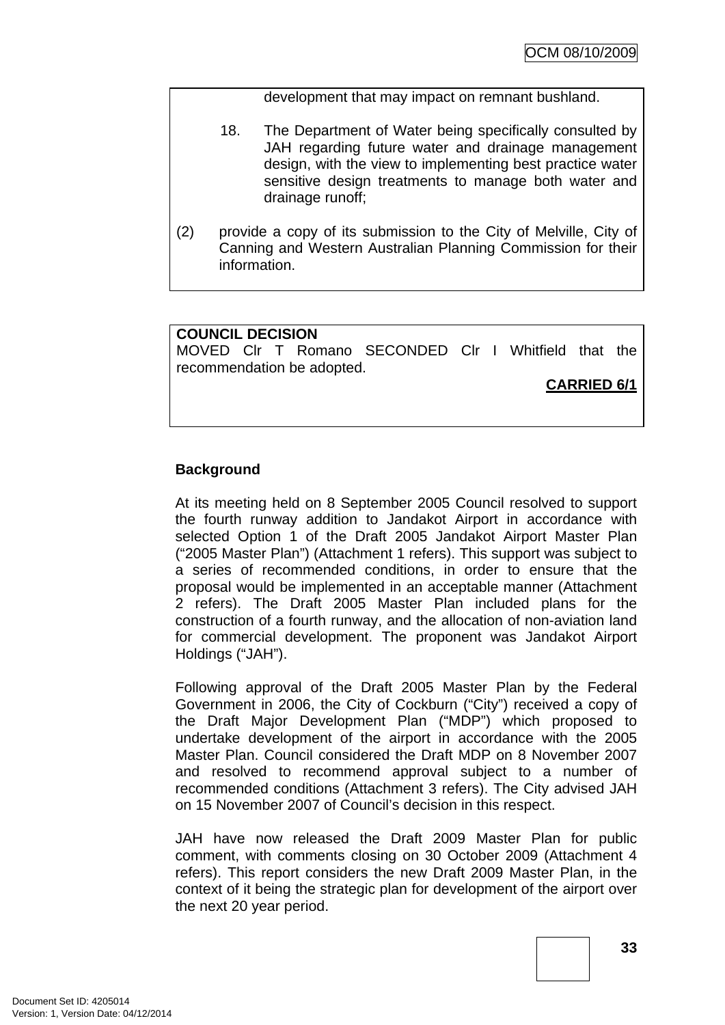development that may impact on remnant bushland.

- 18. The Department of Water being specifically consulted by JAH regarding future water and drainage management design, with the view to implementing best practice water sensitive design treatments to manage both water and drainage runoff;
- (2) provide a copy of its submission to the City of Melville, City of Canning and Western Australian Planning Commission for their information.

#### **COUNCIL DECISION**

MOVED Clr T Romano SECONDED Clr I Whitfield that the recommendation be adopted.

**CARRIED 6/1**

## **Background**

At its meeting held on 8 September 2005 Council resolved to support the fourth runway addition to Jandakot Airport in accordance with selected Option 1 of the Draft 2005 Jandakot Airport Master Plan ("2005 Master Plan") (Attachment 1 refers). This support was subject to a series of recommended conditions, in order to ensure that the proposal would be implemented in an acceptable manner (Attachment 2 refers). The Draft 2005 Master Plan included plans for the construction of a fourth runway, and the allocation of non-aviation land for commercial development. The proponent was Jandakot Airport Holdings ("JAH").

Following approval of the Draft 2005 Master Plan by the Federal Government in 2006, the City of Cockburn ("City") received a copy of the Draft Major Development Plan ("MDP") which proposed to undertake development of the airport in accordance with the 2005 Master Plan. Council considered the Draft MDP on 8 November 2007 and resolved to recommend approval subject to a number of recommended conditions (Attachment 3 refers). The City advised JAH on 15 November 2007 of Council's decision in this respect.

JAH have now released the Draft 2009 Master Plan for public comment, with comments closing on 30 October 2009 (Attachment 4 refers). This report considers the new Draft 2009 Master Plan, in the context of it being the strategic plan for development of the airport over the next 20 year period.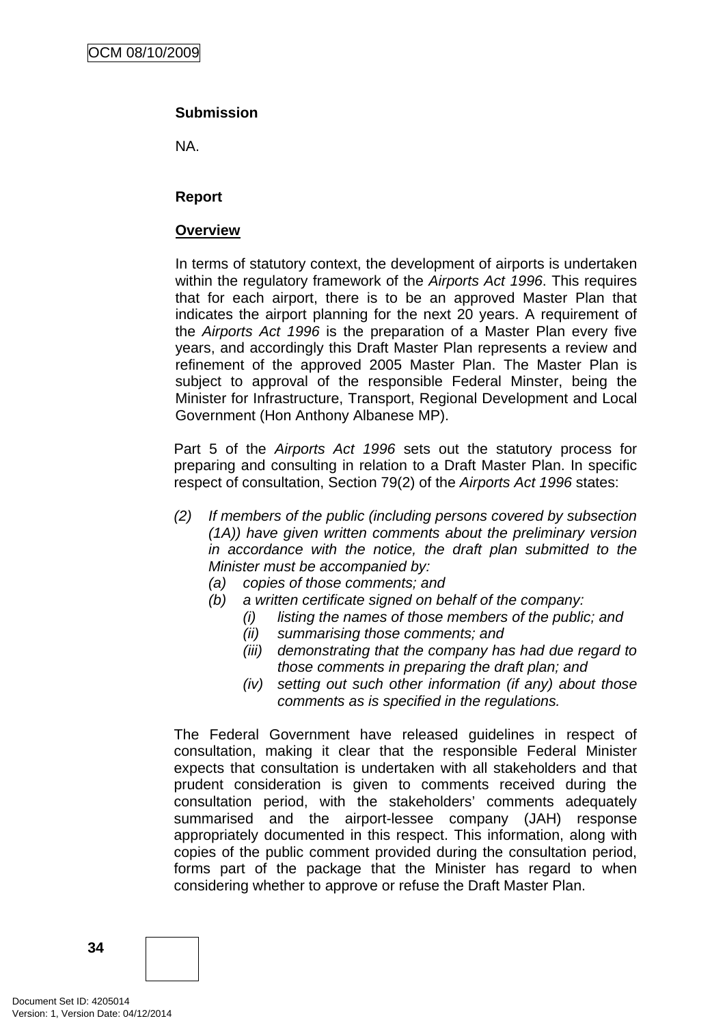## **Submission**

NA.

## **Report**

## **Overview**

In terms of statutory context, the development of airports is undertaken within the regulatory framework of the *Airports Act 1996*. This requires that for each airport, there is to be an approved Master Plan that indicates the airport planning for the next 20 years. A requirement of the *Airports Act 1996* is the preparation of a Master Plan every five years, and accordingly this Draft Master Plan represents a review and refinement of the approved 2005 Master Plan. The Master Plan is subject to approval of the responsible Federal Minster, being the Minister for Infrastructure, Transport, Regional Development and Local Government (Hon Anthony Albanese MP).

Part 5 of the *Airports Act 1996* sets out the statutory process for preparing and consulting in relation to a Draft Master Plan. In specific respect of consultation, Section 79(2) of the *Airports Act 1996* states:

- *(2) If members of the public (including persons covered by subsection (1A)) have given written comments about the preliminary version in accordance with the notice, the draft plan submitted to the Minister must be accompanied by:* 
	- *(a) copies of those comments; and*
	- *(b) a written certificate signed on behalf of the company:* 
		- *(i) listing the names of those members of the public; and*
		- *(ii) summarising those comments; and*
		- *(iii) demonstrating that the company has had due regard to those comments in preparing the draft plan; and*
		- *(iv) setting out such other information (if any) about those comments as is specified in the regulations.*

The Federal Government have released guidelines in respect of consultation, making it clear that the responsible Federal Minister expects that consultation is undertaken with all stakeholders and that prudent consideration is given to comments received during the consultation period, with the stakeholders' comments adequately summarised and the airport-lessee company (JAH) response appropriately documented in this respect. This information, along with copies of the public comment provided during the consultation period, forms part of the package that the Minister has regard to when considering whether to approve or refuse the Draft Master Plan.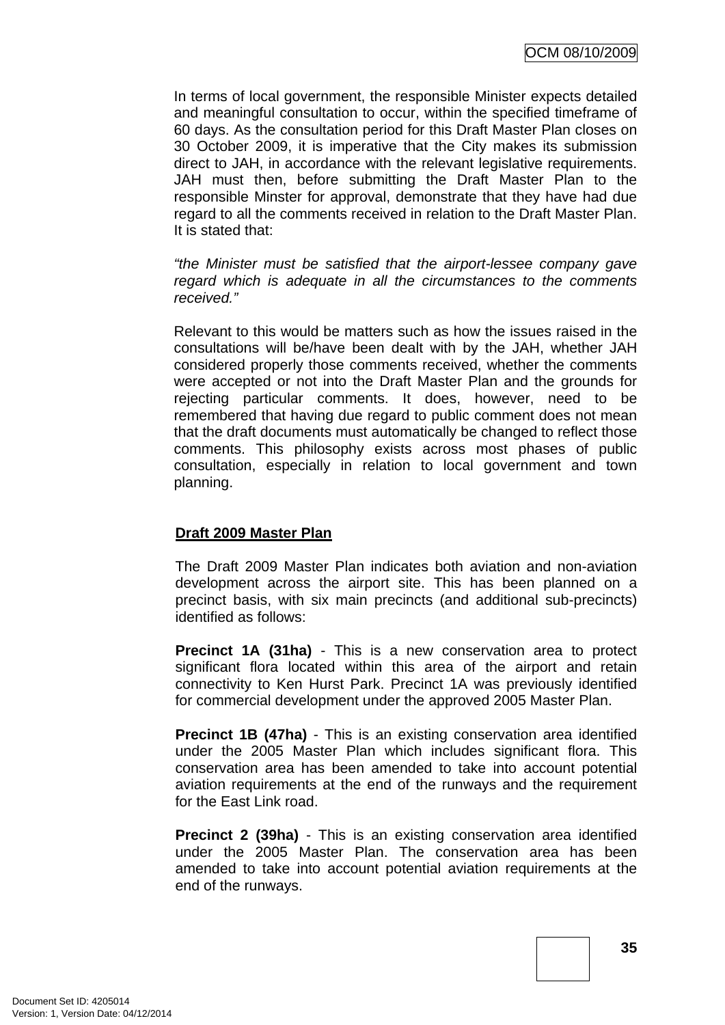In terms of local government, the responsible Minister expects detailed and meaningful consultation to occur, within the specified timeframe of 60 days. As the consultation period for this Draft Master Plan closes on 30 October 2009, it is imperative that the City makes its submission direct to JAH, in accordance with the relevant legislative requirements. JAH must then, before submitting the Draft Master Plan to the responsible Minster for approval, demonstrate that they have had due regard to all the comments received in relation to the Draft Master Plan. It is stated that:

*"the Minister must be satisfied that the airport-lessee company gave regard which is adequate in all the circumstances to the comments received."* 

Relevant to this would be matters such as how the issues raised in the consultations will be/have been dealt with by the JAH, whether JAH considered properly those comments received, whether the comments were accepted or not into the Draft Master Plan and the grounds for rejecting particular comments. It does, however, need to be remembered that having due regard to public comment does not mean that the draft documents must automatically be changed to reflect those comments. This philosophy exists across most phases of public consultation, especially in relation to local government and town planning.

# **Draft 2009 Master Plan**

The Draft 2009 Master Plan indicates both aviation and non-aviation development across the airport site. This has been planned on a precinct basis, with six main precincts (and additional sub-precincts) identified as follows:

**Precinct 1A (31ha)** - This is a new conservation area to protect significant flora located within this area of the airport and retain connectivity to Ken Hurst Park. Precinct 1A was previously identified for commercial development under the approved 2005 Master Plan.

**Precinct 1B (47ha)** - This is an existing conservation area identified under the 2005 Master Plan which includes significant flora. This conservation area has been amended to take into account potential aviation requirements at the end of the runways and the requirement for the East Link road.

**Precinct 2 (39ha)** - This is an existing conservation area identified under the 2005 Master Plan. The conservation area has been amended to take into account potential aviation requirements at the end of the runways.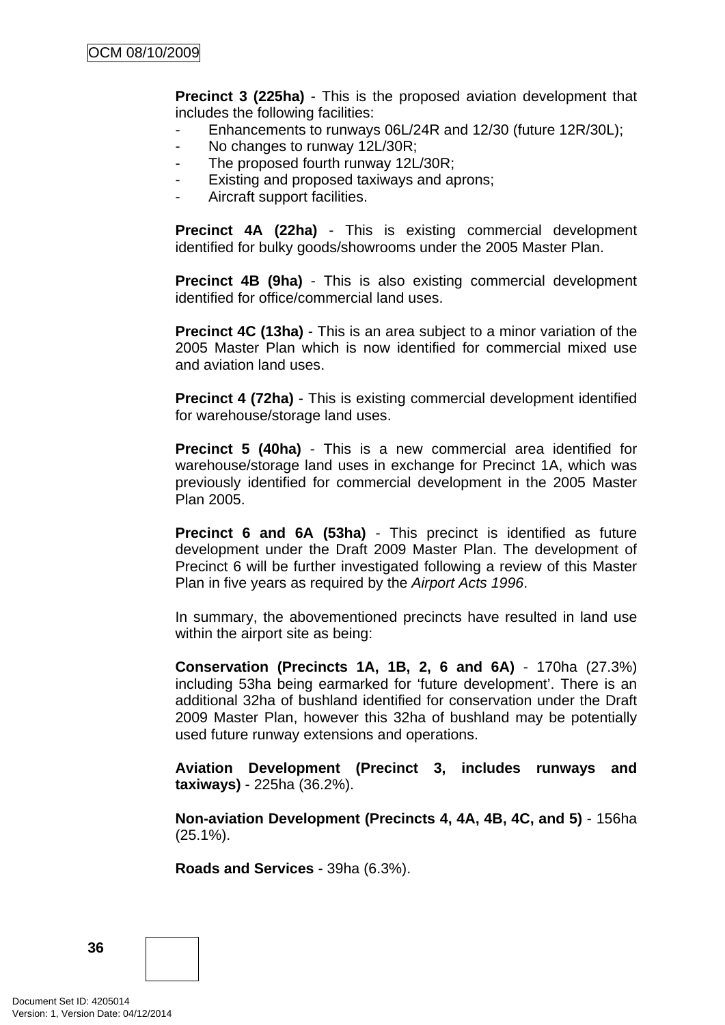**Precinct 3 (225ha)** - This is the proposed aviation development that includes the following facilities:

- Enhancements to runways 06L/24R and 12/30 (future 12R/30L);
- No changes to runway 12L/30R;
- The proposed fourth runway 12L/30R:
- Existing and proposed taxiways and aprons;
- Aircraft support facilities.

**Precinct 4A (22ha)** - This is existing commercial development identified for bulky goods/showrooms under the 2005 Master Plan.

**Precinct 4B (9ha)** - This is also existing commercial development identified for office/commercial land uses.

**Precinct 4C (13ha)** - This is an area subject to a minor variation of the 2005 Master Plan which is now identified for commercial mixed use and aviation land uses.

**Precinct 4 (72ha)** - This is existing commercial development identified for warehouse/storage land uses.

**Precinct 5 (40ha)** - This is a new commercial area identified for warehouse/storage land uses in exchange for Precinct 1A, which was previously identified for commercial development in the 2005 Master Plan 2005.

**Precinct 6 and 6A (53ha)** - This precinct is identified as future development under the Draft 2009 Master Plan. The development of Precinct 6 will be further investigated following a review of this Master Plan in five years as required by the *Airport Acts 1996*.

In summary, the abovementioned precincts have resulted in land use within the airport site as being:

**Conservation (Precincts 1A, 1B, 2, 6 and 6A)** - 170ha (27.3%) including 53ha being earmarked for 'future development'. There is an additional 32ha of bushland identified for conservation under the Draft 2009 Master Plan, however this 32ha of bushland may be potentially used future runway extensions and operations.

**Aviation Development (Precinct 3, includes runways and taxiways)** - 225ha (36.2%).

**Non-aviation Development (Precincts 4, 4A, 4B, 4C, and 5)** - 156ha (25.1%).

**Roads and Services** - 39ha (6.3%).

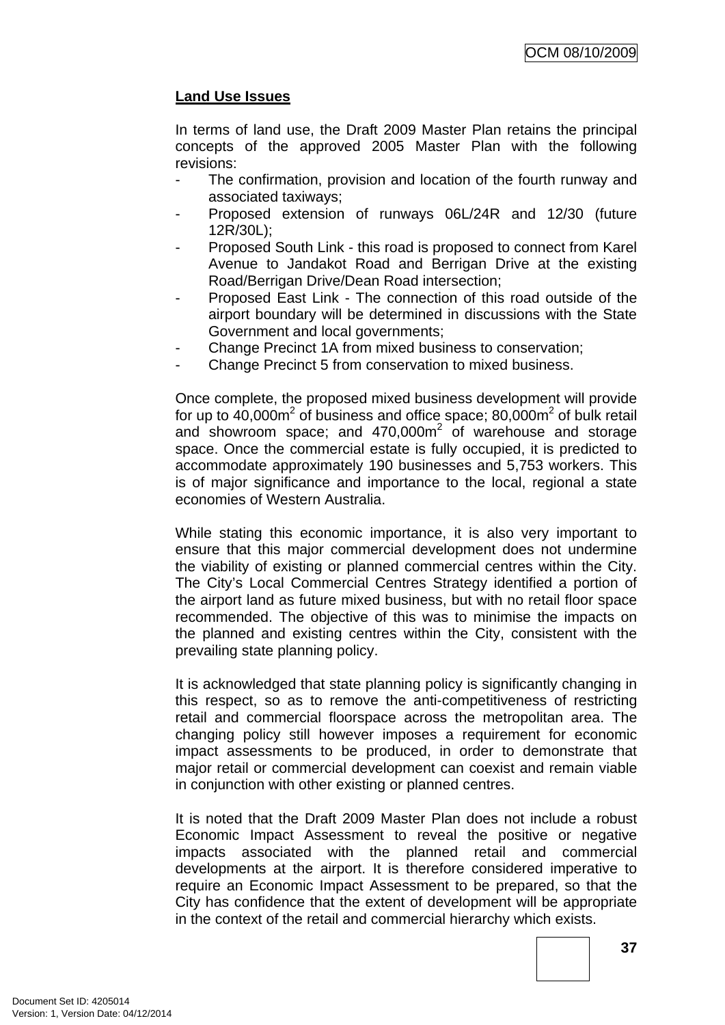# **Land Use Issues**

In terms of land use, the Draft 2009 Master Plan retains the principal concepts of the approved 2005 Master Plan with the following revisions:

- The confirmation, provision and location of the fourth runway and associated taxiways;
- Proposed extension of runways 06L/24R and 12/30 (future 12R/30L);
- Proposed South Link this road is proposed to connect from Karel Avenue to Jandakot Road and Berrigan Drive at the existing Road/Berrigan Drive/Dean Road intersection;
- Proposed East Link The connection of this road outside of the airport boundary will be determined in discussions with the State Government and local governments;
- Change Precinct 1A from mixed business to conservation;
- Change Precinct 5 from conservation to mixed business.

Once complete, the proposed mixed business development will provide for up to  $40,000$ m<sup>2</sup> of business and office space; 80,000m<sup>2</sup> of bulk retail and showroom space; and  $470,000m^2$  of warehouse and storage space. Once the commercial estate is fully occupied, it is predicted to accommodate approximately 190 businesses and 5,753 workers. This is of major significance and importance to the local, regional a state economies of Western Australia.

While stating this economic importance, it is also very important to ensure that this major commercial development does not undermine the viability of existing or planned commercial centres within the City. The City's Local Commercial Centres Strategy identified a portion of the airport land as future mixed business, but with no retail floor space recommended. The objective of this was to minimise the impacts on the planned and existing centres within the City, consistent with the prevailing state planning policy.

It is acknowledged that state planning policy is significantly changing in this respect, so as to remove the anti-competitiveness of restricting retail and commercial floorspace across the metropolitan area. The changing policy still however imposes a requirement for economic impact assessments to be produced, in order to demonstrate that major retail or commercial development can coexist and remain viable in conjunction with other existing or planned centres.

It is noted that the Draft 2009 Master Plan does not include a robust Economic Impact Assessment to reveal the positive or negative impacts associated with the planned retail and commercial developments at the airport. It is therefore considered imperative to require an Economic Impact Assessment to be prepared, so that the City has confidence that the extent of development will be appropriate in the context of the retail and commercial hierarchy which exists.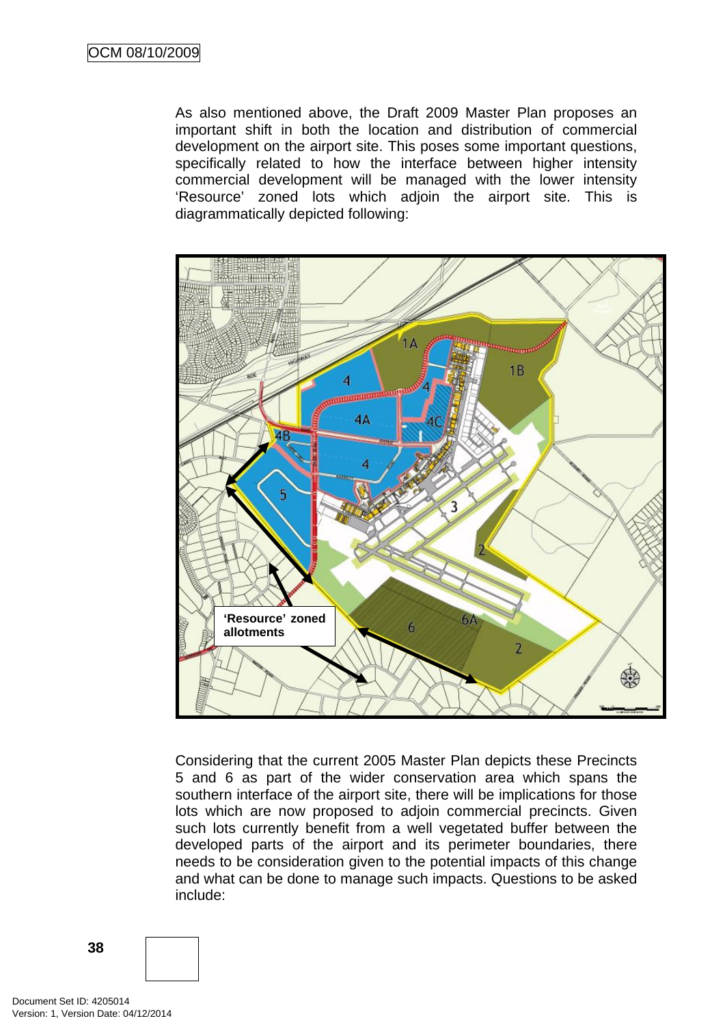As also mentioned above, the Draft 2009 Master Plan proposes an important shift in both the location and distribution of commercial development on the airport site. This poses some important questions, specifically related to how the interface between higher intensity commercial development will be managed with the lower intensity 'Resource' zoned lots which adjoin the airport site. This is diagrammatically depicted following:



Considering that the current 2005 Master Plan depicts these Precincts 5 and 6 as part of the wider conservation area which spans the southern interface of the airport site, there will be implications for those lots which are now proposed to adjoin commercial precincts. Given such lots currently benefit from a well vegetated buffer between the developed parts of the airport and its perimeter boundaries, there needs to be consideration given to the potential impacts of this change and what can be done to manage such impacts. Questions to be asked include: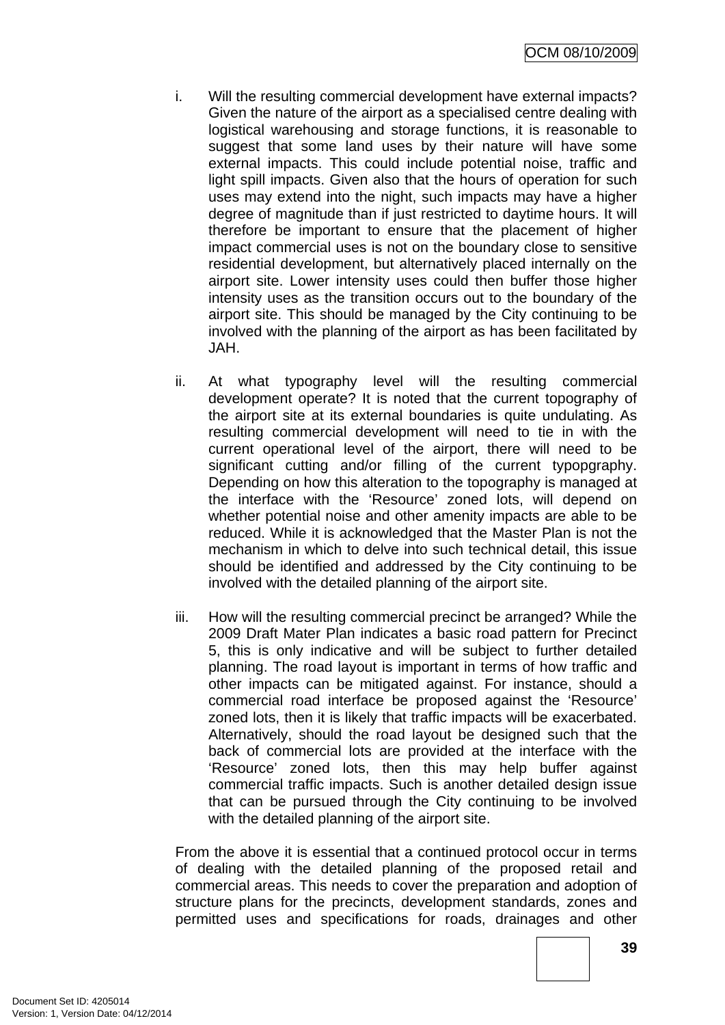- i. Will the resulting commercial development have external impacts? Given the nature of the airport as a specialised centre dealing with logistical warehousing and storage functions, it is reasonable to suggest that some land uses by their nature will have some external impacts. This could include potential noise, traffic and light spill impacts. Given also that the hours of operation for such uses may extend into the night, such impacts may have a higher degree of magnitude than if just restricted to daytime hours. It will therefore be important to ensure that the placement of higher impact commercial uses is not on the boundary close to sensitive residential development, but alternatively placed internally on the airport site. Lower intensity uses could then buffer those higher intensity uses as the transition occurs out to the boundary of the airport site. This should be managed by the City continuing to be involved with the planning of the airport as has been facilitated by JAH.
- ii. At what typography level will the resulting commercial development operate? It is noted that the current topography of the airport site at its external boundaries is quite undulating. As resulting commercial development will need to tie in with the current operational level of the airport, there will need to be significant cutting and/or filling of the current typopgraphy. Depending on how this alteration to the topography is managed at the interface with the 'Resource' zoned lots, will depend on whether potential noise and other amenity impacts are able to be reduced. While it is acknowledged that the Master Plan is not the mechanism in which to delve into such technical detail, this issue should be identified and addressed by the City continuing to be involved with the detailed planning of the airport site.
- iii. How will the resulting commercial precinct be arranged? While the 2009 Draft Mater Plan indicates a basic road pattern for Precinct 5, this is only indicative and will be subject to further detailed planning. The road layout is important in terms of how traffic and other impacts can be mitigated against. For instance, should a commercial road interface be proposed against the 'Resource' zoned lots, then it is likely that traffic impacts will be exacerbated. Alternatively, should the road layout be designed such that the back of commercial lots are provided at the interface with the 'Resource' zoned lots, then this may help buffer against commercial traffic impacts. Such is another detailed design issue that can be pursued through the City continuing to be involved with the detailed planning of the airport site.

From the above it is essential that a continued protocol occur in terms of dealing with the detailed planning of the proposed retail and commercial areas. This needs to cover the preparation and adoption of structure plans for the precincts, development standards, zones and permitted uses and specifications for roads, drainages and other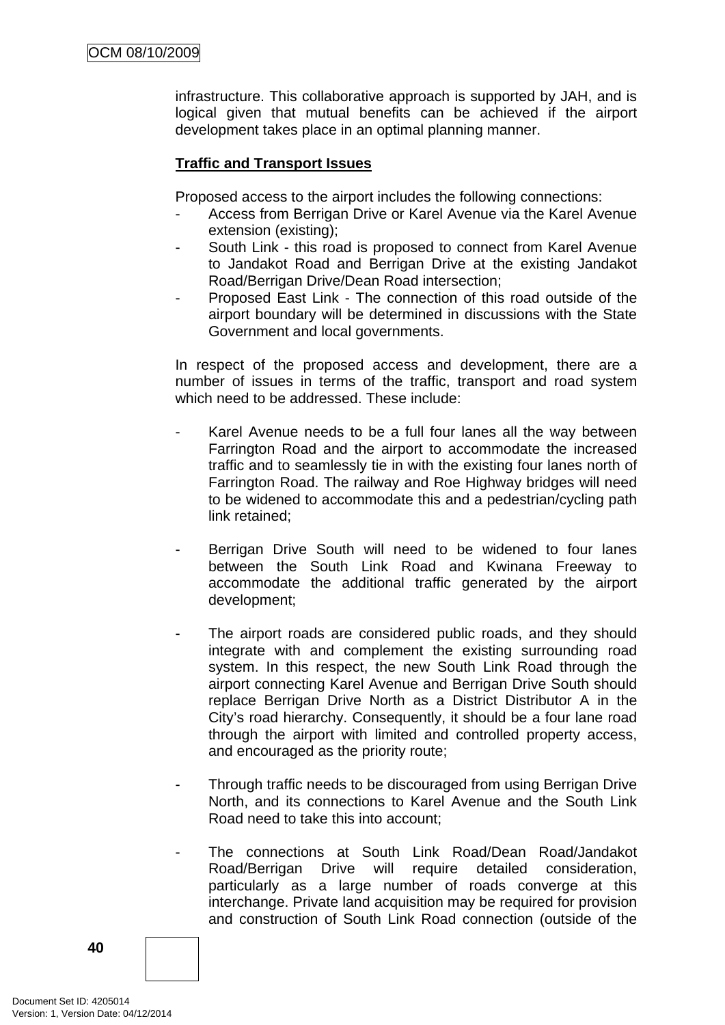infrastructure. This collaborative approach is supported by JAH, and is logical given that mutual benefits can be achieved if the airport development takes place in an optimal planning manner.

## **Traffic and Transport Issues**

Proposed access to the airport includes the following connections:

- Access from Berrigan Drive or Karel Avenue via the Karel Avenue extension (existing);
- South Link this road is proposed to connect from Karel Avenue to Jandakot Road and Berrigan Drive at the existing Jandakot Road/Berrigan Drive/Dean Road intersection;
- Proposed East Link The connection of this road outside of the airport boundary will be determined in discussions with the State Government and local governments.

In respect of the proposed access and development, there are a number of issues in terms of the traffic, transport and road system which need to be addressed. These include:

- Karel Avenue needs to be a full four lanes all the way between Farrington Road and the airport to accommodate the increased traffic and to seamlessly tie in with the existing four lanes north of Farrington Road. The railway and Roe Highway bridges will need to be widened to accommodate this and a pedestrian/cycling path link retained;
- Berrigan Drive South will need to be widened to four lanes between the South Link Road and Kwinana Freeway to accommodate the additional traffic generated by the airport development;
- The airport roads are considered public roads, and they should integrate with and complement the existing surrounding road system. In this respect, the new South Link Road through the airport connecting Karel Avenue and Berrigan Drive South should replace Berrigan Drive North as a District Distributor A in the City's road hierarchy. Consequently, it should be a four lane road through the airport with limited and controlled property access, and encouraged as the priority route;
- Through traffic needs to be discouraged from using Berrigan Drive North, and its connections to Karel Avenue and the South Link Road need to take this into account;
- The connections at South Link Road/Dean Road/Jandakot Road/Berrigan Drive will require detailed consideration, particularly as a large number of roads converge at this interchange. Private land acquisition may be required for provision and construction of South Link Road connection (outside of the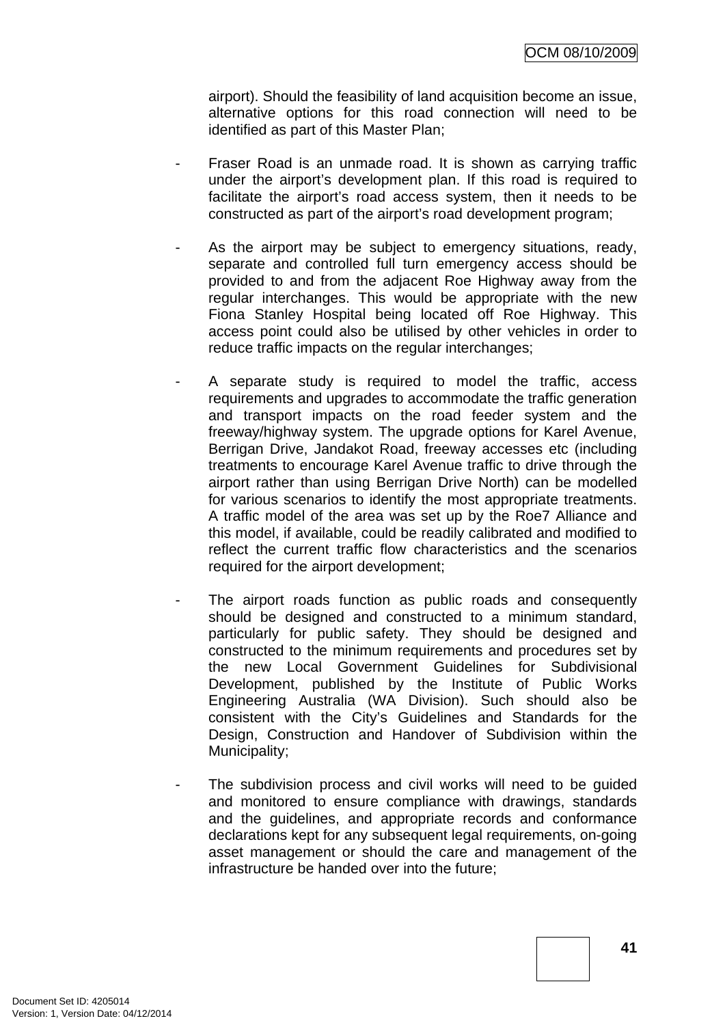airport). Should the feasibility of land acquisition become an issue, alternative options for this road connection will need to be identified as part of this Master Plan;

- Fraser Road is an unmade road. It is shown as carrying traffic under the airport's development plan. If this road is required to facilitate the airport's road access system, then it needs to be constructed as part of the airport's road development program;
- As the airport may be subject to emergency situations, ready, separate and controlled full turn emergency access should be provided to and from the adjacent Roe Highway away from the regular interchanges. This would be appropriate with the new Fiona Stanley Hospital being located off Roe Highway. This access point could also be utilised by other vehicles in order to reduce traffic impacts on the regular interchanges;
- A separate study is required to model the traffic, access requirements and upgrades to accommodate the traffic generation and transport impacts on the road feeder system and the freeway/highway system. The upgrade options for Karel Avenue, Berrigan Drive, Jandakot Road, freeway accesses etc (including treatments to encourage Karel Avenue traffic to drive through the airport rather than using Berrigan Drive North) can be modelled for various scenarios to identify the most appropriate treatments. A traffic model of the area was set up by the Roe7 Alliance and this model, if available, could be readily calibrated and modified to reflect the current traffic flow characteristics and the scenarios required for the airport development;
- The airport roads function as public roads and consequently should be designed and constructed to a minimum standard, particularly for public safety. They should be designed and constructed to the minimum requirements and procedures set by the new Local Government Guidelines for Subdivisional Development, published by the Institute of Public Works Engineering Australia (WA Division). Such should also be consistent with the City's Guidelines and Standards for the Design, Construction and Handover of Subdivision within the Municipality;
- The subdivision process and civil works will need to be quided and monitored to ensure compliance with drawings, standards and the guidelines, and appropriate records and conformance declarations kept for any subsequent legal requirements, on-going asset management or should the care and management of the infrastructure be handed over into the future;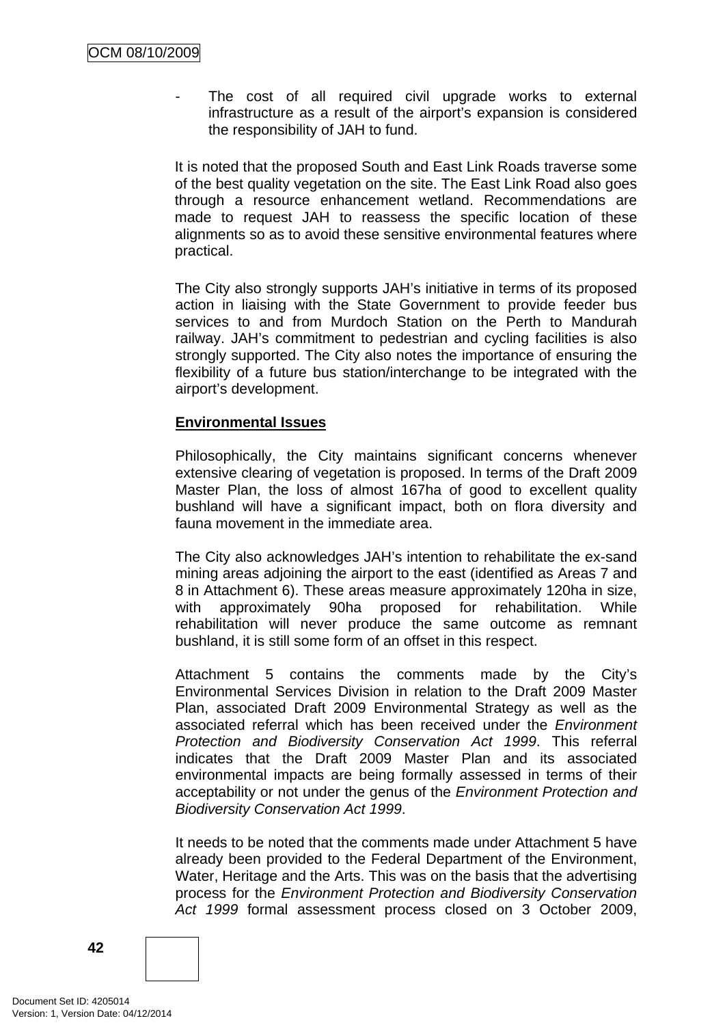The cost of all required civil upgrade works to external infrastructure as a result of the airport's expansion is considered the responsibility of JAH to fund.

It is noted that the proposed South and East Link Roads traverse some of the best quality vegetation on the site. The East Link Road also goes through a resource enhancement wetland. Recommendations are made to request JAH to reassess the specific location of these alignments so as to avoid these sensitive environmental features where practical.

The City also strongly supports JAH's initiative in terms of its proposed action in liaising with the State Government to provide feeder bus services to and from Murdoch Station on the Perth to Mandurah railway. JAH's commitment to pedestrian and cycling facilities is also strongly supported. The City also notes the importance of ensuring the flexibility of a future bus station/interchange to be integrated with the airport's development.

## **Environmental Issues**

Philosophically, the City maintains significant concerns whenever extensive clearing of vegetation is proposed. In terms of the Draft 2009 Master Plan, the loss of almost 167ha of good to excellent quality bushland will have a significant impact, both on flora diversity and fauna movement in the immediate area.

The City also acknowledges JAH's intention to rehabilitate the ex-sand mining areas adjoining the airport to the east (identified as Areas 7 and 8 in Attachment 6). These areas measure approximately 120ha in size, with approximately 90ha proposed for rehabilitation. While rehabilitation will never produce the same outcome as remnant bushland, it is still some form of an offset in this respect.

Attachment 5 contains the comments made by the City's Environmental Services Division in relation to the Draft 2009 Master Plan, associated Draft 2009 Environmental Strategy as well as the associated referral which has been received under the *Environment Protection and Biodiversity Conservation Act 1999*. This referral indicates that the Draft 2009 Master Plan and its associated environmental impacts are being formally assessed in terms of their acceptability or not under the genus of the *Environment Protection and Biodiversity Conservation Act 1999*.

It needs to be noted that the comments made under Attachment 5 have already been provided to the Federal Department of the Environment, Water, Heritage and the Arts. This was on the basis that the advertising process for the *Environment Protection and Biodiversity Conservation Act 1999* formal assessment process closed on 3 October 2009,

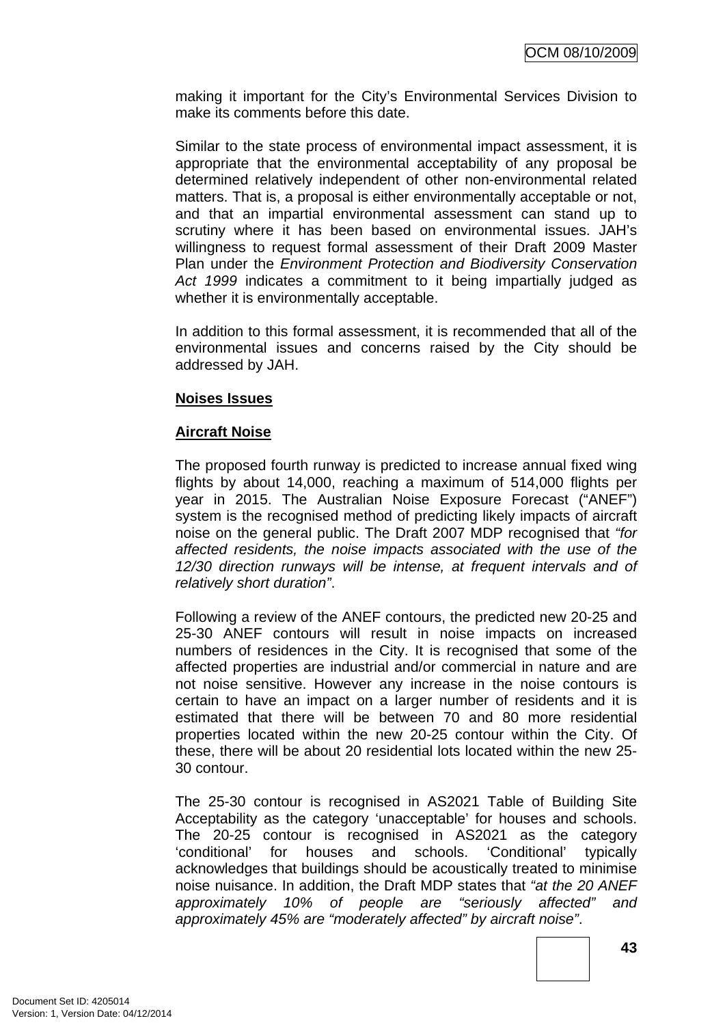making it important for the City's Environmental Services Division to make its comments before this date.

Similar to the state process of environmental impact assessment, it is appropriate that the environmental acceptability of any proposal be determined relatively independent of other non-environmental related matters. That is, a proposal is either environmentally acceptable or not, and that an impartial environmental assessment can stand up to scrutiny where it has been based on environmental issues. JAH's willingness to request formal assessment of their Draft 2009 Master Plan under the *Environment Protection and Biodiversity Conservation Act 1999* indicates a commitment to it being impartially judged as whether it is environmentally acceptable.

In addition to this formal assessment, it is recommended that all of the environmental issues and concerns raised by the City should be addressed by JAH.

## **Noises Issues**

## **Aircraft Noise**

The proposed fourth runway is predicted to increase annual fixed wing flights by about 14,000, reaching a maximum of 514,000 flights per year in 2015. The Australian Noise Exposure Forecast ("ANEF") system is the recognised method of predicting likely impacts of aircraft noise on the general public. The Draft 2007 MDP recognised that *"for affected residents, the noise impacts associated with the use of the 12/30 direction runways will be intense, at frequent intervals and of relatively short duration"*.

Following a review of the ANEF contours, the predicted new 20-25 and 25-30 ANEF contours will result in noise impacts on increased numbers of residences in the City. It is recognised that some of the affected properties are industrial and/or commercial in nature and are not noise sensitive. However any increase in the noise contours is certain to have an impact on a larger number of residents and it is estimated that there will be between 70 and 80 more residential properties located within the new 20-25 contour within the City. Of these, there will be about 20 residential lots located within the new 25- 30 contour.

The 25-30 contour is recognised in AS2021 Table of Building Site Acceptability as the category 'unacceptable' for houses and schools. The 20-25 contour is recognised in AS2021 as the category 'conditional' for houses and schools. 'Conditional' typically acknowledges that buildings should be acoustically treated to minimise noise nuisance. In addition, the Draft MDP states that *"at the 20 ANEF approximately 10% of people are "seriously affected" and approximately 45% are "moderately affected" by aircraft noise"*.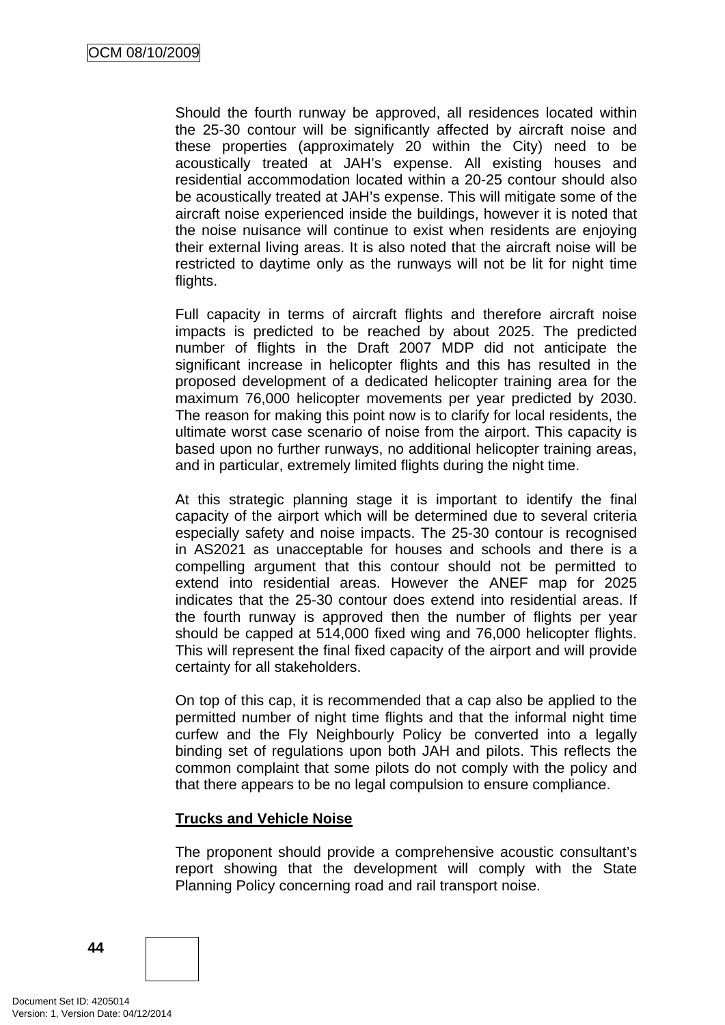Should the fourth runway be approved, all residences located within the 25-30 contour will be significantly affected by aircraft noise and these properties (approximately 20 within the City) need to be acoustically treated at JAH's expense. All existing houses and residential accommodation located within a 20-25 contour should also be acoustically treated at JAH's expense. This will mitigate some of the aircraft noise experienced inside the buildings, however it is noted that the noise nuisance will continue to exist when residents are enjoying their external living areas. It is also noted that the aircraft noise will be restricted to daytime only as the runways will not be lit for night time flights.

Full capacity in terms of aircraft flights and therefore aircraft noise impacts is predicted to be reached by about 2025. The predicted number of flights in the Draft 2007 MDP did not anticipate the significant increase in helicopter flights and this has resulted in the proposed development of a dedicated helicopter training area for the maximum 76,000 helicopter movements per year predicted by 2030. The reason for making this point now is to clarify for local residents, the ultimate worst case scenario of noise from the airport. This capacity is based upon no further runways, no additional helicopter training areas, and in particular, extremely limited flights during the night time.

At this strategic planning stage it is important to identify the final capacity of the airport which will be determined due to several criteria especially safety and noise impacts. The 25-30 contour is recognised in AS2021 as unacceptable for houses and schools and there is a compelling argument that this contour should not be permitted to extend into residential areas. However the ANEF map for 2025 indicates that the 25-30 contour does extend into residential areas. If the fourth runway is approved then the number of flights per year should be capped at 514,000 fixed wing and 76,000 helicopter flights. This will represent the final fixed capacity of the airport and will provide certainty for all stakeholders.

On top of this cap, it is recommended that a cap also be applied to the permitted number of night time flights and that the informal night time curfew and the Fly Neighbourly Policy be converted into a legally binding set of regulations upon both JAH and pilots. This reflects the common complaint that some pilots do not comply with the policy and that there appears to be no legal compulsion to ensure compliance.

## **Trucks and Vehicle Noise**

The proponent should provide a comprehensive acoustic consultant's report showing that the development will comply with the State Planning Policy concerning road and rail transport noise.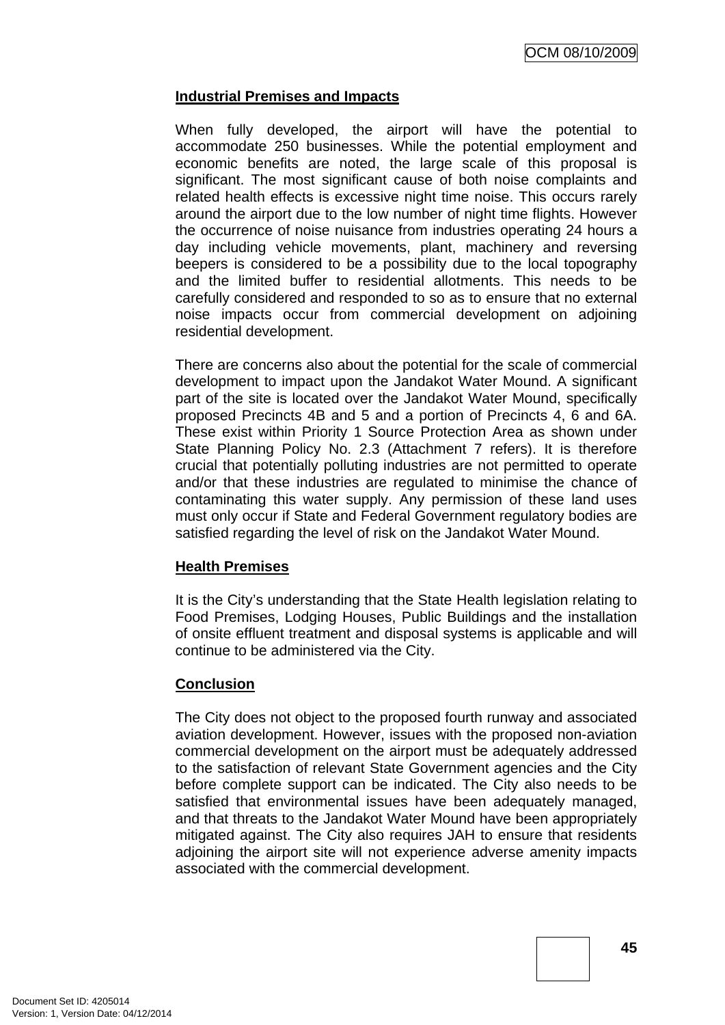## **Industrial Premises and Impacts**

When fully developed, the airport will have the potential to accommodate 250 businesses. While the potential employment and economic benefits are noted, the large scale of this proposal is significant. The most significant cause of both noise complaints and related health effects is excessive night time noise. This occurs rarely around the airport due to the low number of night time flights. However the occurrence of noise nuisance from industries operating 24 hours a day including vehicle movements, plant, machinery and reversing beepers is considered to be a possibility due to the local topography and the limited buffer to residential allotments. This needs to be carefully considered and responded to so as to ensure that no external noise impacts occur from commercial development on adjoining residential development.

There are concerns also about the potential for the scale of commercial development to impact upon the Jandakot Water Mound. A significant part of the site is located over the Jandakot Water Mound, specifically proposed Precincts 4B and 5 and a portion of Precincts 4, 6 and 6A. These exist within Priority 1 Source Protection Area as shown under State Planning Policy No. 2.3 (Attachment 7 refers). It is therefore crucial that potentially polluting industries are not permitted to operate and/or that these industries are regulated to minimise the chance of contaminating this water supply. Any permission of these land uses must only occur if State and Federal Government regulatory bodies are satisfied regarding the level of risk on the Jandakot Water Mound.

## **Health Premises**

It is the City's understanding that the State Health legislation relating to Food Premises, Lodging Houses, Public Buildings and the installation of onsite effluent treatment and disposal systems is applicable and will continue to be administered via the City.

## **Conclusion**

The City does not object to the proposed fourth runway and associated aviation development. However, issues with the proposed non-aviation commercial development on the airport must be adequately addressed to the satisfaction of relevant State Government agencies and the City before complete support can be indicated. The City also needs to be satisfied that environmental issues have been adequately managed, and that threats to the Jandakot Water Mound have been appropriately mitigated against. The City also requires JAH to ensure that residents adjoining the airport site will not experience adverse amenity impacts associated with the commercial development.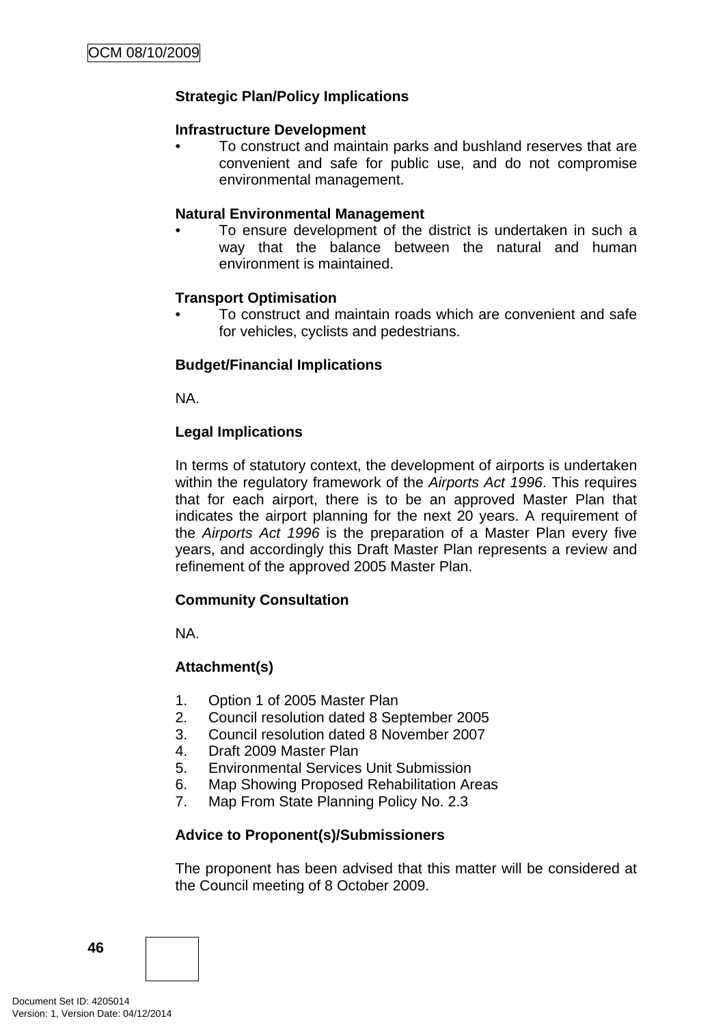# **Strategic Plan/Policy Implications**

#### **Infrastructure Development**

• To construct and maintain parks and bushland reserves that are convenient and safe for public use, and do not compromise environmental management.

#### **Natural Environmental Management**

To ensure development of the district is undertaken in such a way that the balance between the natural and human environment is maintained.

## **Transport Optimisation**

• To construct and maintain roads which are convenient and safe for vehicles, cyclists and pedestrians.

## **Budget/Financial Implications**

NA.

## **Legal Implications**

In terms of statutory context, the development of airports is undertaken within the regulatory framework of the *Airports Act 1996*. This requires that for each airport, there is to be an approved Master Plan that indicates the airport planning for the next 20 years. A requirement of the *Airports Act 1996* is the preparation of a Master Plan every five years, and accordingly this Draft Master Plan represents a review and refinement of the approved 2005 Master Plan.

## **Community Consultation**

NA.

## **Attachment(s)**

- 1. Option 1 of 2005 Master Plan
- 2. Council resolution dated 8 September 2005
- 3. Council resolution dated 8 November 2007
- 4. Draft 2009 Master Plan
- 5. Environmental Services Unit Submission
- 6. Map Showing Proposed Rehabilitation Areas
- 7. Map From State Planning Policy No. 2.3

## **Advice to Proponent(s)/Submissioners**

The proponent has been advised that this matter will be considered at the Council meeting of 8 October 2009.

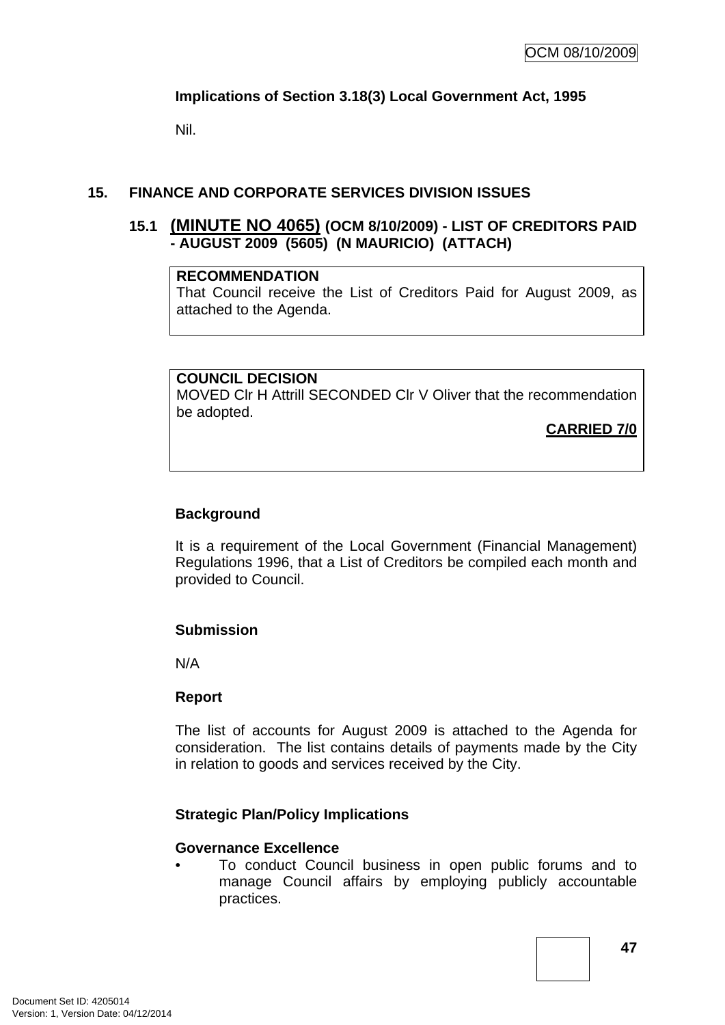# **Implications of Section 3.18(3) Local Government Act, 1995**

Nil.

#### **15. FINANCE AND CORPORATE SERVICES DIVISION ISSUES**

## **15.1 (MINUTE NO 4065) (OCM 8/10/2009) - LIST OF CREDITORS PAID - AUGUST 2009 (5605) (N MAURICIO) (ATTACH)**

## **RECOMMENDATION**

That Council receive the List of Creditors Paid for August 2009, as attached to the Agenda.

## **COUNCIL DECISION**

MOVED Clr H Attrill SECONDED Clr V Oliver that the recommendation be adopted.

**CARRIED 7/0**

## **Background**

It is a requirement of the Local Government (Financial Management) Regulations 1996, that a List of Creditors be compiled each month and provided to Council.

## **Submission**

N/A

#### **Report**

The list of accounts for August 2009 is attached to the Agenda for consideration. The list contains details of payments made by the City in relation to goods and services received by the City.

## **Strategic Plan/Policy Implications**

## **Governance Excellence**

• To conduct Council business in open public forums and to manage Council affairs by employing publicly accountable practices.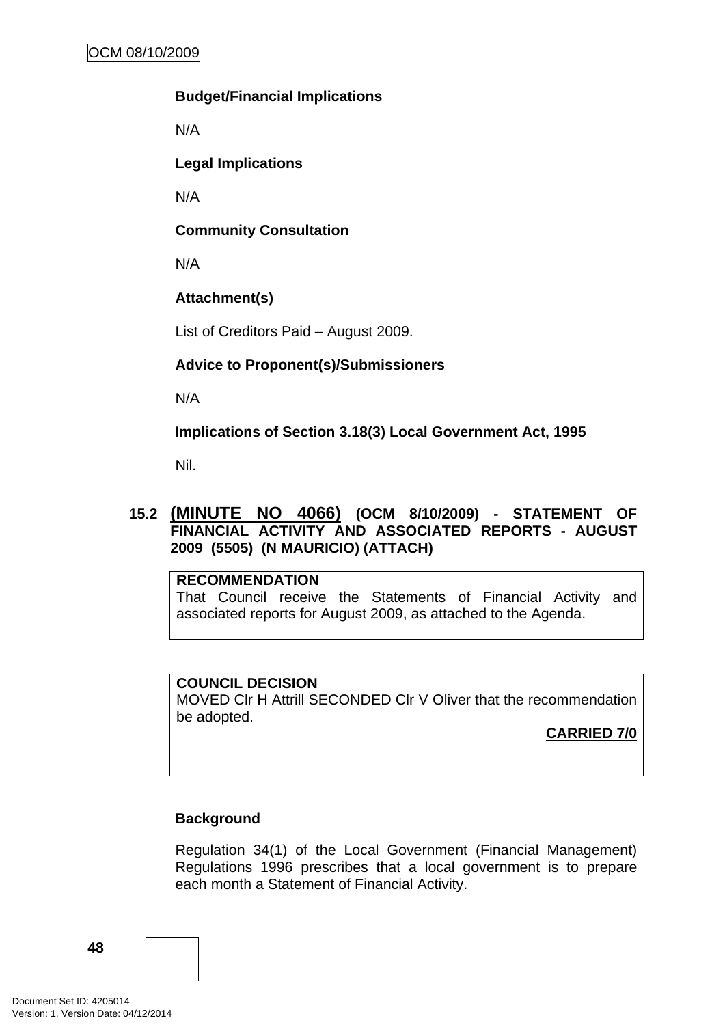## **Budget/Financial Implications**

N/A

**Legal Implications** 

N/A

## **Community Consultation**

N/A

# **Attachment(s)**

List of Creditors Paid – August 2009.

# **Advice to Proponent(s)/Submissioners**

N/A

**Implications of Section 3.18(3) Local Government Act, 1995**

Nil.

## **15.2 (MINUTE NO 4066) (OCM 8/10/2009) - STATEMENT OF FINANCIAL ACTIVITY AND ASSOCIATED REPORTS - AUGUST 2009 (5505) (N MAURICIO) (ATTACH)**

# **RECOMMENDATION**

That Council receive the Statements of Financial Activity and associated reports for August 2009, as attached to the Agenda.

## **COUNCIL DECISION**

MOVED Clr H Attrill SECONDED Clr V Oliver that the recommendation be adopted.

**CARRIED 7/0**

# **Background**

Regulation 34(1) of the Local Government (Financial Management) Regulations 1996 prescribes that a local government is to prepare each month a Statement of Financial Activity.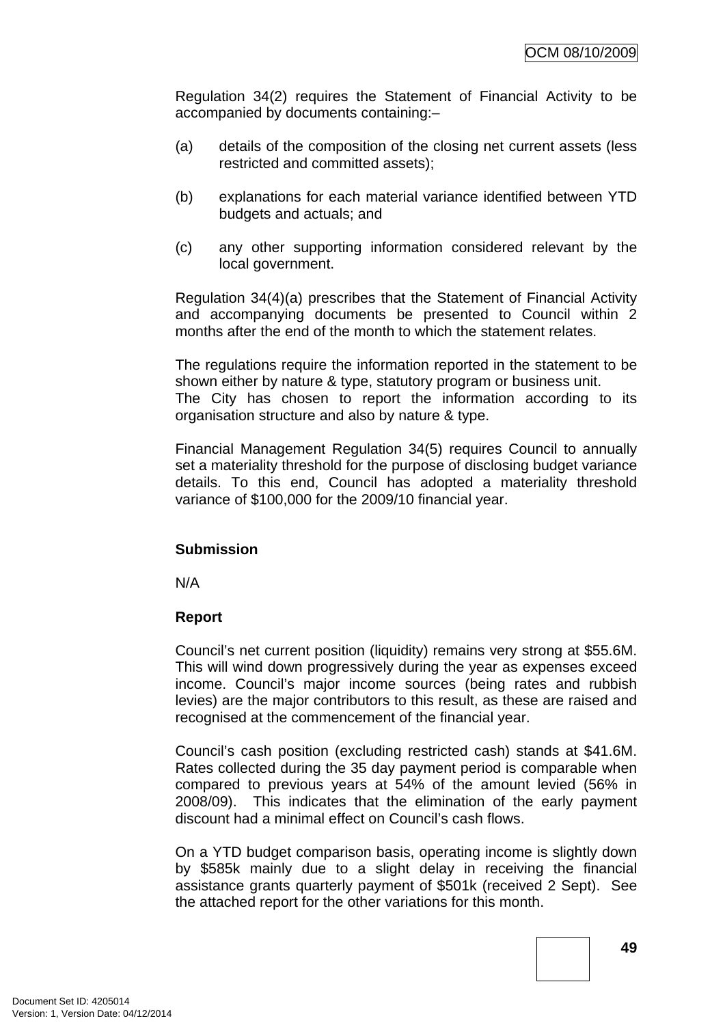Regulation 34(2) requires the Statement of Financial Activity to be accompanied by documents containing:–

- (a) details of the composition of the closing net current assets (less restricted and committed assets);
- (b) explanations for each material variance identified between YTD budgets and actuals; and
- (c) any other supporting information considered relevant by the local government.

Regulation 34(4)(a) prescribes that the Statement of Financial Activity and accompanying documents be presented to Council within 2 months after the end of the month to which the statement relates.

The regulations require the information reported in the statement to be shown either by nature & type, statutory program or business unit. The City has chosen to report the information according to its organisation structure and also by nature & type.

Financial Management Regulation 34(5) requires Council to annually set a materiality threshold for the purpose of disclosing budget variance details. To this end, Council has adopted a materiality threshold variance of \$100,000 for the 2009/10 financial year.

# **Submission**

N/A

# **Report**

Council's net current position (liquidity) remains very strong at \$55.6M. This will wind down progressively during the year as expenses exceed income. Council's major income sources (being rates and rubbish levies) are the major contributors to this result, as these are raised and recognised at the commencement of the financial year.

Council's cash position (excluding restricted cash) stands at \$41.6M. Rates collected during the 35 day payment period is comparable when compared to previous years at 54% of the amount levied (56% in 2008/09). This indicates that the elimination of the early payment discount had a minimal effect on Council's cash flows.

On a YTD budget comparison basis, operating income is slightly down by \$585k mainly due to a slight delay in receiving the financial assistance grants quarterly payment of \$501k (received 2 Sept). See the attached report for the other variations for this month.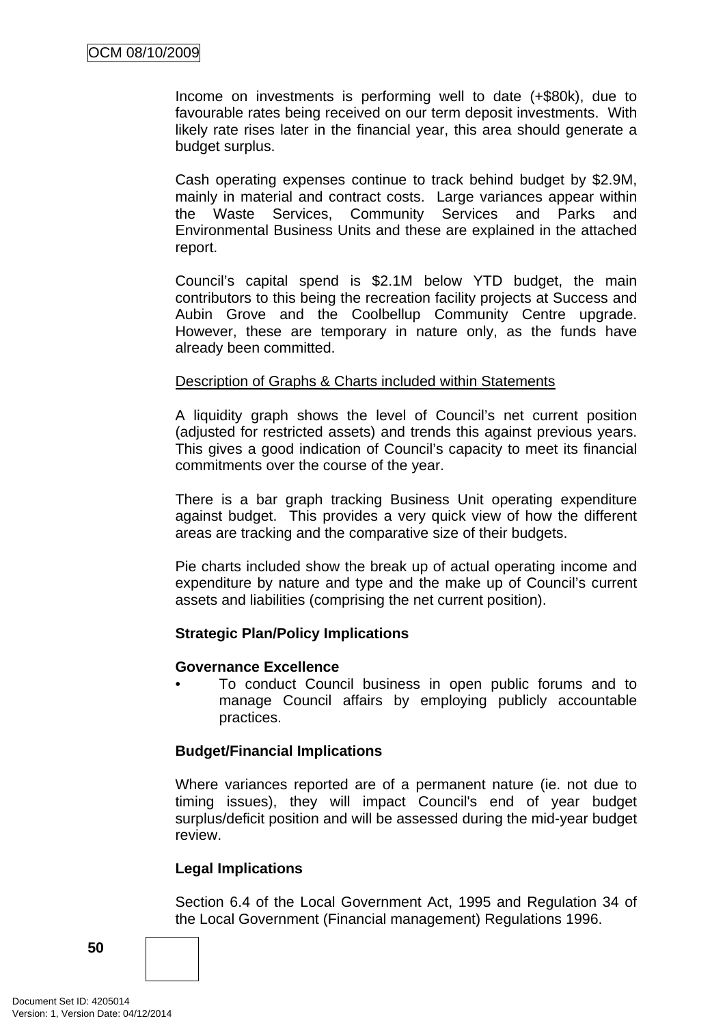Income on investments is performing well to date (+\$80k), due to favourable rates being received on our term deposit investments. With likely rate rises later in the financial year, this area should generate a budget surplus.

Cash operating expenses continue to track behind budget by \$2.9M, mainly in material and contract costs. Large variances appear within the Waste Services, Community Services and Parks and Environmental Business Units and these are explained in the attached report.

Council's capital spend is \$2.1M below YTD budget, the main contributors to this being the recreation facility projects at Success and Aubin Grove and the Coolbellup Community Centre upgrade. However, these are temporary in nature only, as the funds have already been committed.

## Description of Graphs & Charts included within Statements

A liquidity graph shows the level of Council's net current position (adjusted for restricted assets) and trends this against previous years. This gives a good indication of Council's capacity to meet its financial commitments over the course of the year.

There is a bar graph tracking Business Unit operating expenditure against budget. This provides a very quick view of how the different areas are tracking and the comparative size of their budgets.

Pie charts included show the break up of actual operating income and expenditure by nature and type and the make up of Council's current assets and liabilities (comprising the net current position).

## **Strategic Plan/Policy Implications**

#### **Governance Excellence**

• To conduct Council business in open public forums and to manage Council affairs by employing publicly accountable practices.

#### **Budget/Financial Implications**

Where variances reported are of a permanent nature (ie. not due to timing issues), they will impact Council's end of year budget surplus/deficit position and will be assessed during the mid-year budget review.

#### **Legal Implications**

Section 6.4 of the Local Government Act, 1995 and Regulation 34 of the Local Government (Financial management) Regulations 1996.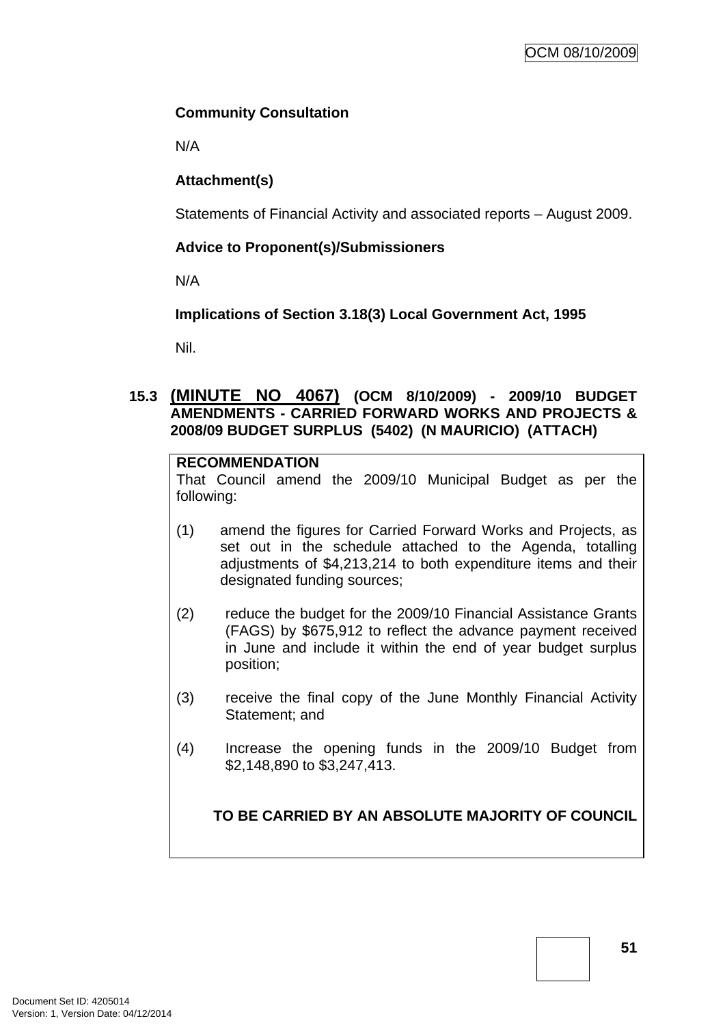## **Community Consultation**

N/A

# **Attachment(s)**

Statements of Financial Activity and associated reports – August 2009.

# **Advice to Proponent(s)/Submissioners**

N/A

**Implications of Section 3.18(3) Local Government Act, 1995**

Nil.

# **15.3 (MINUTE NO 4067) (OCM 8/10/2009) - 2009/10 BUDGET AMENDMENTS - CARRIED FORWARD WORKS AND PROJECTS & 2008/09 BUDGET SURPLUS (5402) (N MAURICIO) (ATTACH)**

# **RECOMMENDATION**

That Council amend the 2009/10 Municipal Budget as per the following:

- (1) amend the figures for Carried Forward Works and Projects, as set out in the schedule attached to the Agenda, totalling adjustments of \$4,213,214 to both expenditure items and their designated funding sources;
- (2) reduce the budget for the 2009/10 Financial Assistance Grants (FAGS) by \$675,912 to reflect the advance payment received in June and include it within the end of year budget surplus position;
- (3) receive the final copy of the June Monthly Financial Activity Statement; and
- (4) Increase the opening funds in the 2009/10 Budget from \$2,148,890 to \$3,247,413.

**TO BE CARRIED BY AN ABSOLUTE MAJORITY OF COUNCIL**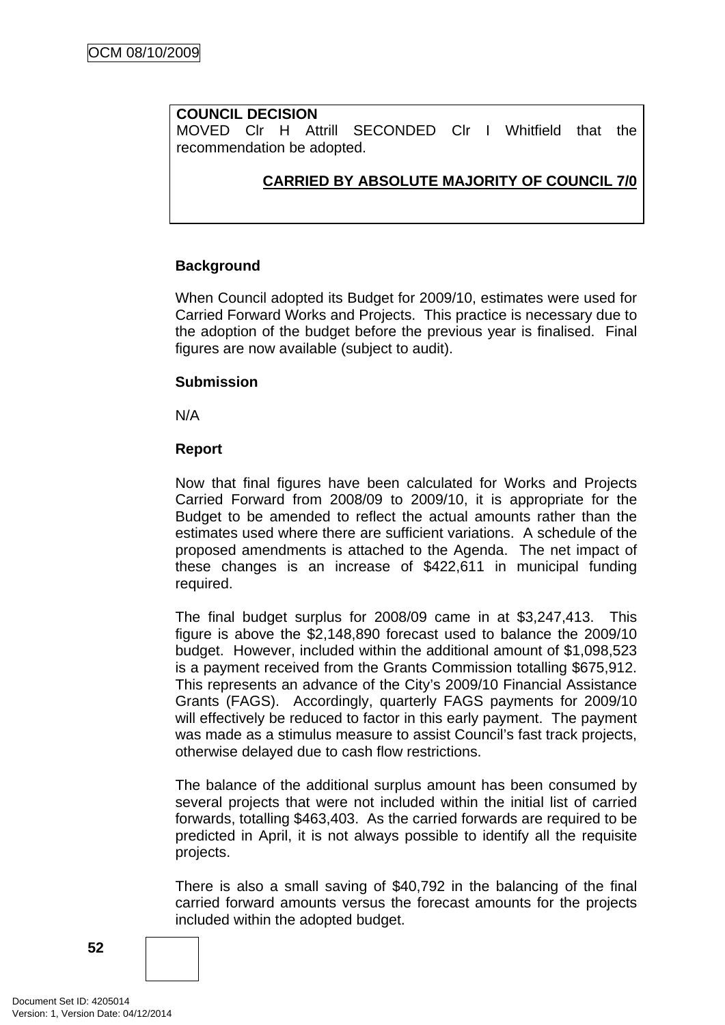#### **COUNCIL DECISION**

MOVED Clr H Attrill SECONDED Clr I Whitfield that the recommendation be adopted.

## **CARRIED BY ABSOLUTE MAJORITY OF COUNCIL 7/0**

#### **Background**

When Council adopted its Budget for 2009/10, estimates were used for Carried Forward Works and Projects. This practice is necessary due to the adoption of the budget before the previous year is finalised. Final figures are now available (subject to audit).

#### **Submission**

N/A

#### **Report**

Now that final figures have been calculated for Works and Projects Carried Forward from 2008/09 to 2009/10, it is appropriate for the Budget to be amended to reflect the actual amounts rather than the estimates used where there are sufficient variations. A schedule of the proposed amendments is attached to the Agenda. The net impact of these changes is an increase of \$422,611 in municipal funding required.

The final budget surplus for 2008/09 came in at \$3,247,413. This figure is above the \$2,148,890 forecast used to balance the 2009/10 budget. However, included within the additional amount of \$1,098,523 is a payment received from the Grants Commission totalling \$675,912. This represents an advance of the City's 2009/10 Financial Assistance Grants (FAGS). Accordingly, quarterly FAGS payments for 2009/10 will effectively be reduced to factor in this early payment. The payment was made as a stimulus measure to assist Council's fast track projects, otherwise delayed due to cash flow restrictions.

The balance of the additional surplus amount has been consumed by several projects that were not included within the initial list of carried forwards, totalling \$463,403. As the carried forwards are required to be predicted in April, it is not always possible to identify all the requisite projects.

There is also a small saving of \$40,792 in the balancing of the final carried forward amounts versus the forecast amounts for the projects included within the adopted budget.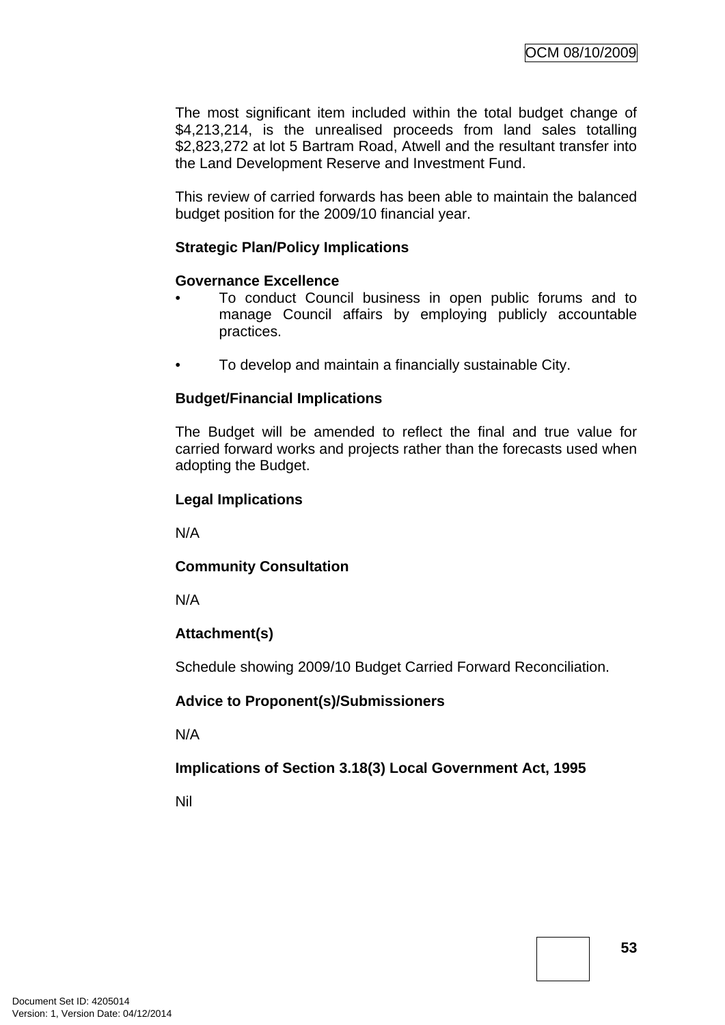The most significant item included within the total budget change of \$4,213,214, is the unrealised proceeds from land sales totalling \$2,823,272 at lot 5 Bartram Road, Atwell and the resultant transfer into the Land Development Reserve and Investment Fund.

This review of carried forwards has been able to maintain the balanced budget position for the 2009/10 financial year.

## **Strategic Plan/Policy Implications**

#### **Governance Excellence**

- To conduct Council business in open public forums and to manage Council affairs by employing publicly accountable practices.
- To develop and maintain a financially sustainable City.

## **Budget/Financial Implications**

The Budget will be amended to reflect the final and true value for carried forward works and projects rather than the forecasts used when adopting the Budget.

#### **Legal Implications**

N/A

## **Community Consultation**

N/A

## **Attachment(s)**

Schedule showing 2009/10 Budget Carried Forward Reconciliation.

## **Advice to Proponent(s)/Submissioners**

N/A

## **Implications of Section 3.18(3) Local Government Act, 1995**

Nil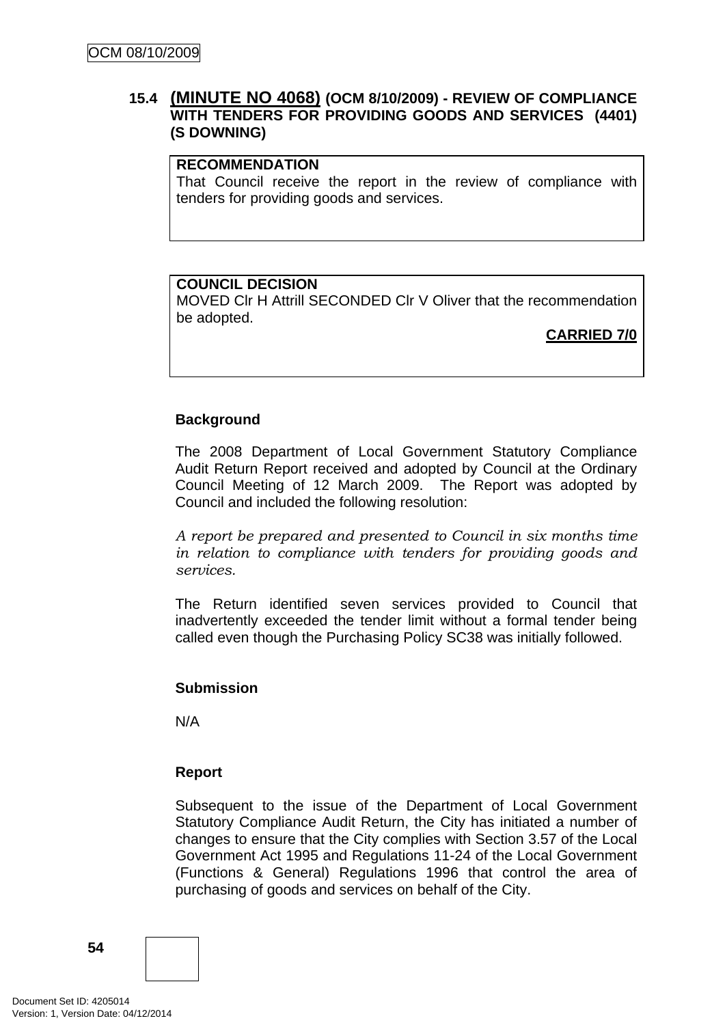## **15.4 (MINUTE NO 4068) (OCM 8/10/2009) - REVIEW OF COMPLIANCE WITH TENDERS FOR PROVIDING GOODS AND SERVICES (4401) (S DOWNING)**

#### **RECOMMENDATION**

That Council receive the report in the review of compliance with tenders for providing goods and services.

## **COUNCIL DECISION**

MOVED Clr H Attrill SECONDED Clr V Oliver that the recommendation be adopted.

**CARRIED 7/0**

## **Background**

The 2008 Department of Local Government Statutory Compliance Audit Return Report received and adopted by Council at the Ordinary Council Meeting of 12 March 2009. The Report was adopted by Council and included the following resolution:

*A report be prepared and presented to Council in six months time in relation to compliance with tenders for providing goods and services.* 

The Return identified seven services provided to Council that inadvertently exceeded the tender limit without a formal tender being called even though the Purchasing Policy SC38 was initially followed.

## **Submission**

N/A

## **Report**

Subsequent to the issue of the Department of Local Government Statutory Compliance Audit Return, the City has initiated a number of changes to ensure that the City complies with Section 3.57 of the Local Government Act 1995 and Regulations 11-24 of the Local Government (Functions & General) Regulations 1996 that control the area of purchasing of goods and services on behalf of the City.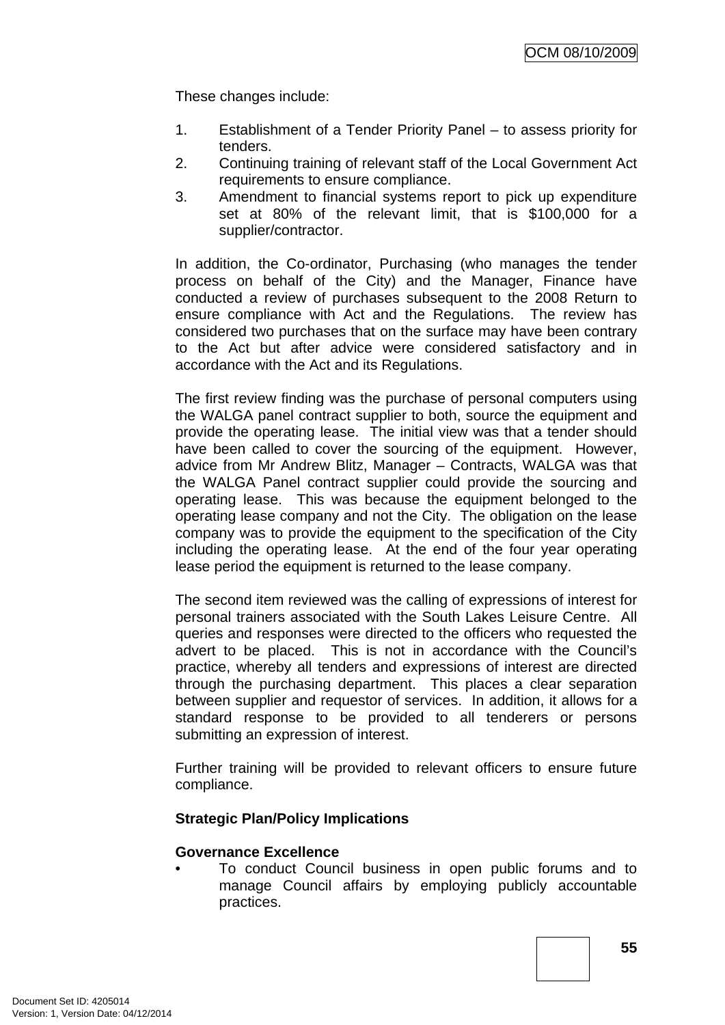These changes include:

- 1. Establishment of a Tender Priority Panel to assess priority for tenders.
- 2. Continuing training of relevant staff of the Local Government Act requirements to ensure compliance.
- 3. Amendment to financial systems report to pick up expenditure set at 80% of the relevant limit, that is \$100,000 for a supplier/contractor.

In addition, the Co-ordinator, Purchasing (who manages the tender process on behalf of the City) and the Manager, Finance have conducted a review of purchases subsequent to the 2008 Return to ensure compliance with Act and the Regulations. The review has considered two purchases that on the surface may have been contrary to the Act but after advice were considered satisfactory and in accordance with the Act and its Regulations.

The first review finding was the purchase of personal computers using the WALGA panel contract supplier to both, source the equipment and provide the operating lease. The initial view was that a tender should have been called to cover the sourcing of the equipment. However, advice from Mr Andrew Blitz, Manager – Contracts, WALGA was that the WALGA Panel contract supplier could provide the sourcing and operating lease. This was because the equipment belonged to the operating lease company and not the City. The obligation on the lease company was to provide the equipment to the specification of the City including the operating lease. At the end of the four year operating lease period the equipment is returned to the lease company.

The second item reviewed was the calling of expressions of interest for personal trainers associated with the South Lakes Leisure Centre. All queries and responses were directed to the officers who requested the advert to be placed. This is not in accordance with the Council's practice, whereby all tenders and expressions of interest are directed through the purchasing department. This places a clear separation between supplier and requestor of services. In addition, it allows for a standard response to be provided to all tenderers or persons submitting an expression of interest.

Further training will be provided to relevant officers to ensure future compliance.

## **Strategic Plan/Policy Implications**

## **Governance Excellence**

• To conduct Council business in open public forums and to manage Council affairs by employing publicly accountable practices.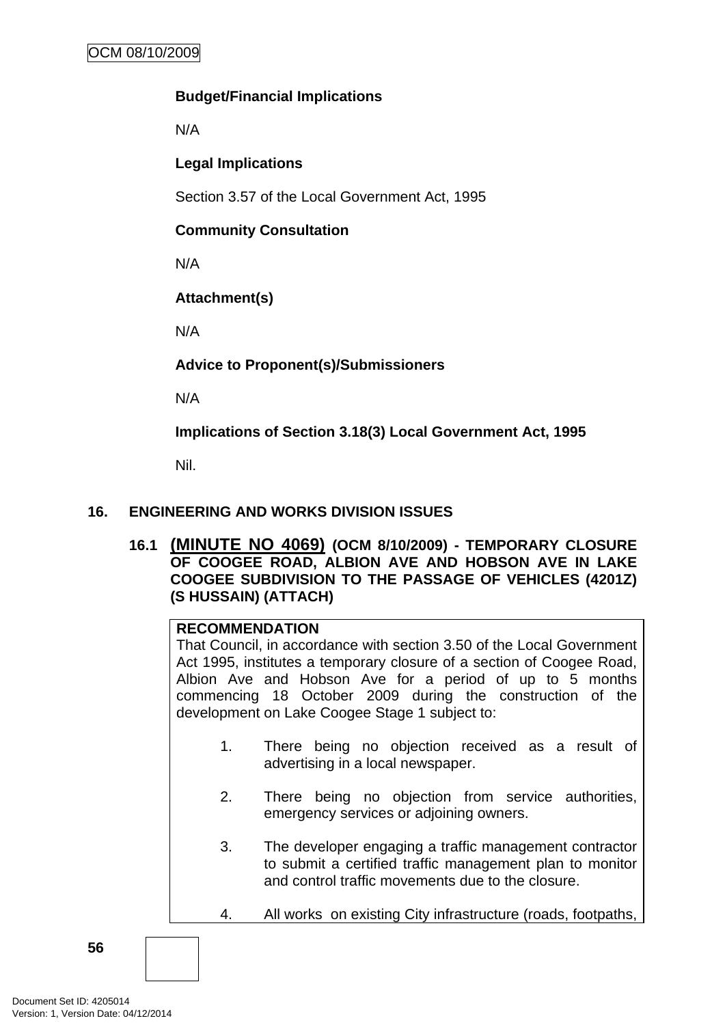# **Budget/Financial Implications**

N/A

# **Legal Implications**

Section 3.57 of the Local Government Act, 1995

# **Community Consultation**

N/A

# **Attachment(s)**

N/A

**Advice to Proponent(s)/Submissioners** 

N/A

**Implications of Section 3.18(3) Local Government Act, 1995**

Nil.

# **16. ENGINEERING AND WORKS DIVISION ISSUES**

**16.1 (MINUTE NO 4069) (OCM 8/10/2009) - TEMPORARY CLOSURE OF COOGEE ROAD, ALBION AVE AND HOBSON AVE IN LAKE COOGEE SUBDIVISION TO THE PASSAGE OF VEHICLES (4201Z) (S HUSSAIN) (ATTACH)** 

# **RECOMMENDATION**

That Council, in accordance with section 3.50 of the Local Government Act 1995, institutes a temporary closure of a section of Coogee Road, Albion Ave and Hobson Ave for a period of up to 5 months commencing 18 October 2009 during the construction of the development on Lake Coogee Stage 1 subject to:

- 1. There being no objection received as a result of advertising in a local newspaper.
- 2. There being no objection from service authorities, emergency services or adjoining owners.
- 3. The developer engaging a traffic management contractor to submit a certified traffic management plan to monitor and control traffic movements due to the closure.
- 4. All works on existing City infrastructure (roads, footpaths,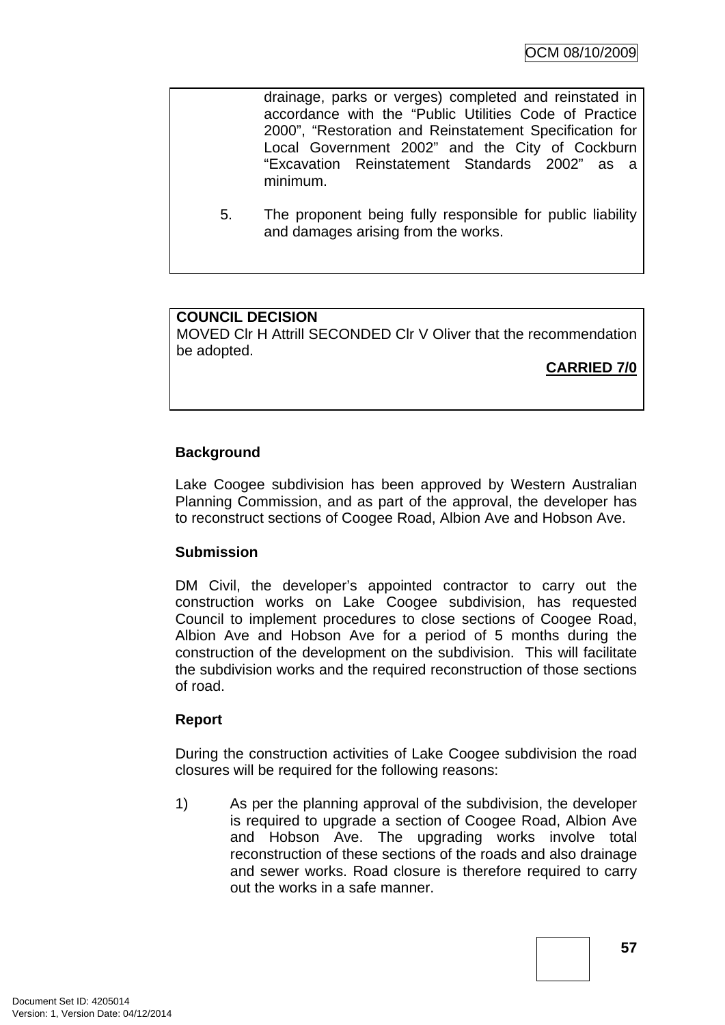drainage, parks or verges) completed and reinstated in accordance with the "Public Utilities Code of Practice 2000", "Restoration and Reinstatement Specification for Local Government 2002" and the City of Cockburn "Excavation Reinstatement Standards 2002" as a minimum.

5. The proponent being fully responsible for public liability and damages arising from the works.

# **COUNCIL DECISION**

MOVED Clr H Attrill SECONDED Clr V Oliver that the recommendation be adopted.

**CARRIED 7/0**

# **Background**

Lake Coogee subdivision has been approved by Western Australian Planning Commission, and as part of the approval, the developer has to reconstruct sections of Coogee Road, Albion Ave and Hobson Ave.

# **Submission**

DM Civil, the developer's appointed contractor to carry out the construction works on Lake Coogee subdivision, has requested Council to implement procedures to close sections of Coogee Road, Albion Ave and Hobson Ave for a period of 5 months during the construction of the development on the subdivision. This will facilitate the subdivision works and the required reconstruction of those sections of road.

# **Report**

During the construction activities of Lake Coogee subdivision the road closures will be required for the following reasons:

1) As per the planning approval of the subdivision, the developer is required to upgrade a section of Coogee Road, Albion Ave and Hobson Ave. The upgrading works involve total reconstruction of these sections of the roads and also drainage and sewer works. Road closure is therefore required to carry out the works in a safe manner.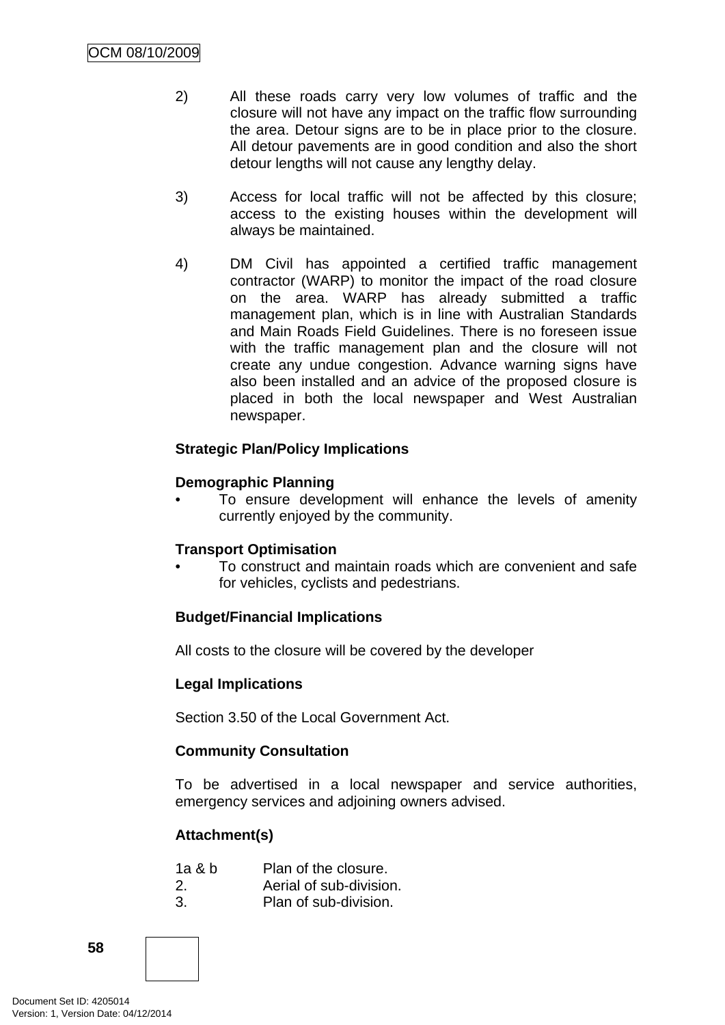- 2) All these roads carry very low volumes of traffic and the closure will not have any impact on the traffic flow surrounding the area. Detour signs are to be in place prior to the closure. All detour pavements are in good condition and also the short detour lengths will not cause any lengthy delay.
- 3) Access for local traffic will not be affected by this closure; access to the existing houses within the development will always be maintained.
- 4) DM Civil has appointed a certified traffic management contractor (WARP) to monitor the impact of the road closure on the area. WARP has already submitted a traffic management plan, which is in line with Australian Standards and Main Roads Field Guidelines. There is no foreseen issue with the traffic management plan and the closure will not create any undue congestion. Advance warning signs have also been installed and an advice of the proposed closure is placed in both the local newspaper and West Australian newspaper.

# **Strategic Plan/Policy Implications**

## **Demographic Planning**

To ensure development will enhance the levels of amenity currently enjoyed by the community.

## **Transport Optimisation**

• To construct and maintain roads which are convenient and safe for vehicles, cyclists and pedestrians.

# **Budget/Financial Implications**

All costs to the closure will be covered by the developer

## **Legal Implications**

Section 3.50 of the Local Government Act.

## **Community Consultation**

To be advertised in a local newspaper and service authorities, emergency services and adjoining owners advised.

# **Attachment(s)**

- 1a & b Plan of the closure.
- 2. Aerial of sub-division.
- 3. Plan of sub-division.

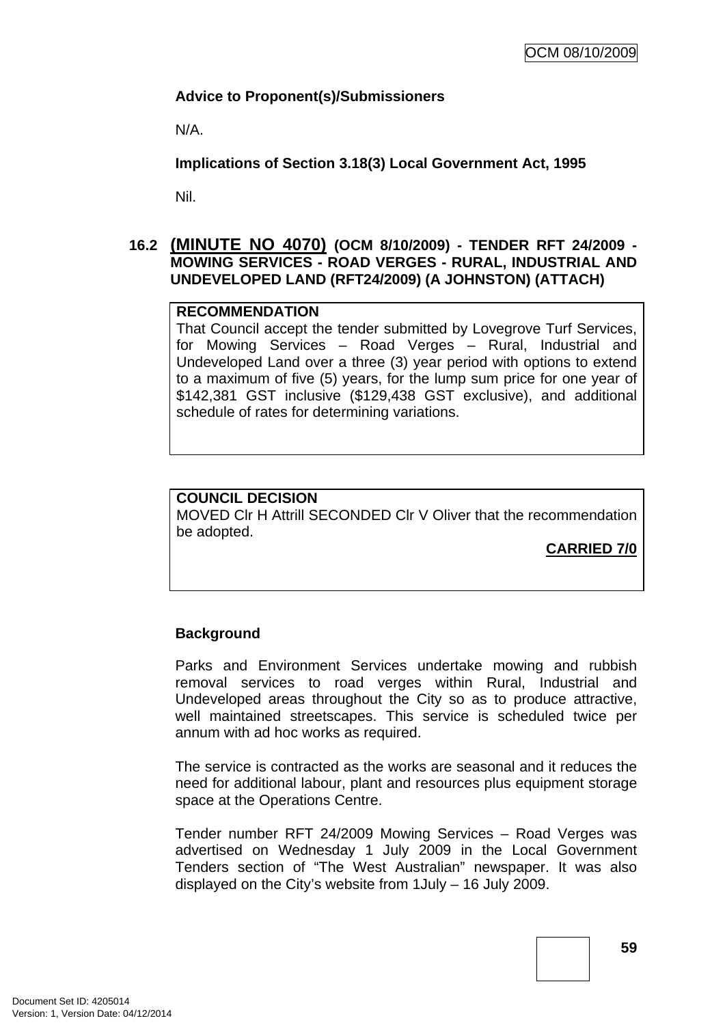## **Advice to Proponent(s)/Submissioners**

N/A.

**Implications of Section 3.18(3) Local Government Act, 1995**

Nil.

## **16.2 (MINUTE NO 4070) (OCM 8/10/2009) - TENDER RFT 24/2009 - MOWING SERVICES - ROAD VERGES - RURAL, INDUSTRIAL AND UNDEVELOPED LAND (RFT24/2009) (A JOHNSTON) (ATTACH)**

## **RECOMMENDATION**

That Council accept the tender submitted by Lovegrove Turf Services, for Mowing Services – Road Verges – Rural, Industrial and Undeveloped Land over a three (3) year period with options to extend to a maximum of five (5) years, for the lump sum price for one year of \$142,381 GST inclusive (\$129,438 GST exclusive), and additional schedule of rates for determining variations.

## **COUNCIL DECISION**

MOVED Clr H Attrill SECONDED Clr V Oliver that the recommendation be adopted.

**CARRIED 7/0**

# **Background**

Parks and Environment Services undertake mowing and rubbish removal services to road verges within Rural, Industrial and Undeveloped areas throughout the City so as to produce attractive, well maintained streetscapes. This service is scheduled twice per annum with ad hoc works as required.

The service is contracted as the works are seasonal and it reduces the need for additional labour, plant and resources plus equipment storage space at the Operations Centre.

Tender number RFT 24/2009 Mowing Services – Road Verges was advertised on Wednesday 1 July 2009 in the Local Government Tenders section of "The West Australian" newspaper. It was also displayed on the City's website from 1July – 16 July 2009.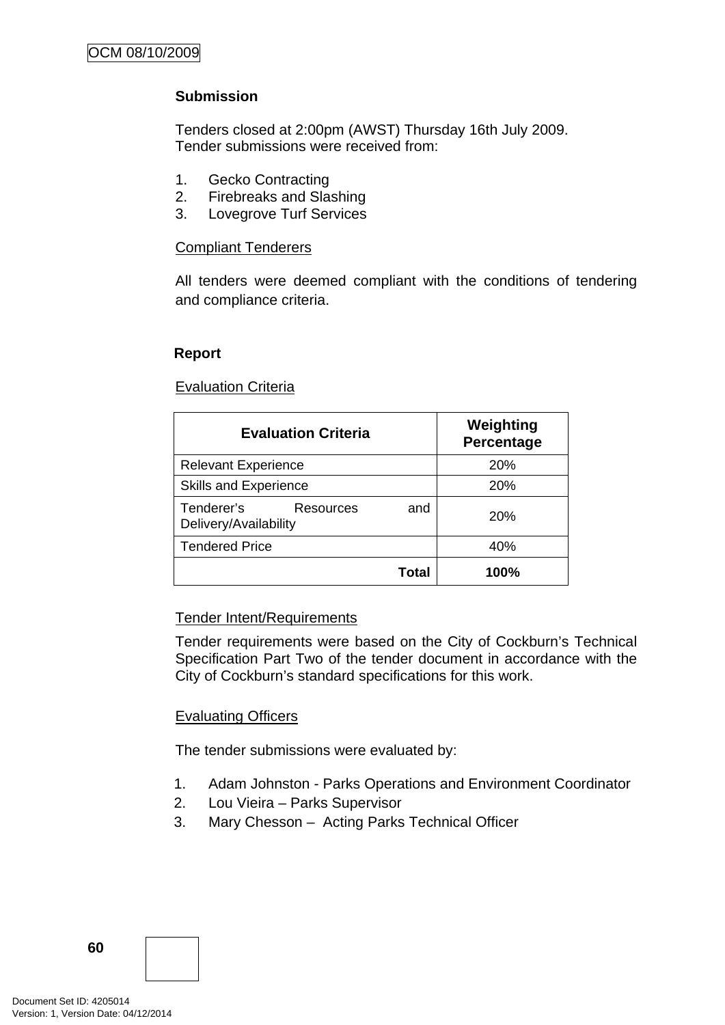# **Submission**

Tenders closed at 2:00pm (AWST) Thursday 16th July 2009. Tender submissions were received from:

- 1. Gecko Contracting
- 2. Firebreaks and Slashing
- 3. Lovegrove Turf Services

## Compliant Tenderers

All tenders were deemed compliant with the conditions of tendering and compliance criteria.

## **Report**

#### Evaluation Criteria

| <b>Evaluation Criteria</b>                              | Weighting<br>Percentage |
|---------------------------------------------------------|-------------------------|
| <b>Relevant Experience</b>                              | <b>20%</b>              |
| <b>Skills and Experience</b>                            | 20%                     |
| Tenderer's<br>and<br>Resources<br>Delivery/Availability | <b>20%</b>              |
| <b>Tendered Price</b>                                   | 40%                     |
| Total                                                   | 100%                    |

## Tender Intent/Requirements

Tender requirements were based on the City of Cockburn's Technical Specification Part Two of the tender document in accordance with the City of Cockburn's standard specifications for this work.

## Evaluating Officers

The tender submissions were evaluated by:

- 1. Adam Johnston Parks Operations and Environment Coordinator
- 2. Lou Vieira Parks Supervisor
- 3. Mary Chesson Acting Parks Technical Officer

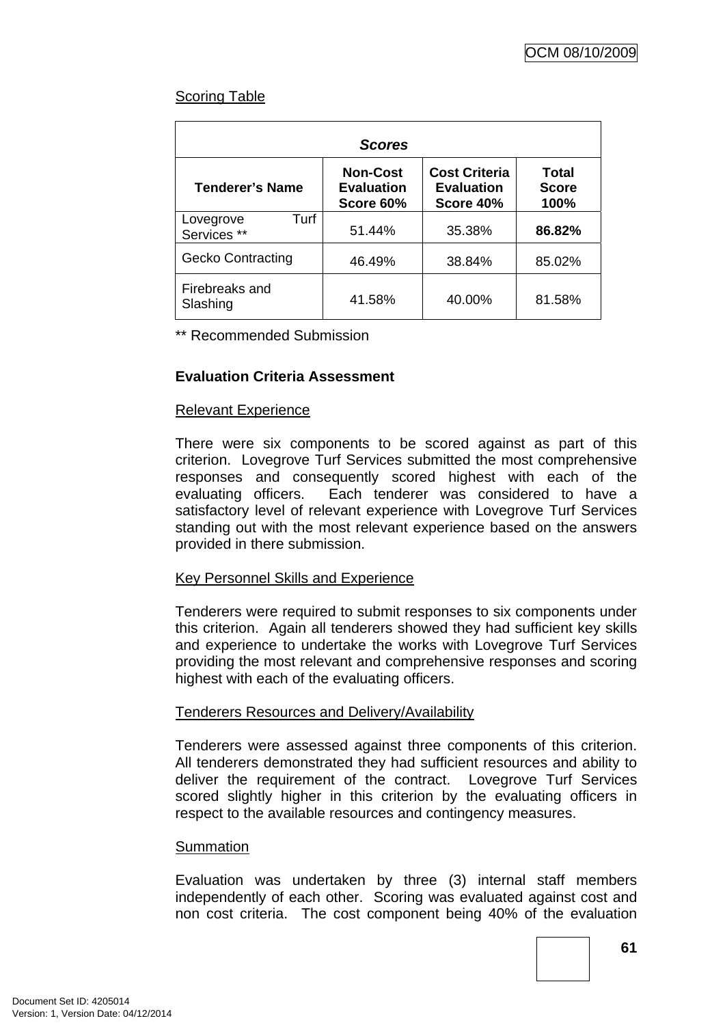# Scoring Table

| <b>Scores</b>                    |                                                   |                                                        |                               |  |
|----------------------------------|---------------------------------------------------|--------------------------------------------------------|-------------------------------|--|
| <b>Tenderer's Name</b>           | <b>Non-Cost</b><br><b>Evaluation</b><br>Score 60% | <b>Cost Criteria</b><br><b>Evaluation</b><br>Score 40% | Total<br><b>Score</b><br>100% |  |
| Turf<br>Lovegrove<br>Services ** | 51.44%                                            | 35.38%                                                 | 86.82%                        |  |
| <b>Gecko Contracting</b>         | 46.49%                                            | 38.84%                                                 | 85.02%                        |  |
| Firebreaks and<br>Slashing       | 41.58%                                            | 40.00%                                                 | 81.58%                        |  |

\*\* Recommended Submission

# **Evaluation Criteria Assessment**

## Relevant Experience

There were six components to be scored against as part of this criterion. Lovegrove Turf Services submitted the most comprehensive responses and consequently scored highest with each of the evaluating officers. Each tenderer was considered to have a satisfactory level of relevant experience with Lovegrove Turf Services standing out with the most relevant experience based on the answers provided in there submission.

## Key Personnel Skills and Experience

Tenderers were required to submit responses to six components under this criterion. Again all tenderers showed they had sufficient key skills and experience to undertake the works with Lovegrove Turf Services providing the most relevant and comprehensive responses and scoring highest with each of the evaluating officers.

## Tenderers Resources and Delivery/Availability

Tenderers were assessed against three components of this criterion. All tenderers demonstrated they had sufficient resources and ability to deliver the requirement of the contract. Lovegrove Turf Services scored slightly higher in this criterion by the evaluating officers in respect to the available resources and contingency measures.

## **Summation**

Evaluation was undertaken by three (3) internal staff members independently of each other. Scoring was evaluated against cost and non cost criteria. The cost component being 40% of the evaluation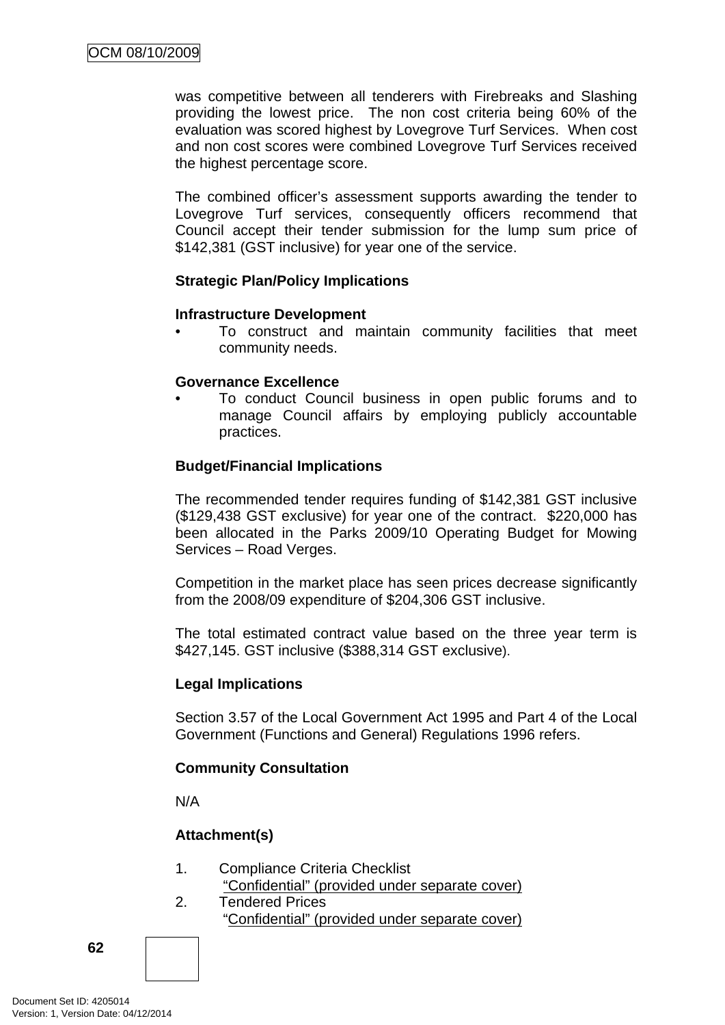was competitive between all tenderers with Firebreaks and Slashing providing the lowest price. The non cost criteria being 60% of the evaluation was scored highest by Lovegrove Turf Services. When cost and non cost scores were combined Lovegrove Turf Services received the highest percentage score.

The combined officer's assessment supports awarding the tender to Lovegrove Turf services, consequently officers recommend that Council accept their tender submission for the lump sum price of \$142,381 (GST inclusive) for year one of the service.

## **Strategic Plan/Policy Implications**

#### **Infrastructure Development**

• To construct and maintain community facilities that meet community needs.

#### **Governance Excellence**

• To conduct Council business in open public forums and to manage Council affairs by employing publicly accountable practices.

#### **Budget/Financial Implications**

The recommended tender requires funding of \$142,381 GST inclusive (\$129,438 GST exclusive) for year one of the contract. \$220,000 has been allocated in the Parks 2009/10 Operating Budget for Mowing Services – Road Verges.

Competition in the market place has seen prices decrease significantly from the 2008/09 expenditure of \$204,306 GST inclusive.

The total estimated contract value based on the three year term is \$427,145. GST inclusive (\$388,314 GST exclusive).

#### **Legal Implications**

Section 3.57 of the Local Government Act 1995 and Part 4 of the Local Government (Functions and General) Regulations 1996 refers.

## **Community Consultation**

N/A

## **Attachment(s)**

- 1. Compliance Criteria Checklist "Confidential" (provided under separate cover)
- 2. Tendered Prices "Confidential" (provided under separate cover)

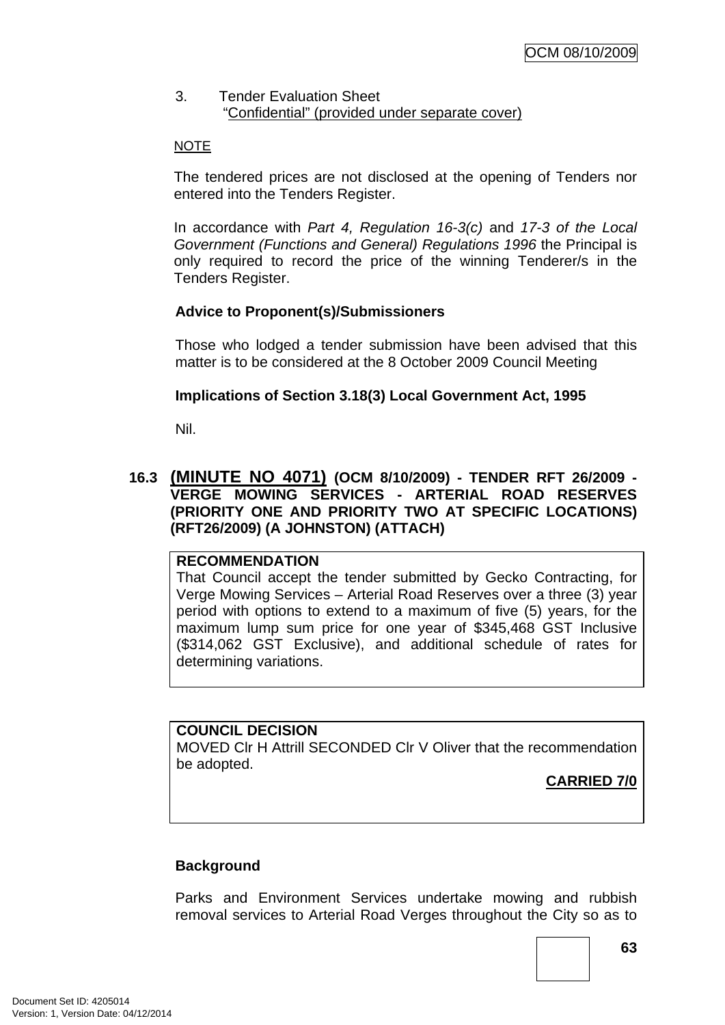#### 3. Tender Evaluation Sheet "Confidential" (provided under separate cover)

## NOTE

The tendered prices are not disclosed at the opening of Tenders nor entered into the Tenders Register.

In accordance with *Part 4, Regulation 16-3(c)* and *17-3 of the Local Government (Functions and General) Regulations 1996* the Principal is only required to record the price of the winning Tenderer/s in the Tenders Register.

# **Advice to Proponent(s)/Submissioners**

Those who lodged a tender submission have been advised that this matter is to be considered at the 8 October 2009 Council Meeting

## **Implications of Section 3.18(3) Local Government Act, 1995**

Nil.

## **16.3 (MINUTE NO 4071) (OCM 8/10/2009) - TENDER RFT 26/2009 - VERGE MOWING SERVICES - ARTERIAL ROAD RESERVES (PRIORITY ONE AND PRIORITY TWO AT SPECIFIC LOCATIONS) (RFT26/2009) (A JOHNSTON) (ATTACH)**

## **RECOMMENDATION**

That Council accept the tender submitted by Gecko Contracting, for Verge Mowing Services – Arterial Road Reserves over a three (3) year period with options to extend to a maximum of five (5) years, for the maximum lump sum price for one year of \$345,468 GST Inclusive (\$314,062 GST Exclusive), and additional schedule of rates for determining variations.

## **COUNCIL DECISION**

MOVED Clr H Attrill SECONDED Clr V Oliver that the recommendation be adopted.

**CARRIED 7/0**

# **Background**

Parks and Environment Services undertake mowing and rubbish removal services to Arterial Road Verges throughout the City so as to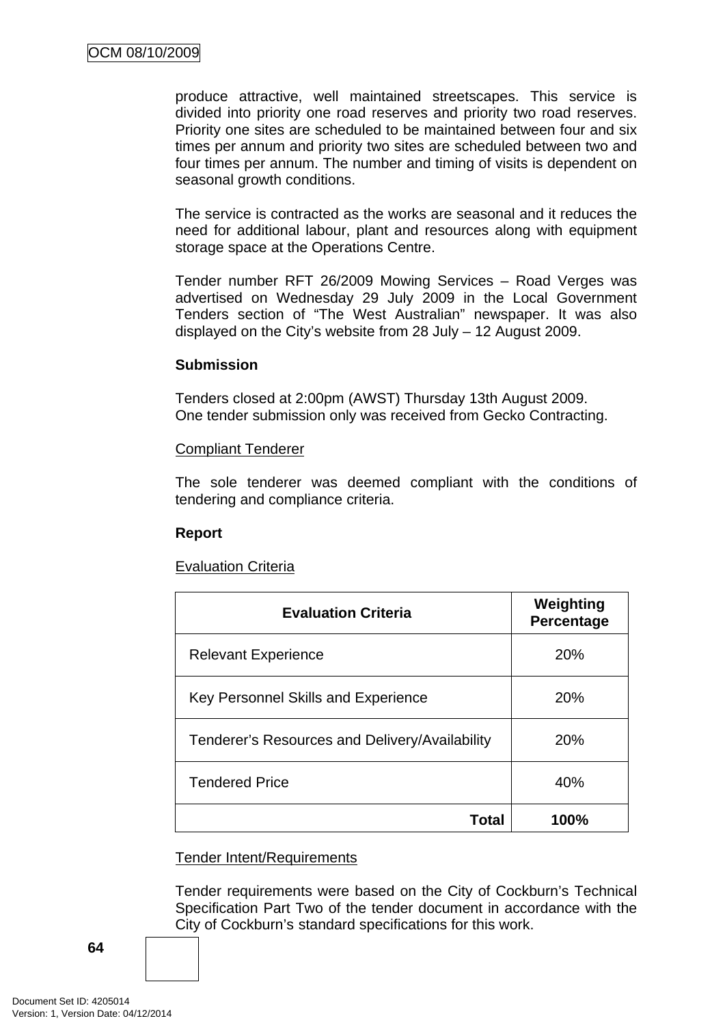produce attractive, well maintained streetscapes. This service is divided into priority one road reserves and priority two road reserves. Priority one sites are scheduled to be maintained between four and six times per annum and priority two sites are scheduled between two and four times per annum. The number and timing of visits is dependent on seasonal growth conditions.

The service is contracted as the works are seasonal and it reduces the need for additional labour, plant and resources along with equipment storage space at the Operations Centre.

Tender number RFT 26/2009 Mowing Services – Road Verges was advertised on Wednesday 29 July 2009 in the Local Government Tenders section of "The West Australian" newspaper. It was also displayed on the City's website from 28 July – 12 August 2009.

## **Submission**

Tenders closed at 2:00pm (AWST) Thursday 13th August 2009. One tender submission only was received from Gecko Contracting.

#### Compliant Tenderer

The sole tenderer was deemed compliant with the conditions of tendering and compliance criteria.

## **Report**

Evaluation Criteria

| <b>Evaluation Criteria</b>                     | Weighting<br>Percentage |
|------------------------------------------------|-------------------------|
| <b>Relevant Experience</b>                     | 20%                     |
| <b>Key Personnel Skills and Experience</b>     | 20%                     |
| Tenderer's Resources and Delivery/Availability | 20%                     |
| <b>Tendered Price</b>                          | 40%                     |
| Total                                          | 100%                    |

## Tender Intent/Requirements

Tender requirements were based on the City of Cockburn's Technical Specification Part Two of the tender document in accordance with the City of Cockburn's standard specifications for this work.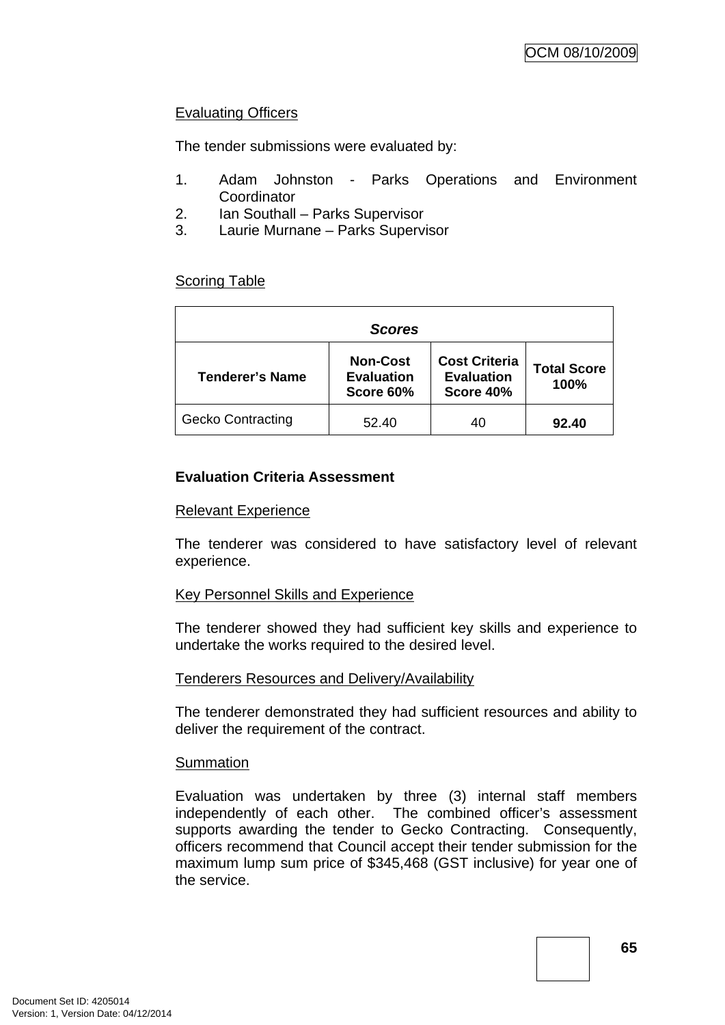## Evaluating Officers

The tender submissions were evaluated by:

- 1. Adam Johnston Parks Operations and Environment **Coordinator**
- 2. Ian Southall Parks Supervisor
- 3. Laurie Murnane Parks Supervisor

## Scoring Table

| <b>Scores</b>            |                                                   |                                                        |                            |  |
|--------------------------|---------------------------------------------------|--------------------------------------------------------|----------------------------|--|
| <b>Tenderer's Name</b>   | <b>Non-Cost</b><br><b>Evaluation</b><br>Score 60% | <b>Cost Criteria</b><br><b>Evaluation</b><br>Score 40% | <b>Total Score</b><br>100% |  |
| <b>Gecko Contracting</b> | 52.40                                             | 40                                                     | 92.40                      |  |

## **Evaluation Criteria Assessment**

#### Relevant Experience

The tenderer was considered to have satisfactory level of relevant experience.

## Key Personnel Skills and Experience

The tenderer showed they had sufficient key skills and experience to undertake the works required to the desired level.

## Tenderers Resources and Delivery/Availability

The tenderer demonstrated they had sufficient resources and ability to deliver the requirement of the contract.

## **Summation**

Evaluation was undertaken by three (3) internal staff members independently of each other. The combined officer's assessment supports awarding the tender to Gecko Contracting. Consequently, officers recommend that Council accept their tender submission for the maximum lump sum price of \$345,468 (GST inclusive) for year one of the service.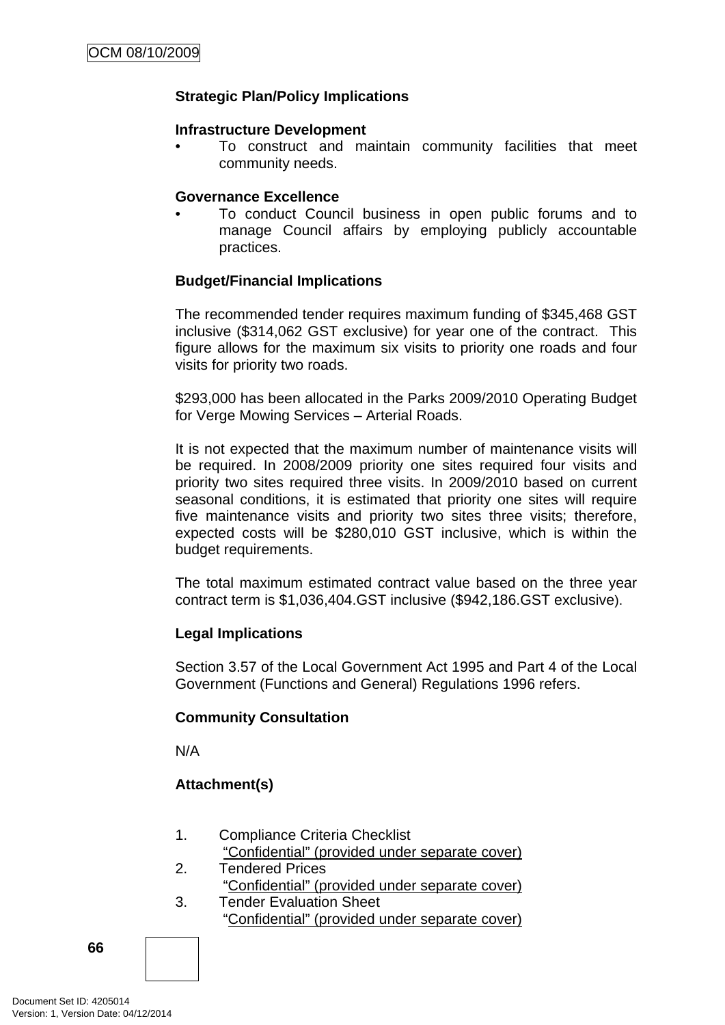## **Strategic Plan/Policy Implications**

#### **Infrastructure Development**

• To construct and maintain community facilities that meet community needs.

#### **Governance Excellence**

• To conduct Council business in open public forums and to manage Council affairs by employing publicly accountable practices.

## **Budget/Financial Implications**

The recommended tender requires maximum funding of \$345,468 GST inclusive (\$314,062 GST exclusive) for year one of the contract. This figure allows for the maximum six visits to priority one roads and four visits for priority two roads.

\$293,000 has been allocated in the Parks 2009/2010 Operating Budget for Verge Mowing Services – Arterial Roads.

It is not expected that the maximum number of maintenance visits will be required. In 2008/2009 priority one sites required four visits and priority two sites required three visits. In 2009/2010 based on current seasonal conditions, it is estimated that priority one sites will require five maintenance visits and priority two sites three visits; therefore, expected costs will be \$280,010 GST inclusive, which is within the budget requirements.

The total maximum estimated contract value based on the three year contract term is \$1,036,404.GST inclusive (\$942,186.GST exclusive).

## **Legal Implications**

Section 3.57 of the Local Government Act 1995 and Part 4 of the Local Government (Functions and General) Regulations 1996 refers.

## **Community Consultation**

N/A

# **Attachment(s)**

- 1. Compliance Criteria Checklist
- "Confidential" (provided under separate cover) 2. Tendered Prices
- "Confidential" (provided under separate cover) 3. Tender Evaluation Sheet
- "Confidential" (provided under separate cover)

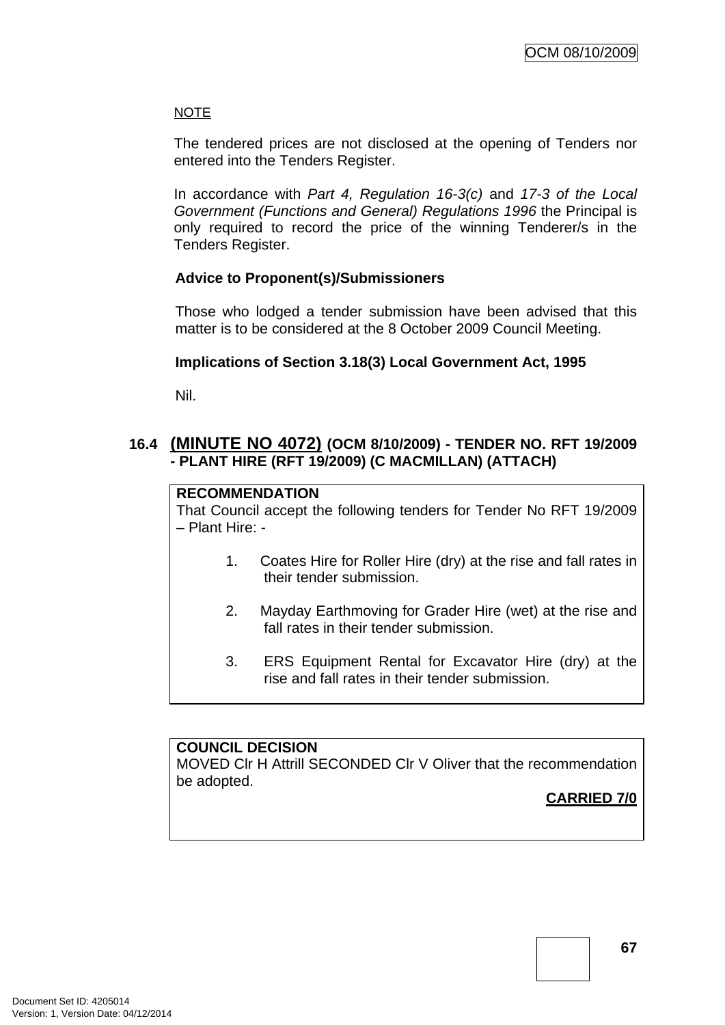## **NOTE**

The tendered prices are not disclosed at the opening of Tenders nor entered into the Tenders Register.

In accordance with *Part 4, Regulation 16-3(c)* and *17-3 of the Local Government (Functions and General) Regulations 1996* the Principal is only required to record the price of the winning Tenderer/s in the Tenders Register.

## **Advice to Proponent(s)/Submissioners**

Those who lodged a tender submission have been advised that this matter is to be considered at the 8 October 2009 Council Meeting.

## **Implications of Section 3.18(3) Local Government Act, 1995**

Nil.

## **16.4 (MINUTE NO 4072) (OCM 8/10/2009) - TENDER NO. RFT 19/2009 - PLANT HIRE (RFT 19/2009) (C MACMILLAN) (ATTACH)**

## **RECOMMENDATION**

That Council accept the following tenders for Tender No RFT 19/2009 – Plant Hire: -

- 1. Coates Hire for Roller Hire (dry) at the rise and fall rates in their tender submission.
- 2. Mayday Earthmoving for Grader Hire (wet) at the rise and fall rates in their tender submission.
- 3. ERS Equipment Rental for Excavator Hire (dry) at the rise and fall rates in their tender submission.

## **COUNCIL DECISION**

MOVED Clr H Attrill SECONDED Clr V Oliver that the recommendation be adopted.

# **CARRIED 7/0**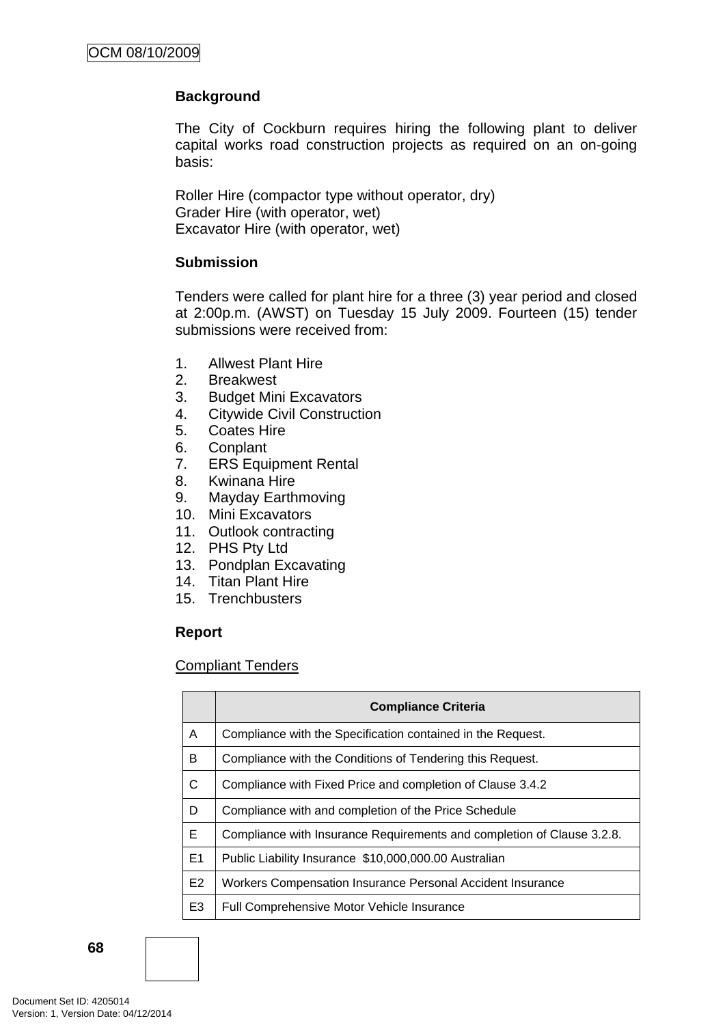# **Background**

The City of Cockburn requires hiring the following plant to deliver capital works road construction projects as required on an on-going basis:

Roller Hire (compactor type without operator, dry) Grader Hire (with operator, wet) Excavator Hire (with operator, wet)

#### **Submission**

Tenders were called for plant hire for a three (3) year period and closed at 2:00p.m. (AWST) on Tuesday 15 July 2009. Fourteen (15) tender submissions were received from:

- 1. Allwest Plant Hire
- 2. Breakwest
- 3. Budget Mini Excavators
- 4. Citywide Civil Construction
- 5. Coates Hire
- 6. Conplant
- 7. ERS Equipment Rental
- 8. Kwinana Hire
- 9. Mayday Earthmoving
- 10. Mini Excavators
- 11. Outlook contracting
- 12. PHS Pty Ltd
- 13. Pondplan Excavating
- 14. Titan Plant Hire
- 15. Trenchbusters

#### **Report**

#### Compliant Tenders

|                | <b>Compliance Criteria</b>                                             |
|----------------|------------------------------------------------------------------------|
| A              | Compliance with the Specification contained in the Request.            |
| В              | Compliance with the Conditions of Tendering this Request.              |
| С              | Compliance with Fixed Price and completion of Clause 3.4.2             |
| D              | Compliance with and completion of the Price Schedule                   |
| Е              | Compliance with Insurance Requirements and completion of Clause 3.2.8. |
| E1             | Public Liability Insurance \$10,000,000.00 Australian                  |
| E2             | Workers Compensation Insurance Personal Accident Insurance             |
| E <sub>3</sub> | Full Comprehensive Motor Vehicle Insurance                             |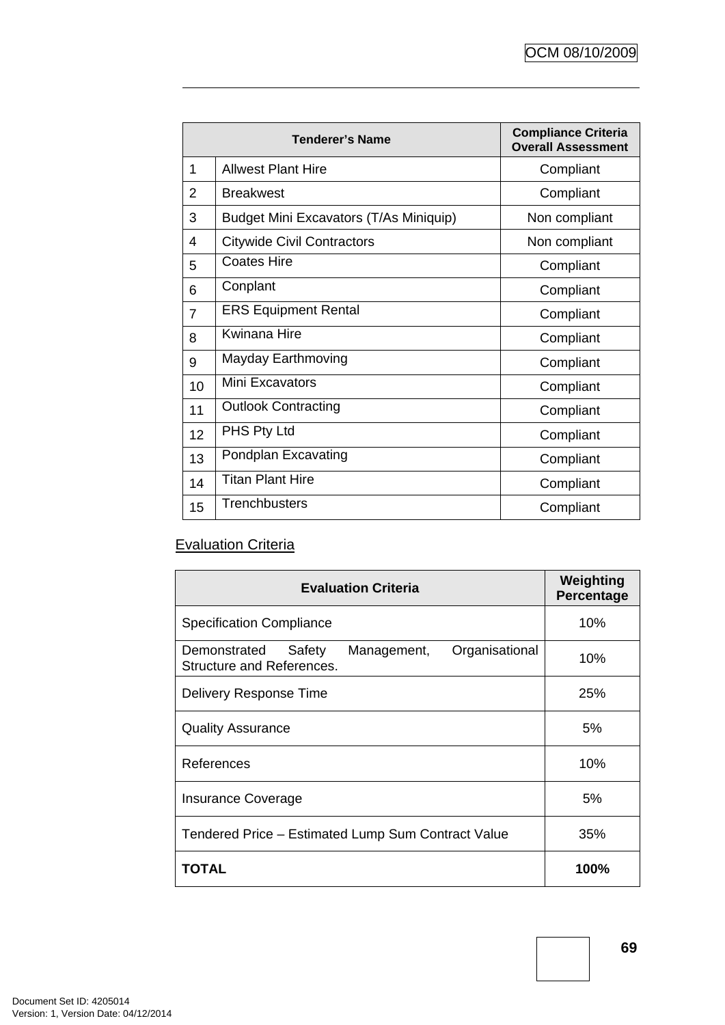|    | <b>Tenderer's Name</b>                 | <b>Compliance Criteria</b><br><b>Overall Assessment</b> |
|----|----------------------------------------|---------------------------------------------------------|
| 1  | <b>Allwest Plant Hire</b>              | Compliant                                               |
| 2  | <b>Breakwest</b>                       | Compliant                                               |
| 3  | Budget Mini Excavators (T/As Miniquip) | Non compliant                                           |
| 4  | <b>Citywide Civil Contractors</b>      | Non compliant                                           |
| 5  | <b>Coates Hire</b>                     | Compliant                                               |
| 6  | Conplant                               | Compliant                                               |
| 7  | <b>ERS Equipment Rental</b>            | Compliant                                               |
| 8  | Kwinana Hire                           | Compliant                                               |
| 9  | Mayday Earthmoving                     | Compliant                                               |
| 10 | Mini Excavators                        | Compliant                                               |
| 11 | <b>Outlook Contracting</b>             | Compliant                                               |
| 12 | PHS Pty Ltd                            | Compliant                                               |
| 13 | Pondplan Excavating                    | Compliant                                               |
| 14 | <b>Titan Plant Hire</b>                | Compliant                                               |
| 15 | <b>Trenchbusters</b>                   | Compliant                                               |

# **Evaluation Criteria**

| <b>Evaluation Criteria</b>                                                           | Weighting<br>Percentage |
|--------------------------------------------------------------------------------------|-------------------------|
| <b>Specification Compliance</b>                                                      | 10%                     |
| Organisational<br>Demonstrated<br>Safety<br>Management,<br>Structure and References. | 10%                     |
| Delivery Response Time                                                               | 25%                     |
| <b>Quality Assurance</b>                                                             | 5%                      |
| References                                                                           | 10%                     |
| <b>Insurance Coverage</b>                                                            | 5%                      |
| Tendered Price – Estimated Lump Sum Contract Value                                   | 35%                     |
| TOTAL                                                                                | 100%                    |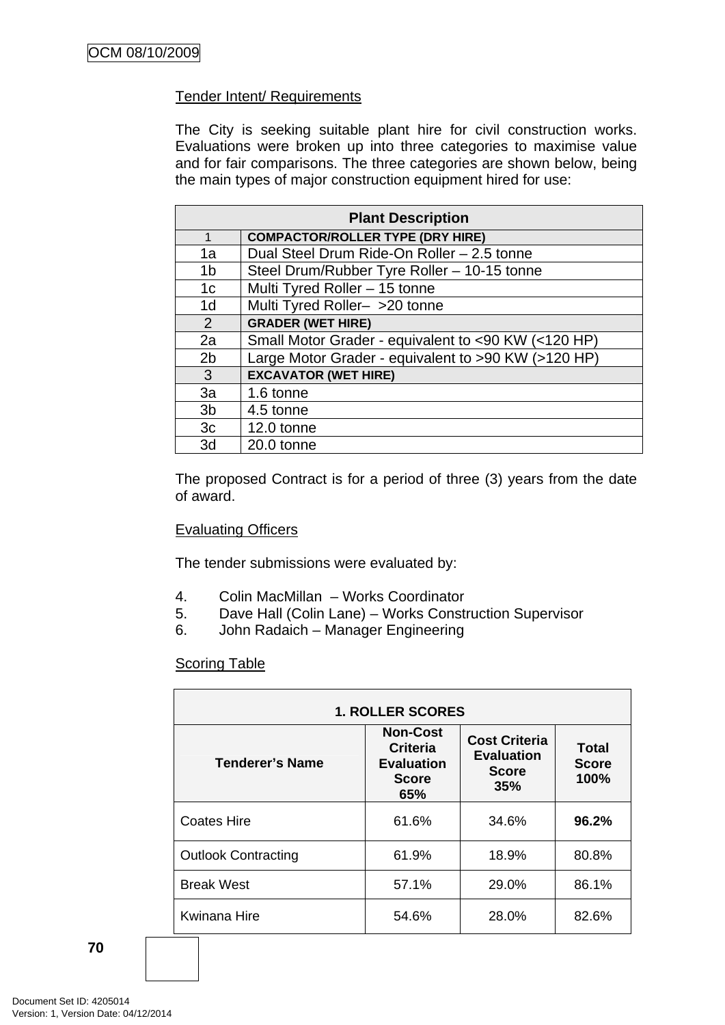### Tender Intent/ Requirements

The City is seeking suitable plant hire for civil construction works. Evaluations were broken up into three categories to maximise value and for fair comparisons. The three categories are shown below, being the main types of major construction equipment hired for use:

| <b>Plant Description</b> |                                                     |  |  |
|--------------------------|-----------------------------------------------------|--|--|
| 1                        | <b>COMPACTOR/ROLLER TYPE (DRY HIRE)</b>             |  |  |
| 1a                       | Dual Steel Drum Ride-On Roller - 2.5 tonne          |  |  |
| 1 <sub>b</sub>           | Steel Drum/Rubber Tyre Roller - 10-15 tonne         |  |  |
| 1 <sub>c</sub>           | Multi Tyred Roller - 15 tonne                       |  |  |
| 1 <sub>d</sub>           | Multi Tyred Roller- >20 tonne                       |  |  |
| 2                        | <b>GRADER (WET HIRE)</b>                            |  |  |
| 2a                       | Small Motor Grader - equivalent to <90 KW (<120 HP) |  |  |
| 2 <sub>b</sub>           | Large Motor Grader - equivalent to >90 KW (>120 HP) |  |  |
| 3                        | <b>EXCAVATOR (WET HIRE)</b>                         |  |  |
| 3a                       | 1.6 tonne                                           |  |  |
| 3 <sub>b</sub>           | 4.5 tonne                                           |  |  |
| 3 <sub>c</sub>           | 12.0 tonne                                          |  |  |
| 3d                       | 20.0 tonne                                          |  |  |

The proposed Contract is for a period of three (3) years from the date of award.

# Evaluating Officers

The tender submissions were evaluated by:

- 4. Colin MacMillan Works Coordinator
- 5. Dave Hall (Colin Lane) Works Construction Supervisor
- 6. John Radaich Manager Engineering

#### Scoring Table

| <b>1. ROLLER SCORES</b>    |                                                                                |                                                                  |                               |  |
|----------------------------|--------------------------------------------------------------------------------|------------------------------------------------------------------|-------------------------------|--|
| <b>Tenderer's Name</b>     | <b>Non-Cost</b><br><b>Criteria</b><br><b>Evaluation</b><br><b>Score</b><br>65% | <b>Cost Criteria</b><br><b>Evaluation</b><br><b>Score</b><br>35% | Total<br><b>Score</b><br>100% |  |
| Coates Hire                | 61.6%                                                                          | 34.6%                                                            | 96.2%                         |  |
| <b>Outlook Contracting</b> | 61.9%                                                                          | 80.8%<br>18.9%                                                   |                               |  |
| <b>Break West</b>          | 57.1%                                                                          | 29.0%                                                            | 86.1%                         |  |
| Kwinana Hire               | 54.6%                                                                          | 28.0%                                                            | 82.6%                         |  |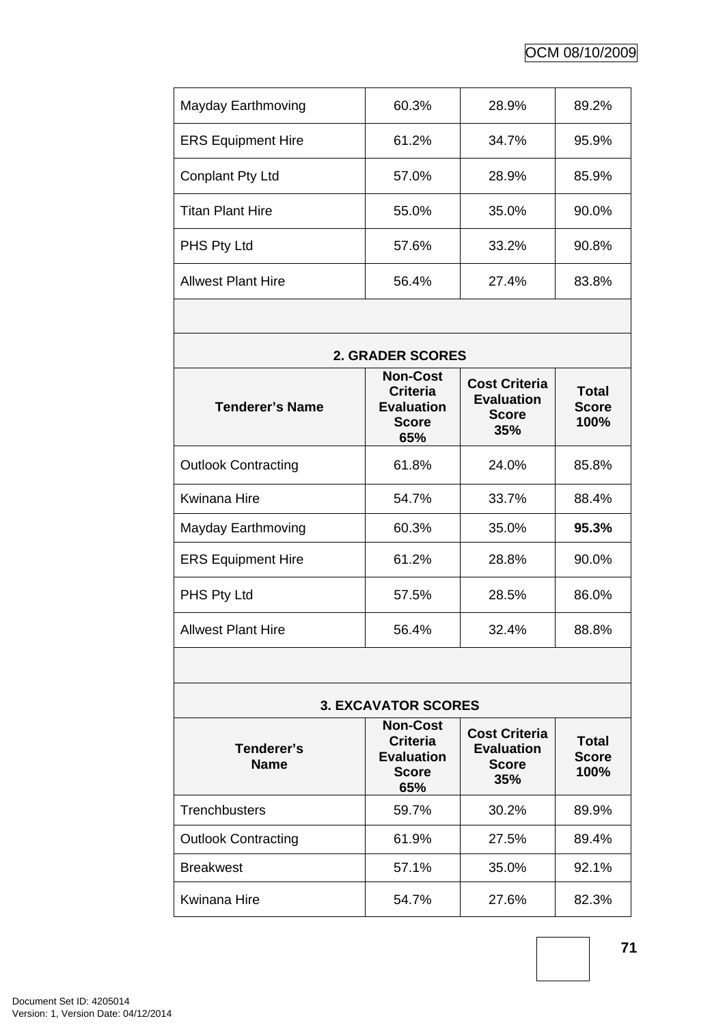| Mayday Earthmoving        | 60.3% | 28.9% | 89.2% |
|---------------------------|-------|-------|-------|
| <b>ERS Equipment Hire</b> | 61.2% | 34.7% | 95.9% |
| <b>Conplant Pty Ltd</b>   | 57.0% | 28.9% | 85.9% |
| <b>Titan Plant Hire</b>   | 55.0% | 35.0% | 90.0% |
| PHS Pty Ltd               | 57.6% | 33.2% | 90.8% |
| <b>Allwest Plant Hire</b> | 56.4% | 27.4% | 83.8% |

| <b>2. GRADER SCORES</b>    |                                                                                |                                                                  |                               |  |
|----------------------------|--------------------------------------------------------------------------------|------------------------------------------------------------------|-------------------------------|--|
| <b>Tenderer's Name</b>     | <b>Non-Cost</b><br><b>Criteria</b><br><b>Evaluation</b><br><b>Score</b><br>65% | <b>Cost Criteria</b><br><b>Evaluation</b><br><b>Score</b><br>35% | Total<br><b>Score</b><br>100% |  |
| <b>Outlook Contracting</b> | 61.8%                                                                          | 24.0%                                                            | 85.8%                         |  |
| Kwinana Hire               | 54.7%                                                                          | 33.7%                                                            | 88.4%                         |  |
| Mayday Earthmoving         | 60.3%                                                                          | 35.0%                                                            | 95.3%                         |  |
| <b>ERS Equipment Hire</b>  | 61.2%                                                                          | 28.8%                                                            | 90.0%                         |  |
| PHS Pty Ltd                | 57.5%                                                                          | 28.5%                                                            | 86.0%                         |  |
| <b>Allwest Plant Hire</b>  | 56.4%                                                                          | 32.4%                                                            | 88.8%                         |  |

| <b>3. EXCAVATOR SCORES</b> |                                                                                |                                                                  |                                      |  |
|----------------------------|--------------------------------------------------------------------------------|------------------------------------------------------------------|--------------------------------------|--|
| Tenderer's<br><b>Name</b>  | <b>Non-Cost</b><br><b>Criteria</b><br><b>Evaluation</b><br><b>Score</b><br>65% | <b>Cost Criteria</b><br><b>Evaluation</b><br><b>Score</b><br>35% | <b>Total</b><br><b>Score</b><br>100% |  |
| <b>Trenchbusters</b>       | 59.7%                                                                          | 30.2%                                                            | 89.9%                                |  |
| <b>Outlook Contracting</b> | 61.9%                                                                          | 27.5%                                                            | 89.4%                                |  |
| <b>Breakwest</b>           | 57.1%                                                                          | 35.0%                                                            | 92.1%                                |  |
| <b>Kwinana Hire</b>        | 54.7%                                                                          | 27.6%                                                            | 82.3%                                |  |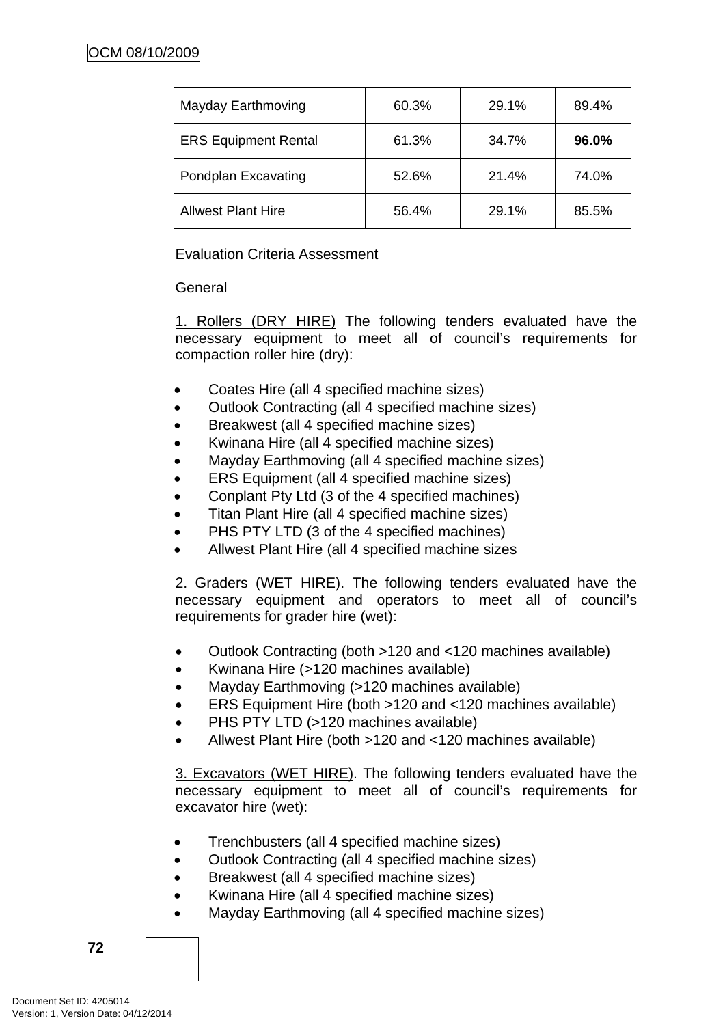| Mayday Earthmoving          | 29.1%<br>60.3% |       | 89.4% |
|-----------------------------|----------------|-------|-------|
| <b>ERS Equipment Rental</b> | 61.3%          | 34.7% | 96.0% |
| Pondplan Excavating         | 52.6%          | 21.4% | 74.0% |
| <b>Allwest Plant Hire</b>   | 56.4%          | 29.1% | 85.5% |

Evaluation Criteria Assessment

# **General**

1. Rollers (DRY HIRE) The following tenders evaluated have the necessary equipment to meet all of council's requirements for compaction roller hire (dry):

- Coates Hire (all 4 specified machine sizes)
- Outlook Contracting (all 4 specified machine sizes)
- Breakwest (all 4 specified machine sizes)
- Kwinana Hire (all 4 specified machine sizes)
- Mayday Earthmoving (all 4 specified machine sizes)
- ERS Equipment (all 4 specified machine sizes)
- Conplant Pty Ltd (3 of the 4 specified machines)
- Titan Plant Hire (all 4 specified machine sizes)
- PHS PTY LTD (3 of the 4 specified machines)
- Allwest Plant Hire (all 4 specified machine sizes

2. Graders (WET HIRE). The following tenders evaluated have the necessary equipment and operators to meet all of council's requirements for grader hire (wet):

- Outlook Contracting (both >120 and <120 machines available)
- Kwinana Hire (>120 machines available)
- Mayday Earthmoving (>120 machines available)
- ERS Equipment Hire (both >120 and <120 machines available)
- PHS PTY LTD (>120 machines available)
- Allwest Plant Hire (both >120 and <120 machines available)

3. Excavators (WET HIRE). The following tenders evaluated have the necessary equipment to meet all of council's requirements for excavator hire (wet):

- Trenchbusters (all 4 specified machine sizes)
- Outlook Contracting (all 4 specified machine sizes)
- Breakwest (all 4 specified machine sizes)
- Kwinana Hire (all 4 specified machine sizes)
- Mayday Earthmoving (all 4 specified machine sizes)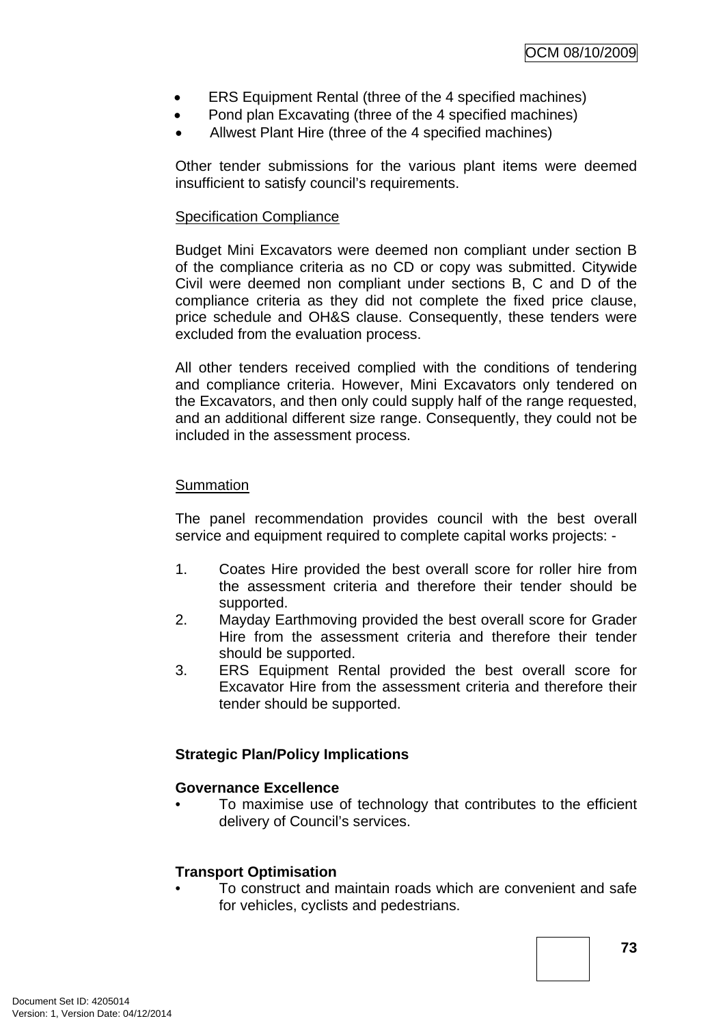- ERS Equipment Rental (three of the 4 specified machines)
- Pond plan Excavating (three of the 4 specified machines)
- Allwest Plant Hire (three of the 4 specified machines)

Other tender submissions for the various plant items were deemed insufficient to satisfy council's requirements.

#### Specification Compliance

Budget Mini Excavators were deemed non compliant under section B of the compliance criteria as no CD or copy was submitted. Citywide Civil were deemed non compliant under sections B, C and D of the compliance criteria as they did not complete the fixed price clause, price schedule and OH&S clause. Consequently, these tenders were excluded from the evaluation process.

All other tenders received complied with the conditions of tendering and compliance criteria. However, Mini Excavators only tendered on the Excavators, and then only could supply half of the range requested, and an additional different size range. Consequently, they could not be included in the assessment process.

### **Summation**

The panel recommendation provides council with the best overall service and equipment required to complete capital works projects: -

- 1. Coates Hire provided the best overall score for roller hire from the assessment criteria and therefore their tender should be supported.
- 2. Mayday Earthmoving provided the best overall score for Grader Hire from the assessment criteria and therefore their tender should be supported.
- 3. ERS Equipment Rental provided the best overall score for Excavator Hire from the assessment criteria and therefore their tender should be supported.

### **Strategic Plan/Policy Implications**

### **Governance Excellence**

• To maximise use of technology that contributes to the efficient delivery of Council's services.

### **Transport Optimisation**

• To construct and maintain roads which are convenient and safe for vehicles, cyclists and pedestrians.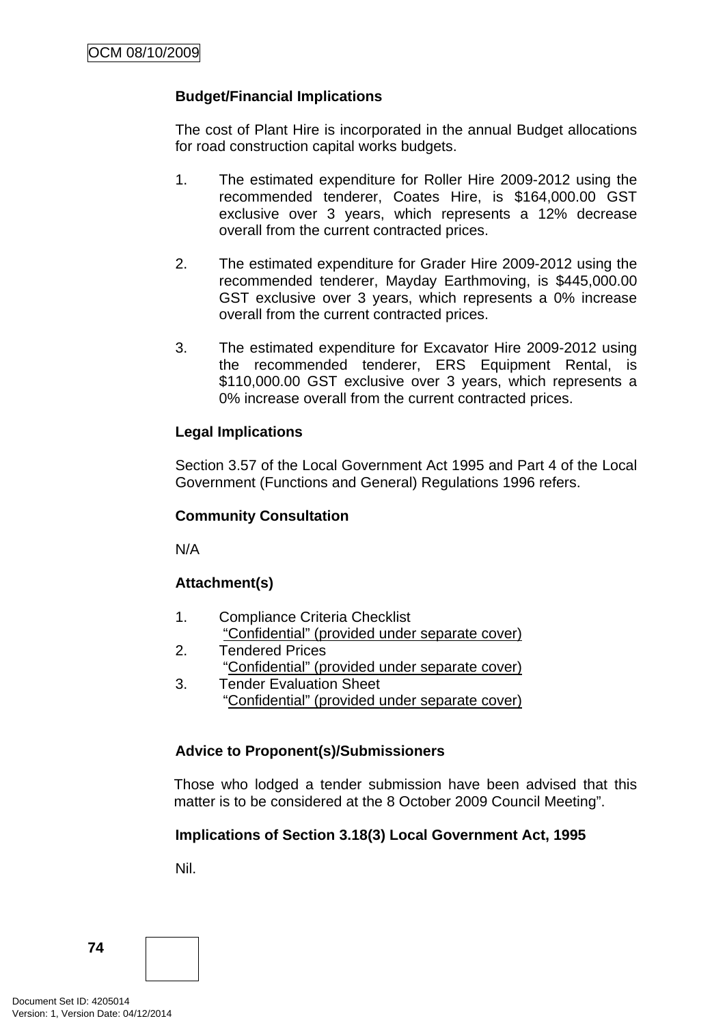# **Budget/Financial Implications**

The cost of Plant Hire is incorporated in the annual Budget allocations for road construction capital works budgets.

- 1. The estimated expenditure for Roller Hire 2009-2012 using the recommended tenderer, Coates Hire, is \$164,000.00 GST exclusive over 3 years, which represents a 12% decrease overall from the current contracted prices.
- 2. The estimated expenditure for Grader Hire 2009-2012 using the recommended tenderer, Mayday Earthmoving, is \$445,000.00 GST exclusive over 3 years, which represents a 0% increase overall from the current contracted prices.
- 3. The estimated expenditure for Excavator Hire 2009-2012 using the recommended tenderer, ERS Equipment Rental, is \$110,000.00 GST exclusive over 3 years, which represents a 0% increase overall from the current contracted prices.

### **Legal Implications**

Section 3.57 of the Local Government Act 1995 and Part 4 of the Local Government (Functions and General) Regulations 1996 refers.

### **Community Consultation**

N/A

# **Attachment(s)**

- 1. Compliance Criteria Checklist "Confidential" (provided under separate cover)
- 2. Tendered Prices "Confidential" (provided under separate cover)
- 3. Tender Evaluation Sheet "Confidential" (provided under separate cover)

# **Advice to Proponent(s)/Submissioners**

Those who lodged a tender submission have been advised that this matter is to be considered at the 8 October 2009 Council Meeting".

### **Implications of Section 3.18(3) Local Government Act, 1995**

Nil.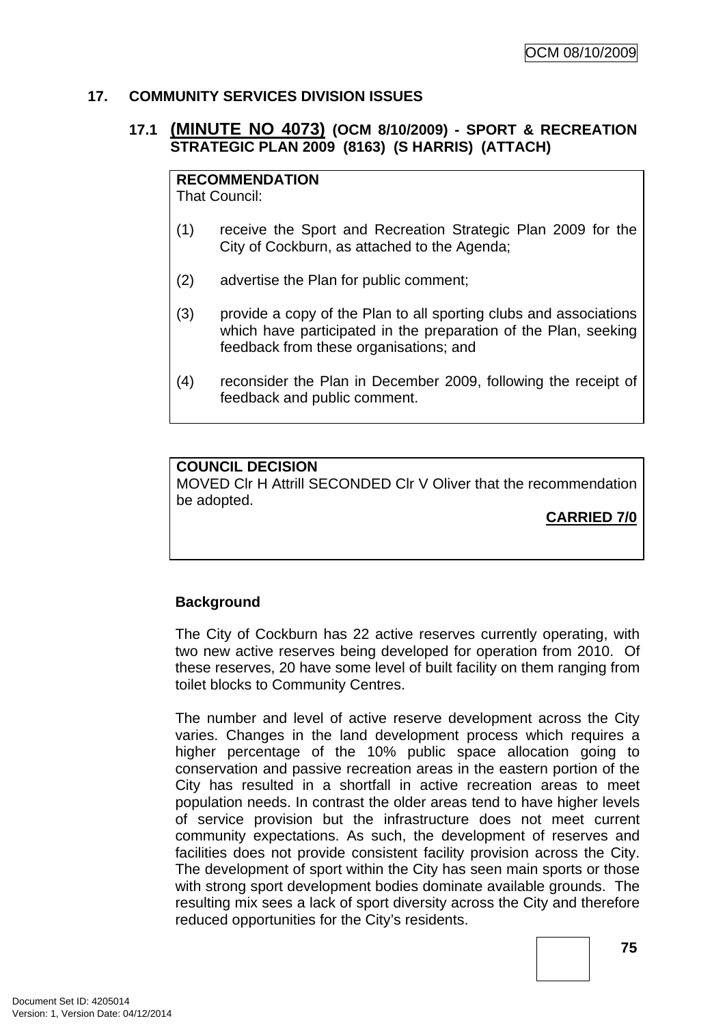### **17. COMMUNITY SERVICES DIVISION ISSUES**

### **17.1 (MINUTE NO 4073) (OCM 8/10/2009) - SPORT & RECREATION STRATEGIC PLAN 2009 (8163) (S HARRIS) (ATTACH)**

#### **RECOMMENDATION**

That Council:

- (1) receive the Sport and Recreation Strategic Plan 2009 for the City of Cockburn, as attached to the Agenda;
- (2) advertise the Plan for public comment;
- (3) provide a copy of the Plan to all sporting clubs and associations which have participated in the preparation of the Plan, seeking feedback from these organisations; and
- (4) reconsider the Plan in December 2009, following the receipt of feedback and public comment.

# **COUNCIL DECISION**

MOVED Clr H Attrill SECONDED Clr V Oliver that the recommendation be adopted.

**CARRIED 7/0**

# **Background**

The City of Cockburn has 22 active reserves currently operating, with two new active reserves being developed for operation from 2010. Of these reserves, 20 have some level of built facility on them ranging from toilet blocks to Community Centres.

The number and level of active reserve development across the City varies. Changes in the land development process which requires a higher percentage of the 10% public space allocation going to conservation and passive recreation areas in the eastern portion of the City has resulted in a shortfall in active recreation areas to meet population needs. In contrast the older areas tend to have higher levels of service provision but the infrastructure does not meet current community expectations. As such, the development of reserves and facilities does not provide consistent facility provision across the City. The development of sport within the City has seen main sports or those with strong sport development bodies dominate available grounds. The resulting mix sees a lack of sport diversity across the City and therefore reduced opportunities for the City's residents.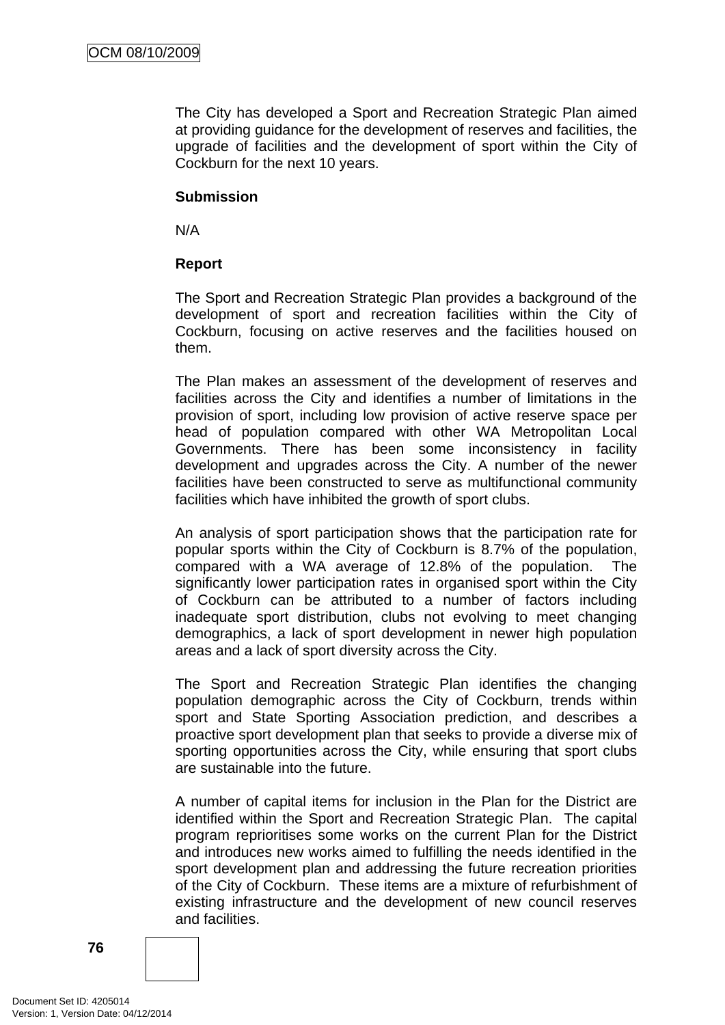The City has developed a Sport and Recreation Strategic Plan aimed at providing guidance for the development of reserves and facilities, the upgrade of facilities and the development of sport within the City of Cockburn for the next 10 years.

#### **Submission**

N/A

### **Report**

The Sport and Recreation Strategic Plan provides a background of the development of sport and recreation facilities within the City of Cockburn, focusing on active reserves and the facilities housed on them.

The Plan makes an assessment of the development of reserves and facilities across the City and identifies a number of limitations in the provision of sport, including low provision of active reserve space per head of population compared with other WA Metropolitan Local Governments. There has been some inconsistency in facility development and upgrades across the City. A number of the newer facilities have been constructed to serve as multifunctional community facilities which have inhibited the growth of sport clubs.

An analysis of sport participation shows that the participation rate for popular sports within the City of Cockburn is 8.7% of the population, compared with a WA average of 12.8% of the population. The significantly lower participation rates in organised sport within the City of Cockburn can be attributed to a number of factors including inadequate sport distribution, clubs not evolving to meet changing demographics, a lack of sport development in newer high population areas and a lack of sport diversity across the City.

The Sport and Recreation Strategic Plan identifies the changing population demographic across the City of Cockburn, trends within sport and State Sporting Association prediction, and describes a proactive sport development plan that seeks to provide a diverse mix of sporting opportunities across the City, while ensuring that sport clubs are sustainable into the future.

A number of capital items for inclusion in the Plan for the District are identified within the Sport and Recreation Strategic Plan. The capital program reprioritises some works on the current Plan for the District and introduces new works aimed to fulfilling the needs identified in the sport development plan and addressing the future recreation priorities of the City of Cockburn. These items are a mixture of refurbishment of existing infrastructure and the development of new council reserves and facilities.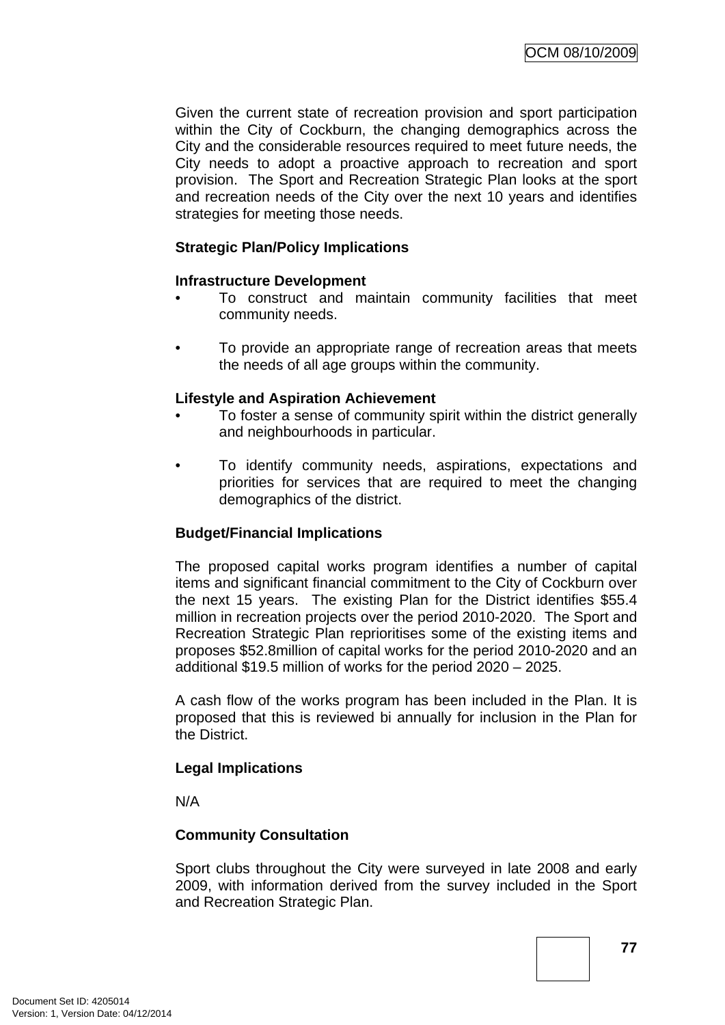Given the current state of recreation provision and sport participation within the City of Cockburn, the changing demographics across the City and the considerable resources required to meet future needs, the City needs to adopt a proactive approach to recreation and sport provision. The Sport and Recreation Strategic Plan looks at the sport and recreation needs of the City over the next 10 years and identifies strategies for meeting those needs.

### **Strategic Plan/Policy Implications**

#### **Infrastructure Development**

- To construct and maintain community facilities that meet community needs.
- To provide an appropriate range of recreation areas that meets the needs of all age groups within the community.

#### **Lifestyle and Aspiration Achievement**

- To foster a sense of community spirit within the district generally and neighbourhoods in particular.
- To identify community needs, aspirations, expectations and priorities for services that are required to meet the changing demographics of the district.

### **Budget/Financial Implications**

The proposed capital works program identifies a number of capital items and significant financial commitment to the City of Cockburn over the next 15 years. The existing Plan for the District identifies \$55.4 million in recreation projects over the period 2010-2020. The Sport and Recreation Strategic Plan reprioritises some of the existing items and proposes \$52.8million of capital works for the period 2010-2020 and an additional \$19.5 million of works for the period 2020 – 2025.

A cash flow of the works program has been included in the Plan. It is proposed that this is reviewed bi annually for inclusion in the Plan for the District.

### **Legal Implications**

N/A

### **Community Consultation**

Sport clubs throughout the City were surveyed in late 2008 and early 2009, with information derived from the survey included in the Sport and Recreation Strategic Plan.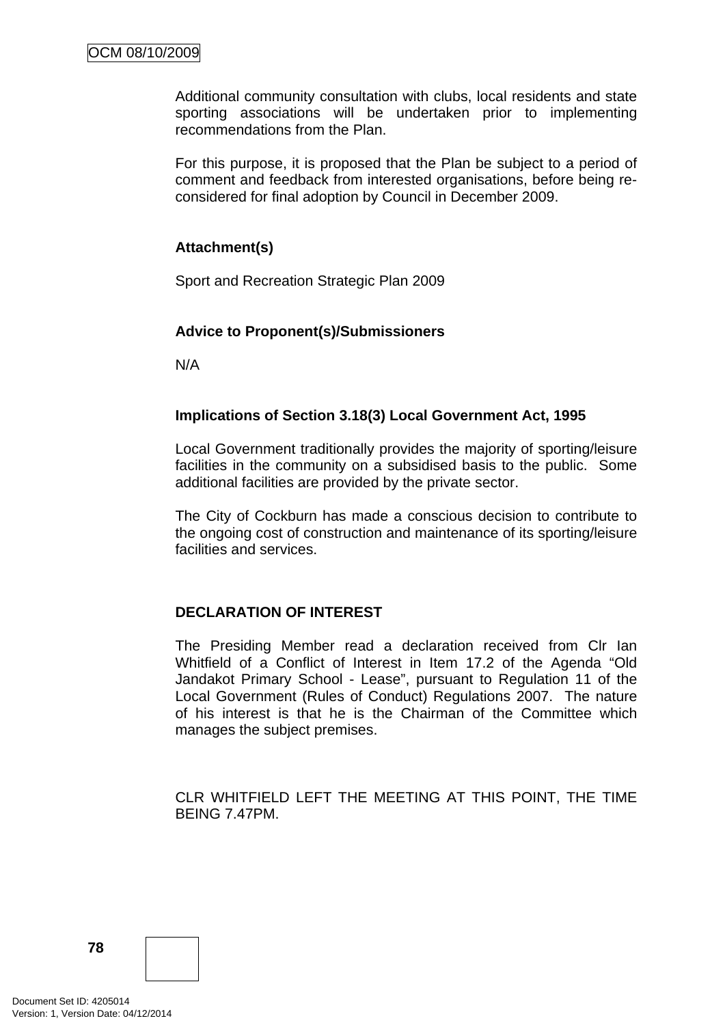Additional community consultation with clubs, local residents and state sporting associations will be undertaken prior to implementing recommendations from the Plan.

For this purpose, it is proposed that the Plan be subject to a period of comment and feedback from interested organisations, before being reconsidered for final adoption by Council in December 2009.

### **Attachment(s)**

Sport and Recreation Strategic Plan 2009

### **Advice to Proponent(s)/Submissioners**

N/A

### **Implications of Section 3.18(3) Local Government Act, 1995**

Local Government traditionally provides the majority of sporting/leisure facilities in the community on a subsidised basis to the public. Some additional facilities are provided by the private sector.

The City of Cockburn has made a conscious decision to contribute to the ongoing cost of construction and maintenance of its sporting/leisure facilities and services.

# **DECLARATION OF INTEREST**

The Presiding Member read a declaration received from Clr Ian Whitfield of a Conflict of Interest in Item 17.2 of the Agenda "Old Jandakot Primary School - Lease", pursuant to Regulation 11 of the Local Government (Rules of Conduct) Regulations 2007. The nature of his interest is that he is the Chairman of the Committee which manages the subject premises.

CLR WHITFIELD LEFT THE MEETING AT THIS POINT, THE TIME BEING 7.47PM.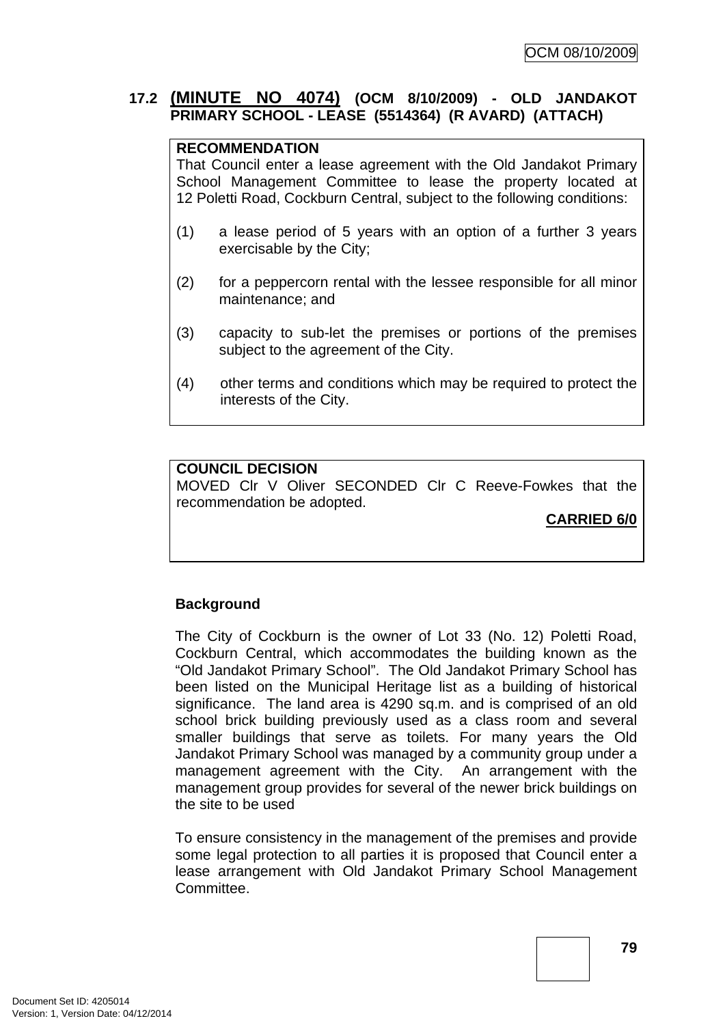# **17.2 (MINUTE NO 4074) (OCM 8/10/2009) - OLD JANDAKOT PRIMARY SCHOOL - LEASE (5514364) (R AVARD) (ATTACH)**

#### **RECOMMENDATION**

That Council enter a lease agreement with the Old Jandakot Primary School Management Committee to lease the property located at 12 Poletti Road, Cockburn Central, subject to the following conditions:

- (1) a lease period of 5 years with an option of a further 3 years exercisable by the City;
- (2) for a peppercorn rental with the lessee responsible for all minor maintenance; and
- (3) capacity to sub-let the premises or portions of the premises subject to the agreement of the City.
- (4) other terms and conditions which may be required to protect the interests of the City.

### **COUNCIL DECISION**

MOVED Clr V Oliver SECONDED Clr C Reeve-Fowkes that the recommendation be adopted.

**CARRIED 6/0**

### **Background**

The City of Cockburn is the owner of Lot 33 (No. 12) Poletti Road, Cockburn Central, which accommodates the building known as the "Old Jandakot Primary School". The Old Jandakot Primary School has been listed on the Municipal Heritage list as a building of historical significance. The land area is 4290 sq.m. and is comprised of an old school brick building previously used as a class room and several smaller buildings that serve as toilets. For many years the Old Jandakot Primary School was managed by a community group under a management agreement with the City. An arrangement with the management group provides for several of the newer brick buildings on the site to be used

To ensure consistency in the management of the premises and provide some legal protection to all parties it is proposed that Council enter a lease arrangement with Old Jandakot Primary School Management Committee.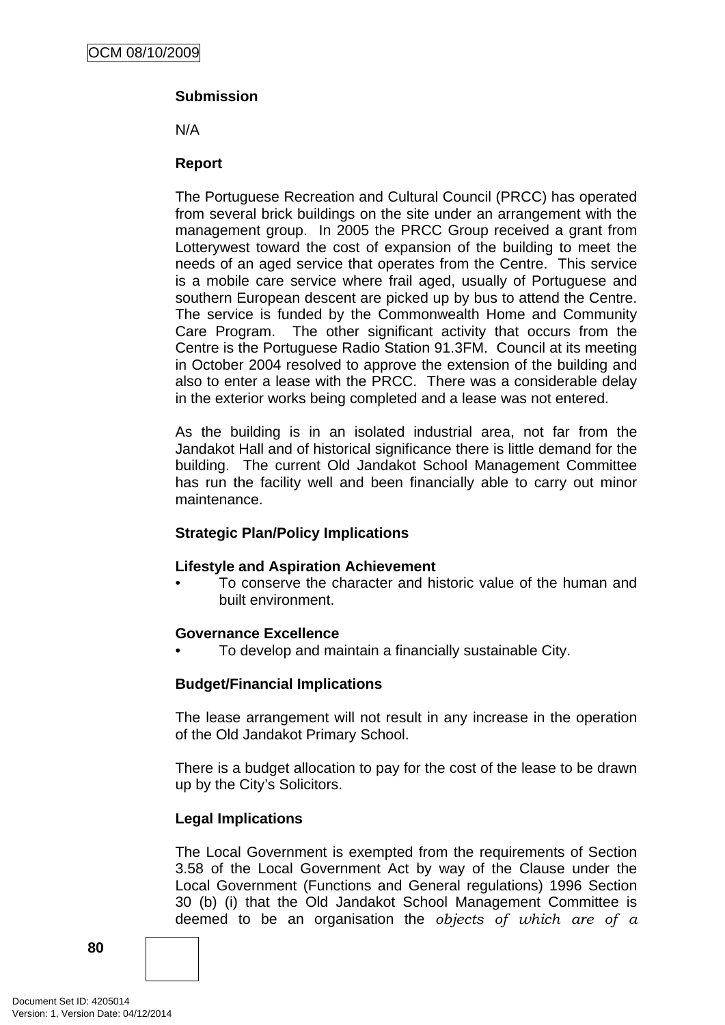# **Submission**

N/A

### **Report**

The Portuguese Recreation and Cultural Council (PRCC) has operated from several brick buildings on the site under an arrangement with the management group. In 2005 the PRCC Group received a grant from Lotterywest toward the cost of expansion of the building to meet the needs of an aged service that operates from the Centre. This service is a mobile care service where frail aged, usually of Portuguese and southern European descent are picked up by bus to attend the Centre. The service is funded by the Commonwealth Home and Community Care Program. The other significant activity that occurs from the Centre is the Portuguese Radio Station 91.3FM. Council at its meeting in October 2004 resolved to approve the extension of the building and also to enter a lease with the PRCC. There was a considerable delay in the exterior works being completed and a lease was not entered.

As the building is in an isolated industrial area, not far from the Jandakot Hall and of historical significance there is little demand for the building. The current Old Jandakot School Management Committee has run the facility well and been financially able to carry out minor maintenance.

### **Strategic Plan/Policy Implications**

### **Lifestyle and Aspiration Achievement**

• To conserve the character and historic value of the human and built environment.

### **Governance Excellence**

• To develop and maintain a financially sustainable City.

# **Budget/Financial Implications**

The lease arrangement will not result in any increase in the operation of the Old Jandakot Primary School.

There is a budget allocation to pay for the cost of the lease to be drawn up by the City's Solicitors.

# **Legal Implications**

The Local Government is exempted from the requirements of Section 3.58 of the Local Government Act by way of the Clause under the Local Government (Functions and General regulations) 1996 Section 30 (b) (i) that the Old Jandakot School Management Committee is deemed to be an organisation the *objects of which are of a*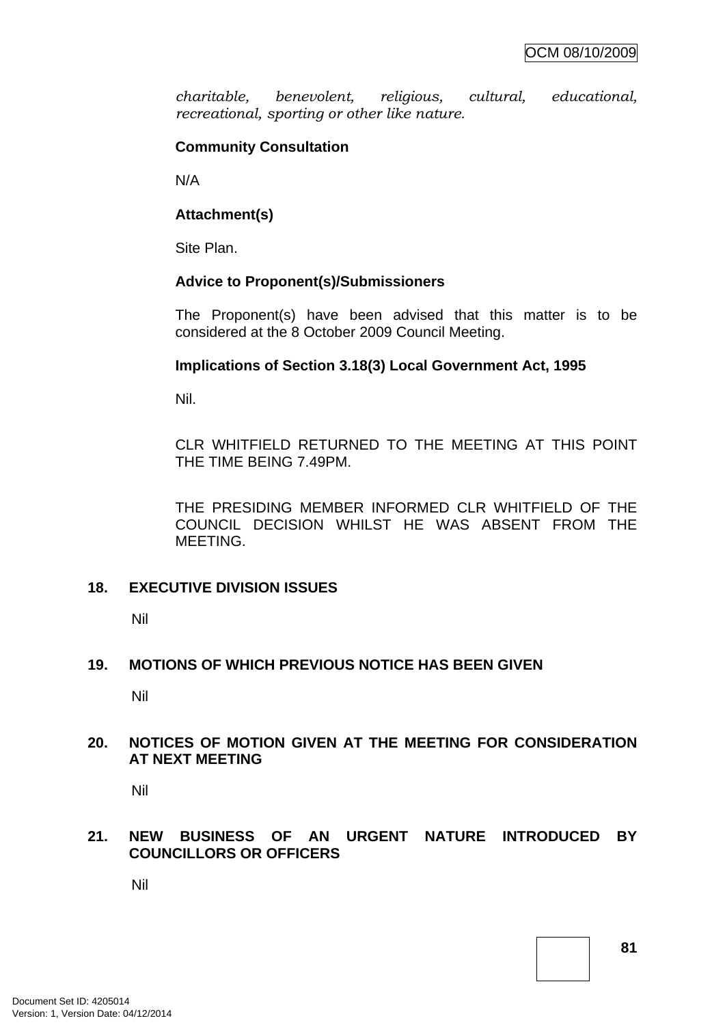*charitable, benevolent, religious, cultural, educational, recreational, sporting or other like nature*.

### **Community Consultation**

N/A

### **Attachment(s)**

Site Plan.

### **Advice to Proponent(s)/Submissioners**

The Proponent(s) have been advised that this matter is to be considered at the 8 October 2009 Council Meeting.

### **Implications of Section 3.18(3) Local Government Act, 1995**

Nil.

CLR WHITFIELD RETURNED TO THE MEETING AT THIS POINT THE TIME BEING 7.49PM.

THE PRESIDING MEMBER INFORMED CLR WHITFIELD OF THE COUNCIL DECISION WHILST HE WAS ABSENT FROM THE MEETING.

### **18. EXECUTIVE DIVISION ISSUES**

Nil

### **19. MOTIONS OF WHICH PREVIOUS NOTICE HAS BEEN GIVEN**

Nil

### **20. NOTICES OF MOTION GIVEN AT THE MEETING FOR CONSIDERATION AT NEXT MEETING**

Nil

### **21. NEW BUSINESS OF AN URGENT NATURE INTRODUCED BY COUNCILLORS OR OFFICERS**

Nil